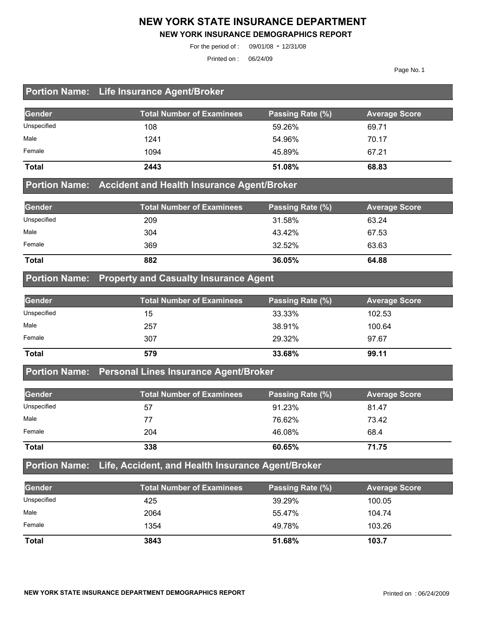#### **NEW YORK STATE INSURANCE DEPARTMENT**

#### **NEW YORK INSURANCE DEMOGRAPHICS REPORT**

For the period of : 09/01/08 - 12/31/08

Printed on : 06/24/09

Page No. 1

#### **Portion Name: Life Insurance Agent/Broker**

| Gender       | <b>Total Number of Examinees</b> | Passing Rate (%) | <b>Average Score</b> |
|--------------|----------------------------------|------------------|----------------------|
| Unspecified  | 108                              | 59.26%           | 69.71                |
| Male         | 1241                             | 54.96%           | 70.17                |
| Female       | 1094                             | 45.89%           | 67.21                |
| <b>Total</b> | 2443                             | 51.08%           | 68.83                |

#### **Portion Name: Accident and Health Insurance Agent/Broker**

| Gender       | <b>Total Number of Examinees</b> | Passing Rate (%) | <b>Average Score</b> |
|--------------|----------------------------------|------------------|----------------------|
| Unspecified  | 209                              | 31.58%           | 63.24                |
| Male         | 304                              | 43.42%           | 67.53                |
| Female       | 369                              | 32.52%           | 63.63                |
| <b>Total</b> | 882                              | 36.05%           | 64.88                |

#### **Portion Name: Property and Casualty Insurance Agent**

| Gender       | <b>Total Number of Examinees</b> | Passing Rate (%) | <b>Average Score</b> |
|--------------|----------------------------------|------------------|----------------------|
| Unspecified  | 15                               | 33.33%           | 102.53               |
| Male         | 257                              | 38.91%           | 100.64               |
| Female       | 307                              | 29.32%           | 97.67                |
| <b>Total</b> | 579                              | 33.68%           | 99.11                |

#### **Portion Name: Personal Lines Insurance Agent/Broker**

| Gender       | <b>Total Number of Examinees</b> | Passing Rate (%) | <b>Average Score</b> |
|--------------|----------------------------------|------------------|----------------------|
| Unspecified  | 57                               | 91.23%           | 81.47                |
| Male         | 77                               | 76.62%           | 73.42                |
| Female       | 204                              | 46.08%           | 68.4                 |
| <b>Total</b> | 338                              | 60.65%           | 71.75                |

#### **Portion Name: Life, Accident, and Health Insurance Agent/Broker**

| Gender       | <b>Total Number of Examinees</b> | Passing Rate (%) | <b>Average Score</b> |
|--------------|----------------------------------|------------------|----------------------|
| Unspecified  | 425                              | 39.29%           | 100.05               |
| Male         | 2064                             | 55.47%           | 104.74               |
| Female       | 1354                             | 49.78%           | 103.26               |
| <b>Total</b> | 3843                             | 51.68%           | 103.7                |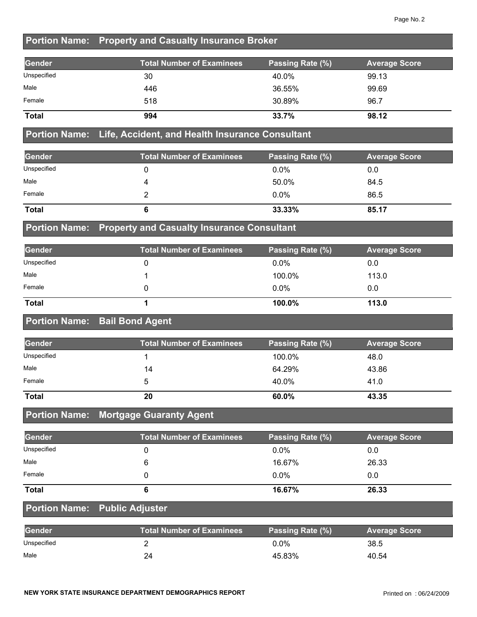### **Portion Name: Property and Casualty Insurance Broker**

| <b>Gender</b> | <b>Total Number of Examinees</b> | Passing Rate (%) | <b>Average Score</b> |
|---------------|----------------------------------|------------------|----------------------|
| Unspecified   | 30                               | 40.0%            | 99.13                |
| Male          | 446                              | 36.55%           | 99.69                |
| Female        | 518                              | 30.89%           | 96.7                 |
| <b>Total</b>  | 994                              | 33.7%            | 98.12                |

#### **Portion Name: Life, Accident, and Health Insurance Consultant**

| Gender       | <b>Total Number of Examinees</b> | Passing Rate (%) | <b>Average Score</b> |
|--------------|----------------------------------|------------------|----------------------|
| Unspecified  |                                  | $0.0\%$          | 0.0                  |
| Male         |                                  | 50.0%            | 84.5                 |
| Female       |                                  | $0.0\%$          | 86.5                 |
| <b>Total</b> | О                                | 33.33%           | 85.17                |

#### **Portion Name: Property and Casualty Insurance Consultant**

| Gender       | Total Number of Examinees | Passing Rate (%) | <b>Average Score</b> |
|--------------|---------------------------|------------------|----------------------|
| Unspecified  |                           | $0.0\%$          | 0.0                  |
| Male         |                           | 100.0%           | 113.0                |
| Female       |                           | $0.0\%$          | 0.0                  |
| <b>Total</b> |                           | 100.0%           | 113.0                |

#### **Portion Name: Bail Bond Agent**

| Gender       | <b>Total Number of Examinees</b> | Passing Rate (%) | <b>Average Score</b> |
|--------------|----------------------------------|------------------|----------------------|
| Unspecified  |                                  | 100.0%           | 48.0                 |
| Male         | 14                               | 64.29%           | 43.86                |
| Female       |                                  | 40.0%            | 41.0                 |
| <b>Total</b> | 20                               | 60.0%            | 43.35                |

#### **Portion Name: Mortgage Guaranty Agent**

| Gender       | <b>Total Number of Examinees</b> | Passing Rate (%) | <b>Average Score</b> |
|--------------|----------------------------------|------------------|----------------------|
| Unspecified  |                                  | $0.0\%$          | 0.0                  |
| Male         |                                  | 16.67%           | 26.33                |
| Female       |                                  | $0.0\%$          | 0.0                  |
| <b>Total</b> |                                  | 16.67%           | 26.33                |

#### **Portion Name: Public Adjuster**

| <b>Gender</b> | <b>Total Number of Examinees</b> | Passing Rate (%) | <b>Average Score</b> |
|---------------|----------------------------------|------------------|----------------------|
| Unspecified   |                                  | 0.0%             | 38.5                 |
| Male          | 24                               | 45.83%           | 40.54                |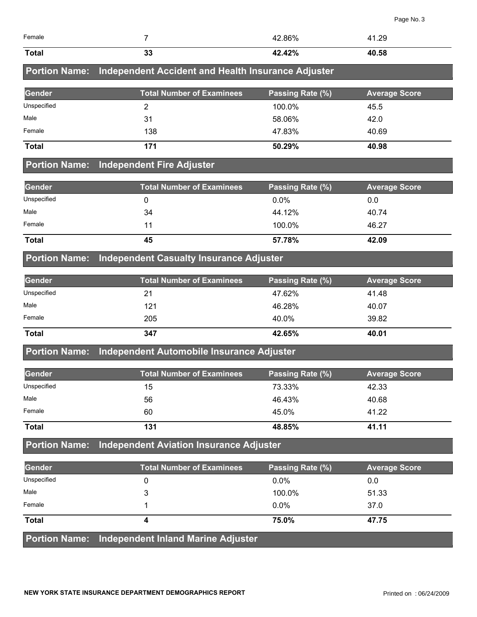|                      |                                                    |                  | Page No. 3           |
|----------------------|----------------------------------------------------|------------------|----------------------|
| Female               | $\overline{7}$                                     | 42.86%           | 41.29                |
| <b>Total</b>         | 33                                                 | 42.42%           | 40.58                |
| <b>Portion Name:</b> | Independent Accident and Health Insurance Adjuster |                  |                      |
| <b>Gender</b>        | <b>Total Number of Examinees</b>                   | Passing Rate (%) | <b>Average Score</b> |
| Unspecified          | $\overline{2}$                                     | 100.0%           | 45.5                 |
| Male                 | 31                                                 | 58.06%           | 42.0                 |
| Female               | 138                                                | 47.83%           | 40.69                |
| <b>Total</b>         | 171                                                | 50.29%           | 40.98                |
| <b>Portion Name:</b> | <b>Independent Fire Adjuster</b>                   |                  |                      |
| <b>Gender</b>        | <b>Total Number of Examinees</b>                   | Passing Rate (%) | <b>Average Score</b> |
| Unspecified          | 0                                                  | 0.0%             | 0.0                  |
| Male                 | 34                                                 | 44.12%           | 40.74                |
| Female               | 11                                                 | 100.0%           | 46.27                |
| <b>Total</b>         | 45                                                 | 57.78%           | 42.09                |
| <b>Portion Name:</b> | <b>Independent Casualty Insurance Adjuster</b>     |                  |                      |
| Gender               | <b>Total Number of Examinees</b>                   | Passing Rate (%) | <b>Average Score</b> |
| Unspecified          | 21                                                 | 47.62%           | 41.48                |

| <b>Total</b> | 347 | 42.65% | 40.01 |
|--------------|-----|--------|-------|
| Female       | 205 | 40.0%  | 39.82 |
| Male         | 121 | 46.28% | 40.07 |
| Unspecified  | 21  | 47.62% | 41.48 |

## **Portion Name: Independent Automobile Insurance Adjuster**

| <b>Gender</b> | <b>Total Number of Examinees</b> | Passing Rate (%) | <b>Average Score</b> |
|---------------|----------------------------------|------------------|----------------------|
| Unspecified   | 15                               | 73.33%           | 42.33                |
| Male          | 56                               | 46.43%           | 40.68                |
| Female        | 60                               | 45.0%            | 41.22                |
| <b>Total</b>  | 131                              | 48.85%           | 41.11                |

## **Portion Name: Independent Aviation Insurance Adjuster**

| Gender       | <b>Total Number of Examinees</b>                 | Passing Rate (%) | <b>Average Score</b> |
|--------------|--------------------------------------------------|------------------|----------------------|
| Unspecified  |                                                  | $0.0\%$          | 0.0                  |
| Male         |                                                  | 100.0%           | 51.33                |
| Female       |                                                  | $0.0\%$          | 37.0                 |
| <b>Total</b> |                                                  | 75.0%            | 47.75                |
|              | Portion Name: Independent Inland Marine Adjuster |                  |                      |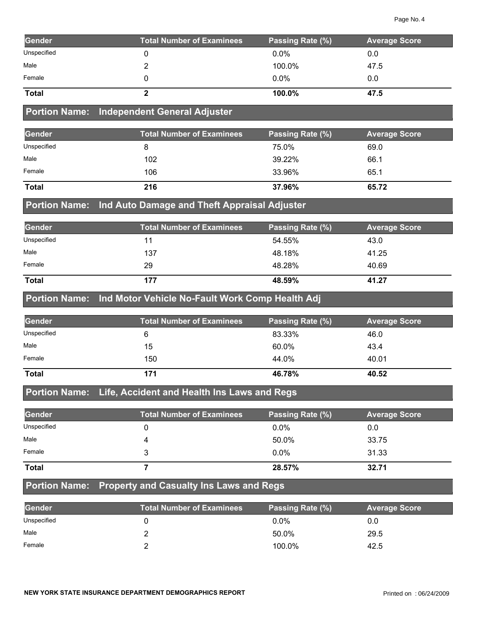| Gender       | <b>Total Number of Examinees</b> | Passing Rate (%) | <b>Average Score</b> |
|--------------|----------------------------------|------------------|----------------------|
| Unspecified  |                                  | $0.0\%$          | 0.0                  |
| Male         |                                  | 100.0%           | 47.5                 |
| Female       |                                  | $0.0\%$          | 0.0                  |
| <b>Total</b> |                                  | 100.0%           | 47.5                 |

#### **Portion Name: Independent General Adjuster**

| Gender       | <b>Total Number of Examinees</b> | <b>Passing Rate (%)</b> | <b>Average Score</b> |
|--------------|----------------------------------|-------------------------|----------------------|
| Unspecified  |                                  | 75.0%                   | 69.0                 |
| Male         | 102                              | 39.22%                  | 66.1                 |
| Female       | 106                              | 33.96%                  | 65.1                 |
| <b>Total</b> | 216                              | 37.96%                  | 65.72                |

#### **Portion Name: Ind Auto Damage and Theft Appraisal Adjuster**

| Gender       | <b>Total Number of Examinees</b> | Passing Rate (%) | <b>Average Score</b> |
|--------------|----------------------------------|------------------|----------------------|
| Unspecified  | 11                               | 54.55%           | 43.0                 |
| Male         | 137                              | 48.18%           | 41.25                |
| Female       | 29                               | 48.28%           | 40.69                |
| <b>Total</b> | 177                              | 48.59%           | 41.27                |

#### **Portion Name: Ind Motor Vehicle No-Fault Work Comp Health Adj**

| Gender       | <b>Total Number of Examinees</b> | Passing Rate (%) | <b>Average Score</b> |
|--------------|----------------------------------|------------------|----------------------|
| Unspecified  |                                  | 83.33%           | 46.0                 |
| Male         | 15                               | 60.0%            | 43.4                 |
| Female       | 150                              | 44.0%            | 40.01                |
| <b>Total</b> | 171                              | 46.78%           | 40.52                |

## **Portion Name: Life, Accident and Health Ins Laws and Regs**

| Gender       | <b>Total Number of Examinees</b> | Passing Rate (%) | <b>Average Score</b> |
|--------------|----------------------------------|------------------|----------------------|
| Unspecified  |                                  | $0.0\%$          | 0.0                  |
| Male         |                                  | 50.0%            | 33.75                |
| Female       |                                  | $0.0\%$          | 31.33                |
| <b>Total</b> |                                  | 28.57%           | 32.71                |

#### **Portion Name: Property and Casualty Ins Laws and Regs**

| Gender      | <b>Total Number of Examinees</b> | Passing Rate (%) | <b>Average Score</b> |
|-------------|----------------------------------|------------------|----------------------|
| Unspecified |                                  | $0.0\%$          | 0.0                  |
| Male        |                                  | 50.0%            | 29.5                 |
| Female      |                                  | 100.0%           | 42.5                 |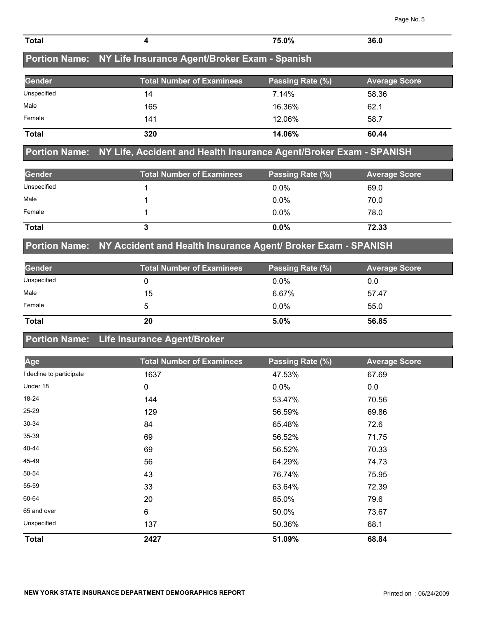| <b>Total</b>             | 4                                                                  | 75.0%            | 36.0                 |
|--------------------------|--------------------------------------------------------------------|------------------|----------------------|
| <b>Portion Name:</b>     | NY Life Insurance Agent/Broker Exam - Spanish                      |                  |                      |
| Gender                   | <b>Total Number of Examinees</b>                                   | Passing Rate (%) | <b>Average Score</b> |
| Unspecified              | 14                                                                 | 7.14%            | 58.36                |
| Male                     | 165                                                                | 16.36%           | 62.1                 |
| Female                   | 141                                                                | 12.06%           | 58.7                 |
| <b>Total</b>             | 320                                                                | 14.06%           | 60.44                |
| <b>Portion Name:</b>     | NY Life, Accident and Health Insurance Agent/Broker Exam - SPANISH |                  |                      |
| Gender                   | <b>Total Number of Examinees</b>                                   | Passing Rate (%) | <b>Average Score</b> |
| Unspecified              | 1                                                                  | 0.0%             | 69.0                 |
| Male                     | 1                                                                  | 0.0%             | 70.0                 |
| Female                   | 1                                                                  | 0.0%             | 78.0                 |
| <b>Total</b>             | $\mathbf{3}$                                                       | 0.0%             | 72.33                |
| <b>Portion Name:</b>     | NY Accident and Health Insurance Agent/ Broker Exam - SPANISH      |                  |                      |
| Gender                   | <b>Total Number of Examinees</b>                                   | Passing Rate (%) | <b>Average Score</b> |
| Unspecified              | 0                                                                  | 0.0%             | 0.0                  |
| Male                     | 15                                                                 | 6.67%            | 57.47                |
| Female                   | 5                                                                  | 0.0%             | 55.0                 |
| <b>Total</b>             | 20                                                                 | 5.0%             | 56.85                |
| <b>Portion Name:</b>     | Life Insurance Agent/Broker                                        |                  |                      |
| Age                      | <b>Total Number of Examinees</b>                                   | Passing Rate (%) | <b>Average Score</b> |
| I decline to participate | 1637                                                               | 47.53%           | 67.69                |
| Under 18                 | $\Omega$                                                           | በ በ%             | n n                  |

| <b>Total</b>            | 2427 | 51.09%  | 68.84 |  |
|-------------------------|------|---------|-------|--|
| Unspecified             | 137  | 50.36%  | 68.1  |  |
| 65 and over             | 6    | 50.0%   | 73.67 |  |
| 60-64                   | 20   | 85.0%   | 79.6  |  |
| 55-59                   | 33   | 63.64%  | 72.39 |  |
| 50-54                   | 43   | 76.74%  | 75.95 |  |
| 45-49                   | 56   | 64.29%  | 74.73 |  |
| 40-44                   | 69   | 56.52%  | 70.33 |  |
| $35 - 39$               | 69   | 56.52%  | 71.75 |  |
| 30-34                   | 84   | 65.48%  | 72.6  |  |
| 25-29                   | 129  | 56.59%  | 69.86 |  |
| 18-24                   | 144  | 53.47%  | 70.56 |  |
| Under 18                | 0    | $0.0\%$ | 0.0   |  |
| I decime to participate | 1037 | 47.53%  | 01.09 |  |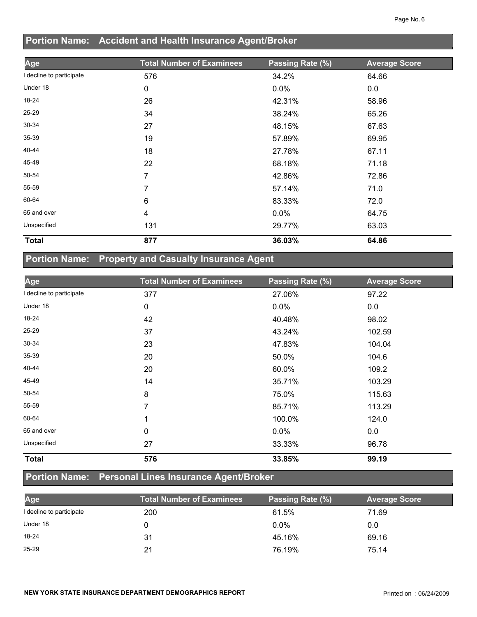## **Portion Name: Accident and Health Insurance Agent/Broker**

| Age                      | <b>Total Number of Examinees</b> | Passing Rate (%) | <b>Average Score</b> |
|--------------------------|----------------------------------|------------------|----------------------|
| I decline to participate | 576                              | 34.2%            | 64.66                |
| Under 18                 | 0                                | 0.0%             | 0.0                  |
| 18-24                    | 26                               | 42.31%           | 58.96                |
| 25-29                    | 34                               | 38.24%           | 65.26                |
| 30-34                    | 27                               | 48.15%           | 67.63                |
| 35-39                    | 19                               | 57.89%           | 69.95                |
| 40-44                    | 18                               | 27.78%           | 67.11                |
| 45-49                    | 22                               | 68.18%           | 71.18                |
| 50-54                    | 7                                | 42.86%           | 72.86                |
| 55-59                    | 7                                | 57.14%           | 71.0                 |
| 60-64                    | 6                                | 83.33%           | 72.0                 |
| 65 and over              | 4                                | $0.0\%$          | 64.75                |
| Unspecified              | 131                              | 29.77%           | 63.03                |
| <b>Total</b>             | 877                              | 36.03%           | 64.86                |

# **Portion Name: Property and Casualty Insurance Agent**

| Age                      | <b>Total Number of Examinees</b> | Passing Rate (%) | <b>Average Score</b> |
|--------------------------|----------------------------------|------------------|----------------------|
| I decline to participate | 377                              | 27.06%           | 97.22                |
| Under 18                 | 0                                | $0.0\%$          | 0.0                  |
| 18-24                    | 42                               | 40.48%           | 98.02                |
| 25-29                    | 37                               | 43.24%           | 102.59               |
| 30-34                    | 23                               | 47.83%           | 104.04               |
| 35-39                    | 20                               | 50.0%            | 104.6                |
| 40-44                    | 20                               | 60.0%            | 109.2                |
| 45-49                    | 14                               | 35.71%           | 103.29               |
| 50-54                    | 8                                | 75.0%            | 115.63               |
| 55-59                    | 7                                | 85.71%           | 113.29               |
| 60-64                    | 1                                | 100.0%           | 124.0                |
| 65 and over              | 0                                | 0.0%             | 0.0                  |
| Unspecified              | 27                               | 33.33%           | 96.78                |
| <b>Total</b>             | 576                              | 33.85%           | 99.19                |

### **Portion Name: Personal Lines Insurance Agent/Broker**

| Age                      | Total Number of Examinees | Passing Rate (%) | <b>Average Score</b> |
|--------------------------|---------------------------|------------------|----------------------|
| I decline to participate | 200                       | 61.5%            | 71.69                |
| Under 18                 |                           | $0.0\%$          | 0.0                  |
| $18 - 24$                | 31                        | 45.16%           | 69.16                |
| $25 - 29$                | 21                        | 76.19%           | 75.14                |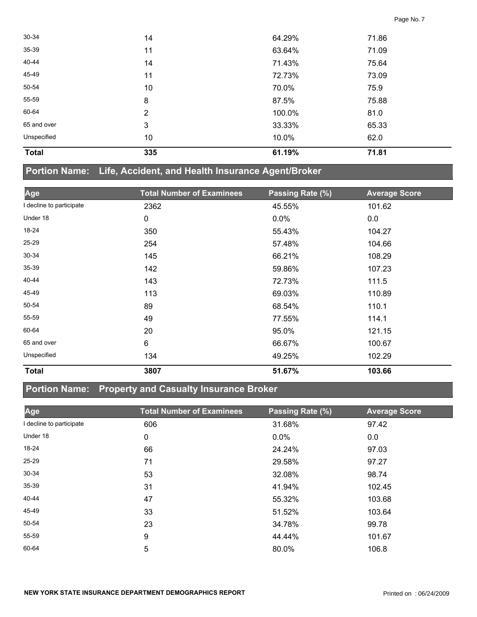| <b>Total</b> | 335            | 61.19% | 71.81 |  |
|--------------|----------------|--------|-------|--|
| Unspecified  | 10             | 10.0%  | 62.0  |  |
| 65 and over  | 3              | 33.33% | 65.33 |  |
| 60-64        | $\overline{2}$ | 100.0% | 81.0  |  |
| 55-59        | 8              | 87.5%  | 75.88 |  |
| 50-54        | 10             | 70.0%  | 75.9  |  |
| 45-49        | 11             | 72.73% | 73.09 |  |
| 40-44        | 14             | 71.43% | 75.64 |  |
| 35-39        | 11             | 63.64% | 71.09 |  |
| 30-34        | 14             | 64.29% | 71.86 |  |

#### **Portion Name: Life, Accident, and Health Insurance Agent/Broker**

| Age                      | <b>Total Number of Examinees</b> | Passing Rate (%) | <b>Average Score</b> |
|--------------------------|----------------------------------|------------------|----------------------|
| I decline to participate | 2362                             | 45.55%           | 101.62               |
| Under 18                 | 0                                | $0.0\%$          | 0.0                  |
| 18-24                    | 350                              | 55.43%           | 104.27               |
| 25-29                    | 254                              | 57.48%           | 104.66               |
| 30-34                    | 145                              | 66.21%           | 108.29               |
| 35-39                    | 142                              | 59.86%           | 107.23               |
| 40-44                    | 143                              | 72.73%           | 111.5                |
| 45-49                    | 113                              | 69.03%           | 110.89               |
| 50-54                    | 89                               | 68.54%           | 110.1                |
| 55-59                    | 49                               | 77.55%           | 114.1                |
| 60-64                    | 20                               | 95.0%            | 121.15               |
| 65 and over              | $6\phantom{1}$                   | 66.67%           | 100.67               |
| Unspecified              | 134                              | 49.25%           | 102.29               |
| <b>Total</b>             | 3807                             | 51.67%           | 103.66               |

### **Portion Name: Property and Casualty Insurance Broker**

| Age                      | <b>Total Number of Examinees</b> | Passing Rate (%) | <b>Average Score</b> |
|--------------------------|----------------------------------|------------------|----------------------|
| I decline to participate | 606                              | 31.68%           | 97.42                |
| Under 18                 | 0                                | 0.0%             | 0.0                  |
| 18-24                    | 66                               | 24.24%           | 97.03                |
| $25 - 29$                | 71                               | 29.58%           | 97.27                |
| 30-34                    | 53                               | 32.08%           | 98.74                |
| 35-39                    | 31                               | 41.94%           | 102.45               |
| 40-44                    | 47                               | 55.32%           | 103.68               |
| 45-49                    | 33                               | 51.52%           | 103.64               |
| 50-54                    | 23                               | 34.78%           | 99.78                |
| 55-59                    | 9                                | 44.44%           | 101.67               |
| 60-64                    | 5                                | 80.0%            | 106.8                |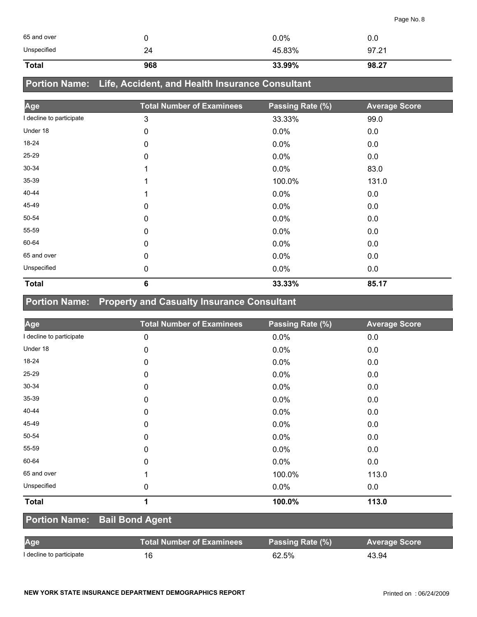| 65 and over  |     | 0.0%   | 0.0   |
|--------------|-----|--------|-------|
| Unspecified  | 24  | 45.83% | 97.21 |
| <b>Total</b> | 968 | 33.99% | 98.27 |

## **Portion Name: Life, Accident, and Health Insurance Consultant**

| Age                      | <b>Total Number of Examinees</b> | Passing Rate (%) | <b>Average Score</b> |
|--------------------------|----------------------------------|------------------|----------------------|
| I decline to participate | 3                                | 33.33%           | 99.0                 |
| Under 18                 | 0                                | $0.0\%$          | 0.0                  |
| 18-24                    | 0                                | 0.0%             | 0.0                  |
| $25 - 29$                | 0                                | 0.0%             | 0.0                  |
| 30-34                    |                                  | 0.0%             | 83.0                 |
| $35 - 39$                |                                  | 100.0%           | 131.0                |
| 40-44                    |                                  | 0.0%             | 0.0                  |
| 45-49                    | 0                                | 0.0%             | 0.0                  |
| 50-54                    | 0                                | $0.0\%$          | 0.0                  |
| 55-59                    | 0                                | 0.0%             | 0.0                  |
| 60-64                    | 0                                | 0.0%             | 0.0                  |
| 65 and over              | 0                                | 0.0%             | 0.0                  |
| Unspecified              | 0                                | 0.0%             | 0.0                  |
| <b>Total</b>             | 6                                | 33.33%           | 85.17                |

## **Portion Name: Property and Casualty Insurance Consultant**

| Age                      | <b>Total Number of Examinees</b> | Passing Rate (%) | <b>Average Score</b> |
|--------------------------|----------------------------------|------------------|----------------------|
| I decline to participate | 0                                | 0.0%             | 0.0                  |
| Under 18                 | 0                                | 0.0%             | 0.0                  |
| 18-24                    | 0                                | 0.0%             | 0.0                  |
| $25 - 29$                | 0                                | 0.0%             | 0.0                  |
| 30-34                    | 0                                | 0.0%             | 0.0                  |
| 35-39                    | 0                                | 0.0%             | 0.0                  |
| 40-44                    | 0                                | 0.0%             | 0.0                  |
| 45-49                    | $\mathbf 0$                      | 0.0%             | 0.0                  |
| 50-54                    | 0                                | 0.0%             | 0.0                  |
| 55-59                    | $\mathbf 0$                      | 0.0%             | 0.0                  |
| 60-64                    | 0                                | 0.0%             | 0.0                  |
| 65 and over              | 1                                | 100.0%           | 113.0                |
| Unspecified              | 0                                | 0.0%             | 0.0                  |
| <b>Total</b>             | 1                                | 100.0%           | 113.0                |

#### **Portion Name: Bail Bond Agent**

| Age                      | <b>Total Number of Examinees</b> | Passing Rate (%) | <b>Average Score</b> |
|--------------------------|----------------------------------|------------------|----------------------|
| I decline to participate | 16                               | 62.5%            | 43.94                |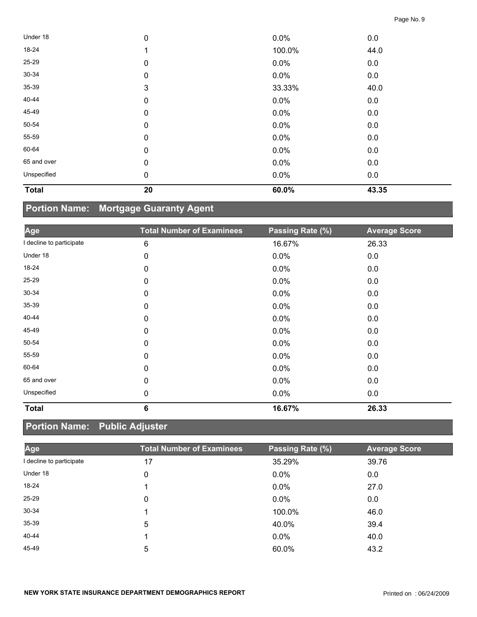| <b>Total</b> | 20          | 60.0%   | 43.35 |  |
|--------------|-------------|---------|-------|--|
| Unspecified  | $\mathbf 0$ | 0.0%    | 0.0   |  |
| 65 and over  | $\pmb{0}$   | $0.0\%$ | 0.0   |  |
| 60-64        | $\pmb{0}$   | 0.0%    | 0.0   |  |
| 55-59        | $\mathbf 0$ | 0.0%    | 0.0   |  |
| 50-54        | $\mathbf 0$ | 0.0%    | 0.0   |  |
| 45-49        | $\pmb{0}$   | $0.0\%$ | 0.0   |  |
| 40-44        | $\pmb{0}$   | 0.0%    | 0.0   |  |
| 35-39        | 3           | 33.33%  | 40.0  |  |
| 30-34        | $\mathbf 0$ | $0.0\%$ | 0.0   |  |
| 25-29        | $\pmb{0}$   | $0.0\%$ | 0.0   |  |
| 18-24        | 1           | 100.0%  | 44.0  |  |
| Under 18     | $\pmb{0}$   | 0.0%    | 0.0   |  |

# **Portion Name: Mortgage Guaranty Agent**

| Age                      | <b>Total Number of Examinees</b> | Passing Rate (%) | <b>Average Score</b> |
|--------------------------|----------------------------------|------------------|----------------------|
| I decline to participate | 6                                | 16.67%           | 26.33                |
| Under 18                 | 0                                | 0.0%             | 0.0                  |
| 18-24                    | 0                                | $0.0\%$          | 0.0                  |
| 25-29                    | 0                                | 0.0%             | 0.0                  |
| 30-34                    | 0                                | 0.0%             | 0.0                  |
| 35-39                    | 0                                | 0.0%             | 0.0                  |
| 40-44                    | 0                                | 0.0%             | 0.0                  |
| 45-49                    | 0                                | 0.0%             | 0.0                  |
| 50-54                    | 0                                | $0.0\%$          | 0.0                  |
| 55-59                    | $\mathbf{0}$                     | 0.0%             | 0.0                  |
| 60-64                    | 0                                | $0.0\%$          | 0.0                  |
| 65 and over              | 0                                | 0.0%             | 0.0                  |
| Unspecified              | 0                                | 0.0%             | 0.0                  |
| <b>Total</b>             | 6                                | 16.67%           | 26.33                |

## **Portion Name: Public Adjuster**

| Age                    | <b>Total Number of Examinees</b> | Passing Rate (%) | <b>Average Score</b> |
|------------------------|----------------------------------|------------------|----------------------|
| decline to participate | 17                               | 35.29%           | 39.76                |
| Under 18               | 0                                | $0.0\%$          | 0.0                  |
| 18-24                  |                                  | $0.0\%$          | 27.0                 |
| 25-29                  | 0                                | $0.0\%$          | 0.0                  |
| $30 - 34$              |                                  | 100.0%           | 46.0                 |
| 35-39                  | 5                                | 40.0%            | 39.4                 |
| 40-44                  |                                  | $0.0\%$          | 40.0                 |
| 45-49                  | 5                                | 60.0%            | 43.2                 |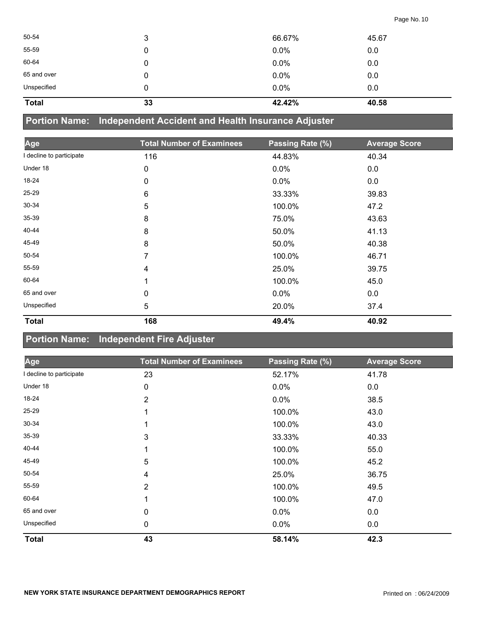| 50-54        | 3  | 66.67%  | 45.67 |
|--------------|----|---------|-------|
| 55-59        | 0  | $0.0\%$ | 0.0   |
| 60-64        | 0  | 0.0%    | 0.0   |
| 65 and over  | 0  | 0.0%    | 0.0   |
| Unspecified  | 0  | 0.0%    | 0.0   |
| <b>Total</b> | 33 | 42.42%  | 40.58 |

**Portion Name: Independent Accident and Health Insurance Adjuster**

| Age                      | <b>Total Number of Examinees</b> | Passing Rate (%) | <b>Average Score</b> |
|--------------------------|----------------------------------|------------------|----------------------|
| I decline to participate | 116                              | 44.83%           | 40.34                |
| Under 18                 | 0                                | 0.0%             | 0.0                  |
| 18-24                    | 0                                | 0.0%             | 0.0                  |
| 25-29                    | 6                                | 33.33%           | 39.83                |
| $30 - 34$                | 5                                | 100.0%           | 47.2                 |
| 35-39                    | 8                                | 75.0%            | 43.63                |
| 40-44                    | 8                                | 50.0%            | 41.13                |
| 45-49                    | 8                                | 50.0%            | 40.38                |
| 50-54                    | 7                                | 100.0%           | 46.71                |
| 55-59                    | 4                                | 25.0%            | 39.75                |
| 60-64                    | 1                                | 100.0%           | 45.0                 |
| 65 and over              | 0                                | $0.0\%$          | 0.0                  |
| Unspecified              | 5                                | 20.0%            | 37.4                 |
| <b>Total</b>             | 168                              | 49.4%            | 40.92                |

## **Portion Name: Independent Fire Adjuster**

| Age                      | <b>Total Number of Examinees</b> | Passing Rate (%) | <b>Average Score</b> |
|--------------------------|----------------------------------|------------------|----------------------|
| I decline to participate | 23                               | 52.17%           | 41.78                |
| Under 18                 | 0                                | 0.0%             | 0.0                  |
| 18-24                    | $\overline{2}$                   | 0.0%             | 38.5                 |
| $25 - 29$                |                                  | 100.0%           | 43.0                 |
| $30 - 34$                |                                  | 100.0%           | 43.0                 |
| 35-39                    | 3                                | 33.33%           | 40.33                |
| 40-44                    |                                  | 100.0%           | 55.0                 |
| 45-49                    | 5                                | 100.0%           | 45.2                 |
| 50-54                    | 4                                | 25.0%            | 36.75                |
| 55-59                    | $\overline{2}$                   | 100.0%           | 49.5                 |
| 60-64                    |                                  | 100.0%           | 47.0                 |
| 65 and over              | $\mathbf 0$                      | 0.0%             | 0.0                  |
| Unspecified              | 0                                | 0.0%             | 0.0                  |
| <b>Total</b>             | 43                               | 58.14%           | 42.3                 |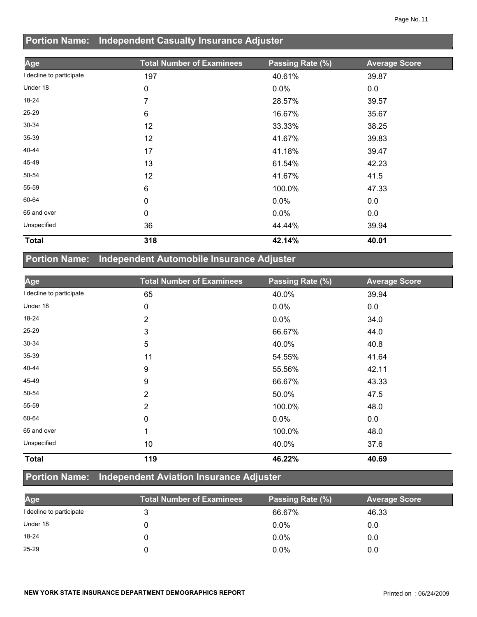#### **Portion Name: Independent Casualty Insurance Adjuster**

| Age                      | <b>Total Number of Examinees</b> | Passing Rate (%) | <b>Average Score</b> |
|--------------------------|----------------------------------|------------------|----------------------|
| I decline to participate | 197                              | 40.61%           | 39.87                |
| Under 18                 | $\mathbf 0$                      | 0.0%             | 0.0                  |
| 18-24                    | 7                                | 28.57%           | 39.57                |
| 25-29                    | 6                                | 16.67%           | 35.67                |
| 30-34                    | 12                               | 33.33%           | 38.25                |
| 35-39                    | 12                               | 41.67%           | 39.83                |
| 40-44                    | 17                               | 41.18%           | 39.47                |
| 45-49                    | 13                               | 61.54%           | 42.23                |
| 50-54                    | 12                               | 41.67%           | 41.5                 |
| 55-59                    | 6                                | 100.0%           | 47.33                |
| 60-64                    | 0                                | $0.0\%$          | 0.0                  |
| 65 and over              | 0                                | 0.0%             | 0.0                  |
| Unspecified              | 36                               | 44.44%           | 39.94                |
| <b>Total</b>             | 318                              | 42.14%           | 40.01                |

## **Portion Name: Independent Automobile Insurance Adjuster**

| Age                      | <b>Total Number of Examinees</b> | Passing Rate (%) | <b>Average Score</b> |
|--------------------------|----------------------------------|------------------|----------------------|
| I decline to participate | 65                               | 40.0%            | 39.94                |
| Under 18                 | 0                                | $0.0\%$          | 0.0                  |
| 18-24                    | 2                                | $0.0\%$          | 34.0                 |
| 25-29                    | 3                                | 66.67%           | 44.0                 |
| 30-34                    | 5                                | 40.0%            | 40.8                 |
| 35-39                    | 11                               | 54.55%           | 41.64                |
| 40-44                    | 9                                | 55.56%           | 42.11                |
| 45-49                    | 9                                | 66.67%           | 43.33                |
| 50-54                    | $\overline{2}$                   | 50.0%            | 47.5                 |
| 55-59                    | $\overline{2}$                   | 100.0%           | 48.0                 |
| 60-64                    | 0                                | $0.0\%$          | 0.0                  |
| 65 and over              | 1                                | 100.0%           | 48.0                 |
| Unspecified              | 10                               | 40.0%            | 37.6                 |
| <b>Total</b>             | 119                              | 46.22%           | 40.69                |

## **Portion Name: Independent Aviation Insurance Adjuster**

| Age                      | <b>Total Number of Examinees</b> | Passing Rate (%) | <b>Average Score</b> |
|--------------------------|----------------------------------|------------------|----------------------|
| I decline to participate |                                  | 66.67%           | 46.33                |
| Under 18                 |                                  | $0.0\%$          | 0.0                  |
| $18 - 24$                |                                  | $0.0\%$          | 0.0                  |
| $25 - 29$                |                                  | $0.0\%$          | 0.0                  |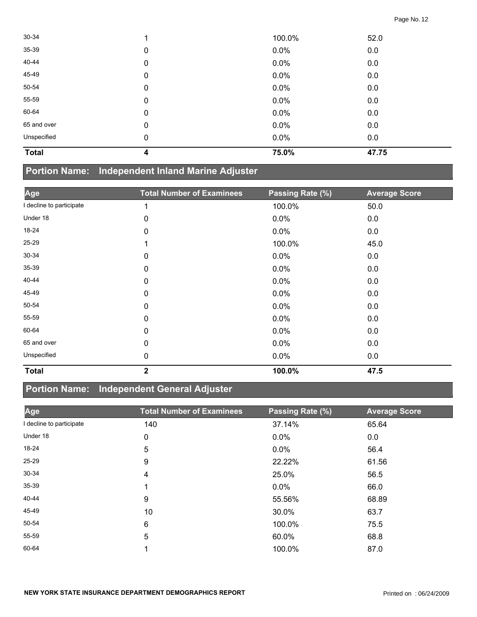| 30-34        |             | 100.0% | 52.0  |
|--------------|-------------|--------|-------|
| 35-39        | $\mathbf 0$ | 0.0%   | 0.0   |
| 40-44        | $\mathbf 0$ | 0.0%   | 0.0   |
| 45-49        | $\mathbf 0$ | 0.0%   | 0.0   |
| 50-54        | $\mathbf 0$ | 0.0%   | 0.0   |
| 55-59        | $\mathbf 0$ | 0.0%   | 0.0   |
| 60-64        | 0           | 0.0%   | 0.0   |
| 65 and over  | 0           | 0.0%   | 0.0   |
| Unspecified  | 0           | 0.0%   | 0.0   |
| <b>Total</b> | 4           | 75.0%  | 47.75 |

## **Portion Name: Independent Inland Marine Adjuster**

| Age                      | <b>Total Number of Examinees</b> | Passing Rate (%) | <b>Average Score</b> |
|--------------------------|----------------------------------|------------------|----------------------|
| I decline to participate | 1                                | 100.0%           | 50.0                 |
| Under 18                 | 0                                | 0.0%             | 0.0                  |
| 18-24                    | 0                                | 0.0%             | 0.0                  |
| $25 - 29$                | 1                                | 100.0%           | 45.0                 |
| $30 - 34$                | 0                                | 0.0%             | 0.0                  |
| 35-39                    | 0                                | $0.0\%$          | 0.0                  |
| 40-44                    | 0                                | $0.0\%$          | 0.0                  |
| 45-49                    | 0                                | $0.0\%$          | 0.0                  |
| 50-54                    | 0                                | 0.0%             | 0.0                  |
| 55-59                    | 0                                | 0.0%             | 0.0                  |
| 60-64                    | 0                                | 0.0%             | 0.0                  |
| 65 and over              | 0                                | 0.0%             | 0.0                  |
| Unspecified              | 0                                | $0.0\%$          | 0.0                  |
| <b>Total</b>             | $\overline{2}$                   | 100.0%           | 47.5                 |

## **Portion Name: Independent General Adjuster**

| Age                      | <b>Total Number of Examinees</b> | Passing Rate (%) | <b>Average Score</b> |
|--------------------------|----------------------------------|------------------|----------------------|
| I decline to participate | 140                              | 37.14%           | 65.64                |
| Under 18                 | 0                                | 0.0%             | 0.0                  |
| 18-24                    | 5                                | 0.0%             | 56.4                 |
| $25 - 29$                | 9                                | 22.22%           | 61.56                |
| 30-34                    | 4                                | 25.0%            | 56.5                 |
| $35 - 39$                |                                  | $0.0\%$          | 66.0                 |
| 40-44                    | 9                                | 55.56%           | 68.89                |
| 45-49                    | 10                               | 30.0%            | 63.7                 |
| 50-54                    | 6                                | 100.0%           | 75.5                 |
| 55-59                    | 5                                | 60.0%            | 68.8                 |
| 60-64                    |                                  | 100.0%           | 87.0                 |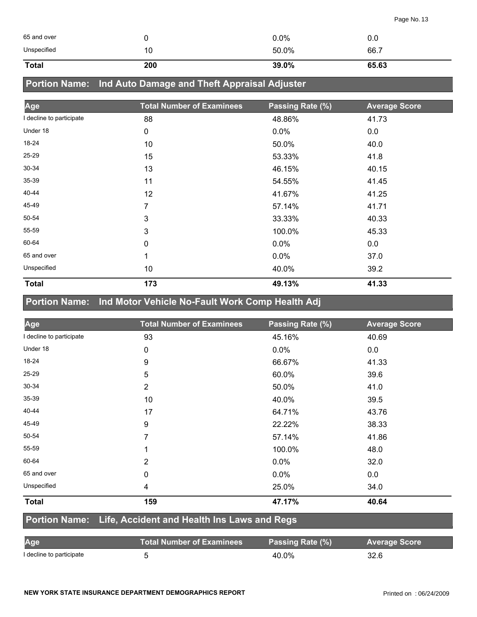| 65 and over  | ັ   | 0.0%  | 0.0   |
|--------------|-----|-------|-------|
| Unspecified  | 10  | 50.0% | 66.7  |
| <b>Total</b> | 200 | 39.0% | 65.63 |

## **Portion Name: Ind Auto Damage and Theft Appraisal Adjuster**

| Age                      | <b>Total Number of Examinees</b> | Passing Rate (%) | <b>Average Score</b> |
|--------------------------|----------------------------------|------------------|----------------------|
| I decline to participate | 88                               | 48.86%           | 41.73                |
| Under 18                 | $\pmb{0}$                        | $0.0\%$          | 0.0                  |
| 18-24                    | 10                               | 50.0%            | 40.0                 |
| $25 - 29$                | 15                               | 53.33%           | 41.8                 |
| 30-34                    | 13                               | 46.15%           | 40.15                |
| $35 - 39$                | 11                               | 54.55%           | 41.45                |
| 40-44                    | 12                               | 41.67%           | 41.25                |
| 45-49                    | 7                                | 57.14%           | 41.71                |
| 50-54                    | 3                                | 33.33%           | 40.33                |
| 55-59                    | 3                                | 100.0%           | 45.33                |
| 60-64                    | 0                                | $0.0\%$          | 0.0                  |
| 65 and over              | 1                                | 0.0%             | 37.0                 |
| Unspecified              | 10                               | 40.0%            | 39.2                 |
| <b>Total</b>             | 173                              | 49.13%           | 41.33                |

## **Portion Name: Ind Motor Vehicle No-Fault Work Comp Health Adj**

| Age                      | <b>Total Number of Examinees</b> | Passing Rate (%) | <b>Average Score</b> |
|--------------------------|----------------------------------|------------------|----------------------|
| I decline to participate | 93                               | 45.16%           | 40.69                |
| Under 18                 | 0                                | $0.0\%$          | 0.0                  |
| 18-24                    | 9                                | 66.67%           | 41.33                |
| 25-29                    | 5                                | 60.0%            | 39.6                 |
| $30 - 34$                | $\overline{2}$                   | 50.0%            | 41.0                 |
| $35 - 39$                | 10                               | 40.0%            | 39.5                 |
| 40-44                    | 17                               | 64.71%           | 43.76                |
| 45-49                    | 9                                | 22.22%           | 38.33                |
| 50-54                    | 7                                | 57.14%           | 41.86                |
| 55-59                    | 1                                | 100.0%           | 48.0                 |
| 60-64                    | $\overline{2}$                   | 0.0%             | 32.0                 |
| 65 and over              | $\mathbf 0$                      | 0.0%             | 0.0                  |
| Unspecified              | $\overline{\mathbf{4}}$          | 25.0%            | 34.0                 |
| <b>Total</b>             | 159                              | 47.17%           | 40.64                |

#### **Portion Name: Life, Accident and Health Ins Laws and Regs**

| Age                      | <b>Total Number of Examinees</b> | Passing Rate (%) | <b>Average Score</b> |
|--------------------------|----------------------------------|------------------|----------------------|
| I decline to participate |                                  | 40.0%            | 32.6                 |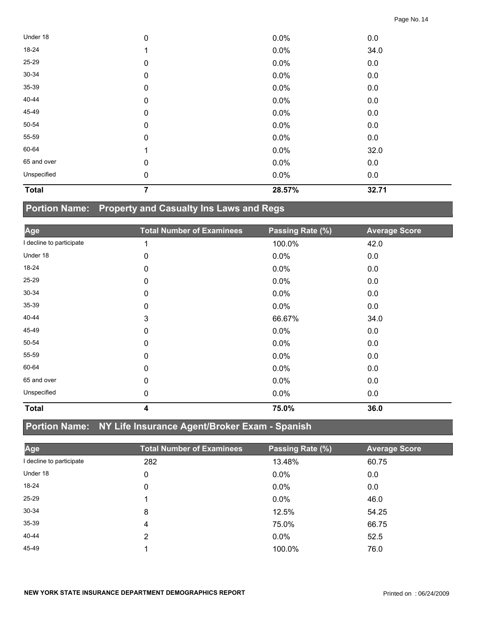| <b>Total</b> | 7         | 28.57% | 32.71 |  |
|--------------|-----------|--------|-------|--|
| Unspecified  | $\pmb{0}$ | 0.0%   | 0.0   |  |
| 65 and over  | 0         | 0.0%   | 0.0   |  |
| 60-64        | -1        | 0.0%   | 32.0  |  |
| 55-59        | $\pmb{0}$ | 0.0%   | 0.0   |  |
| 50-54        | $\pmb{0}$ | 0.0%   | 0.0   |  |
| 45-49        | 0         | 0.0%   | 0.0   |  |
| 40-44        | $\pmb{0}$ | 0.0%   | 0.0   |  |
| 35-39        | $\pmb{0}$ | 0.0%   | 0.0   |  |
| 30-34        | $\pmb{0}$ | 0.0%   | 0.0   |  |
| 25-29        | $\pmb{0}$ | 0.0%   | 0.0   |  |
| 18-24        |           | 0.0%   | 34.0  |  |
| Under 18     | $\pmb{0}$ | 0.0%   | 0.0   |  |

## **Portion Name: Property and Casualty Ins Laws and Regs**

| Age                      | <b>Total Number of Examinees</b> | Passing Rate (%) | <b>Average Score</b> |
|--------------------------|----------------------------------|------------------|----------------------|
| I decline to participate | 1                                | 100.0%           | 42.0                 |
| Under 18                 | 0                                | 0.0%             | 0.0                  |
| 18-24                    | 0                                | 0.0%             | 0.0                  |
| 25-29                    | 0                                | 0.0%             | 0.0                  |
| 30-34                    | 0                                | 0.0%             | 0.0                  |
| 35-39                    | 0                                | 0.0%             | 0.0                  |
| 40-44                    | 3                                | 66.67%           | 34.0                 |
| 45-49                    | 0                                | 0.0%             | 0.0                  |
| 50-54                    | 0                                | 0.0%             | 0.0                  |
| 55-59                    | 0                                | 0.0%             | 0.0                  |
| 60-64                    | 0                                | 0.0%             | 0.0                  |
| 65 and over              | 0                                | 0.0%             | 0.0                  |
| Unspecified              | 0                                | 0.0%             | 0.0                  |
| <b>Total</b>             | 4                                | 75.0%            | 36.0                 |

## **Portion Name: NY Life Insurance Agent/Broker Exam - Spanish**

| Age                      | <b>Total Number of Examinees</b> | Passing Rate (%) | <b>Average Score</b> |
|--------------------------|----------------------------------|------------------|----------------------|
| I decline to participate | 282                              | 13.48%           | 60.75                |
| Under 18                 | 0                                | $0.0\%$          | 0.0                  |
| $18-24$                  | 0                                | $0.0\%$          | 0.0                  |
| 25-29                    |                                  | $0.0\%$          | 46.0                 |
| 30-34                    | 8                                | 12.5%            | 54.25                |
| $35 - 39$                | 4                                | 75.0%            | 66.75                |
| 40-44                    | $\overline{2}$                   | 0.0%             | 52.5                 |
| 45-49                    |                                  | 100.0%           | 76.0                 |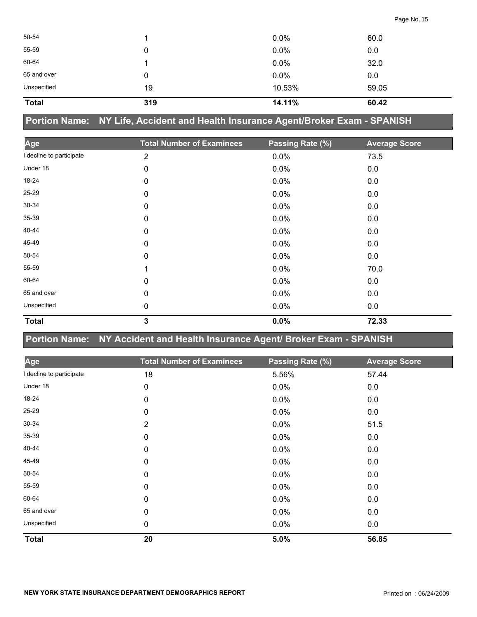| <b>Total</b> | 319 | 14.11%  | 60.42 |
|--------------|-----|---------|-------|
| Unspecified  | 19  | 10.53%  | 59.05 |
| 65 and over  | 0   | 0.0%    | 0.0   |
| 60-64        |     | $0.0\%$ | 32.0  |
| 55-59        | 0   | 0.0%    | 0.0   |
| 50-54        |     | $0.0\%$ | 60.0  |
|              |     |         |       |

**Portion Name: NY Life, Accident and Health Insurance Agent/Broker Exam - SPANISH**

| Age                      | <b>Total Number of Examinees</b> | Passing Rate (%) | <b>Average Score</b> |
|--------------------------|----------------------------------|------------------|----------------------|
| I decline to participate | $\overline{2}$                   | 0.0%             | 73.5                 |
| Under 18                 | 0                                | 0.0%             | 0.0                  |
| 18-24                    | 0                                | 0.0%             | 0.0                  |
| 25-29                    | 0                                | 0.0%             | 0.0                  |
| 30-34                    | 0                                | 0.0%             | 0.0                  |
| 35-39                    | 0                                | 0.0%             | 0.0                  |
| 40-44                    | 0                                | 0.0%             | 0.0                  |
| 45-49                    | 0                                | 0.0%             | 0.0                  |
| 50-54                    | 0                                | 0.0%             | 0.0                  |
| 55-59                    | 1                                | 0.0%             | 70.0                 |
| 60-64                    | 0                                | 0.0%             | 0.0                  |
| 65 and over              | 0                                | 0.0%             | 0.0                  |
| Unspecified              | 0                                | 0.0%             | 0.0                  |
| <b>Total</b>             | 3                                | 0.0%             | 72.33                |

**Portion Name: NY Accident and Health Insurance Agent/ Broker Exam - SPANISH**

| Age                      | <b>Total Number of Examinees</b> | Passing Rate (%) | <b>Average Score</b> |
|--------------------------|----------------------------------|------------------|----------------------|
| I decline to participate | 18                               | 5.56%            | 57.44                |
| Under 18                 | 0                                | 0.0%             | 0.0                  |
| 18-24                    | 0                                | 0.0%             | 0.0                  |
| 25-29                    | 0                                | 0.0%             | 0.0                  |
| 30-34                    | $\overline{2}$                   | 0.0%             | 51.5                 |
| 35-39                    | 0                                | 0.0%             | 0.0                  |
| 40-44                    | 0                                | 0.0%             | 0.0                  |
| 45-49                    | 0                                | $0.0\%$          | 0.0                  |
| 50-54                    | 0                                | 0.0%             | 0.0                  |
| 55-59                    | 0                                | 0.0%             | 0.0                  |
| 60-64                    | $\mathbf 0$                      | 0.0%             | 0.0                  |
| 65 and over              | 0                                | 0.0%             | 0.0                  |
| Unspecified              | 0                                | 0.0%             | 0.0                  |
| <b>Total</b>             | 20                               | 5.0%             | 56.85                |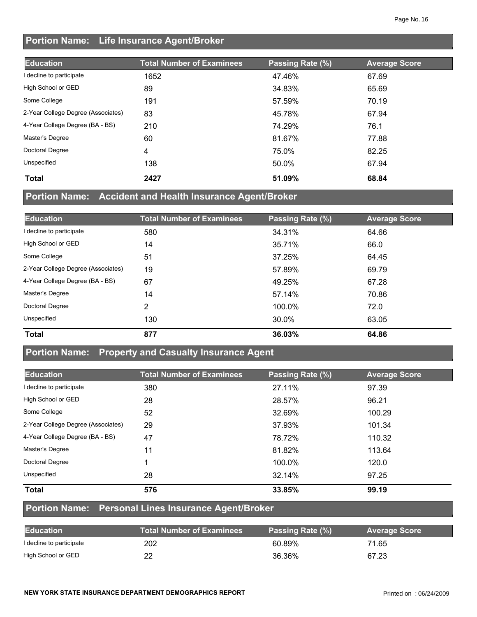### **Portion Name: Life Insurance Agent/Broker**

| <b>Education</b>                   | <b>Total Number of Examinees</b> | Passing Rate (%) | <b>Average Score</b> |
|------------------------------------|----------------------------------|------------------|----------------------|
| decline to participate             | 1652                             | 47.46%           | 67.69                |
| High School or GED                 | 89                               | 34.83%           | 65.69                |
| Some College                       | 191                              | 57.59%           | 70.19                |
| 2-Year College Degree (Associates) | 83                               | 45.78%           | 67.94                |
| 4-Year College Degree (BA - BS)    | 210                              | 74.29%           | 76.1                 |
| Master's Degree                    | 60                               | 81.67%           | 77.88                |
| Doctoral Degree                    | 4                                | 75.0%            | 82.25                |
| Unspecified                        | 138                              | 50.0%            | 67.94                |
| <b>Total</b>                       | 2427                             | 51.09%           | 68.84                |

### **Portion Name: Accident and Health Insurance Agent/Broker**

| <b>Education</b>                   | <b>Total Number of Examinees</b> | Passing Rate (%) | <b>Average Score</b> |
|------------------------------------|----------------------------------|------------------|----------------------|
| I decline to participate           | 580                              | 34.31%           | 64.66                |
| High School or GED                 | 14                               | 35.71%           | 66.0                 |
| Some College                       | 51                               | 37.25%           | 64.45                |
| 2-Year College Degree (Associates) | 19                               | 57.89%           | 69.79                |
| 4-Year College Degree (BA - BS)    | 67                               | 49.25%           | 67.28                |
| Master's Degree                    | 14                               | 57.14%           | 70.86                |
| Doctoral Degree                    | 2                                | 100.0%           | 72.0                 |
| Unspecified                        | 130                              | 30.0%            | 63.05                |
| <b>Total</b>                       | 877                              | 36.03%           | 64.86                |

#### **Portion Name: Property and Casualty Insurance Agent**

| <b>Education</b>                   | <b>Total Number of Examinees</b> | Passing Rate (%) | <b>Average Score</b> |
|------------------------------------|----------------------------------|------------------|----------------------|
| I decline to participate           | 380                              | 27.11%           | 97.39                |
| High School or GED                 | 28                               | 28.57%           | 96.21                |
| Some College                       | 52                               | 32.69%           | 100.29               |
| 2-Year College Degree (Associates) | 29                               | 37.93%           | 101.34               |
| 4-Year College Degree (BA - BS)    | 47                               | 78.72%           | 110.32               |
| Master's Degree                    | 11                               | 81.82%           | 113.64               |
| Doctoral Degree                    |                                  | 100.0%           | 120.0                |
| Unspecified                        | 28                               | 32.14%           | 97.25                |
| <b>Total</b>                       | 576                              | 33.85%           | 99.19                |

#### **Portion Name: Personal Lines Insurance Agent/Broker**

| <b>Education</b>         | <b>Total Number of Examinees</b> | Passing Rate (%) | <b>Average Score</b> |
|--------------------------|----------------------------------|------------------|----------------------|
| I decline to participate | 202                              | 60.89%           | 71.65                |
| High School or GED       |                                  | 36.36%           | 67.23                |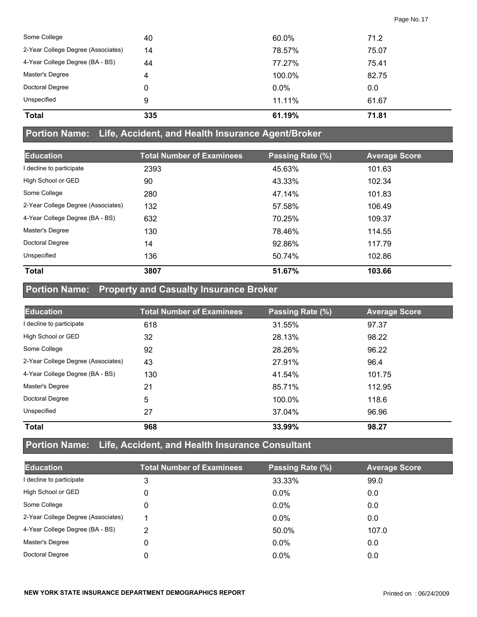| Some College                       | 40  | 60.0%   | 71.2  |
|------------------------------------|-----|---------|-------|
| 2-Year College Degree (Associates) | 14  | 78.57%  | 75.07 |
| 4-Year College Degree (BA - BS)    | 44  | 77.27%  | 75.41 |
| Master's Degree                    | 4   | 100.0%  | 82.75 |
| Doctoral Degree                    | 0   | $0.0\%$ | 0.0   |
| Unspecified                        | 9   | 11.11%  | 61.67 |
| <b>Total</b>                       | 335 | 61.19%  | 71.81 |

#### **Portion Name: Life, Accident, and Health Insurance Agent/Broker**

| <b>Education</b>                   | <b>Total Number of Examinees</b> | Passing Rate (%) | <b>Average Score</b> |
|------------------------------------|----------------------------------|------------------|----------------------|
| I decline to participate           | 2393                             | 45.63%           | 101.63               |
| High School or GED                 | 90                               | 43.33%           | 102.34               |
| Some College                       | 280                              | 47.14%           | 101.83               |
| 2-Year College Degree (Associates) | 132                              | 57.58%           | 106.49               |
| 4-Year College Degree (BA - BS)    | 632                              | 70.25%           | 109.37               |
| Master's Degree                    | 130                              | 78.46%           | 114.55               |
| Doctoral Degree                    | 14                               | 92.86%           | 117.79               |
| Unspecified                        | 136                              | 50.74%           | 102.86               |
| <b>Total</b>                       | 3807                             | 51.67%           | 103.66               |

## **Portion Name: Property and Casualty Insurance Broker**

| <b>Education</b>                   | <b>Total Number of Examinees</b> | Passing Rate (%) | <b>Average Score</b> |
|------------------------------------|----------------------------------|------------------|----------------------|
| I decline to participate           | 618                              | 31.55%           | 97.37                |
| High School or GED                 | 32                               | 28.13%           | 98.22                |
| Some College                       | 92                               | 28.26%           | 96.22                |
| 2-Year College Degree (Associates) | 43                               | 27.91%           | 96.4                 |
| 4-Year College Degree (BA - BS)    | 130                              | 41.54%           | 101.75               |
| Master's Degree                    | 21                               | 85.71%           | 112.95               |
| Doctoral Degree                    | 5                                | 100.0%           | 118.6                |
| Unspecified                        | 27                               | 37.04%           | 96.96                |
| <b>Total</b>                       | 968                              | 33.99%           | 98.27                |

## **Portion Name: Life, Accident, and Health Insurance Consultant**

| <b>Education</b>                   | <b>Total Number of Examinees</b> | Passing Rate (%) | <b>Average Score</b> |
|------------------------------------|----------------------------------|------------------|----------------------|
| I decline to participate           | 3                                | 33.33%           | 99.0                 |
| High School or GED                 | 0                                | $0.0\%$          | 0.0                  |
| Some College                       | 0                                | $0.0\%$          | 0.0                  |
| 2-Year College Degree (Associates) |                                  | $0.0\%$          | 0.0                  |
| 4-Year College Degree (BA - BS)    | っ                                | 50.0%            | 107.0                |
| Master's Degree                    |                                  | $0.0\%$          | 0.0                  |
| Doctoral Degree                    |                                  | $0.0\%$          | 0.0                  |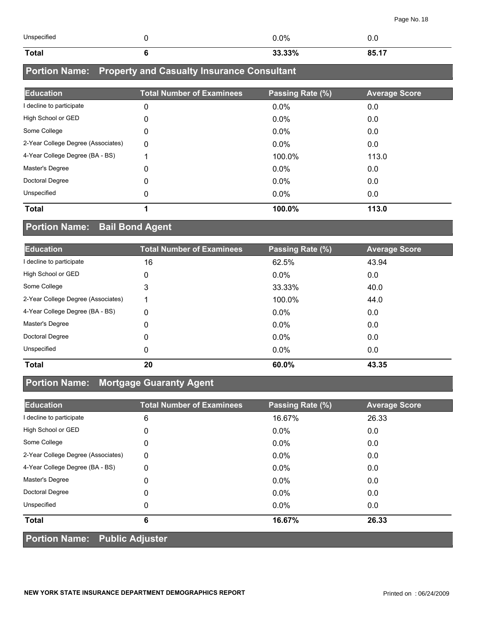| Unspecified  | $0.0\%$ | v.u   |
|--------------|---------|-------|
| <b>Total</b> | 33.33%  | 85.17 |

## **Portion Name: Property and Casualty Insurance Consultant**

| <b>Education</b>                   | <b>Total Number of Examinees</b> | Passing Rate (%) | <b>Average Score</b> |
|------------------------------------|----------------------------------|------------------|----------------------|
| I decline to participate           | 0                                | $0.0\%$          | 0.0                  |
| High School or GED                 | 0                                | $0.0\%$          | 0.0                  |
| Some College                       | 0                                | $0.0\%$          | 0.0                  |
| 2-Year College Degree (Associates) | 0                                | 0.0%             | 0.0                  |
| 4-Year College Degree (BA - BS)    |                                  | 100.0%           | 113.0                |
| Master's Degree                    | 0                                | $0.0\%$          | 0.0                  |
| Doctoral Degree                    | 0                                | $0.0\%$          | 0.0                  |
| Unspecified                        | 0                                | $0.0\%$          | 0.0                  |
| <b>Total</b>                       |                                  | 100.0%           | 113.0                |

## **Portion Name: Bail Bond Agent**

| <b>Education</b>                   | <b>Total Number of Examinees</b> | Passing Rate (%) | <b>Average Score</b> |
|------------------------------------|----------------------------------|------------------|----------------------|
| I decline to participate           | 16                               | 62.5%            | 43.94                |
| High School or GED                 | 0                                | $0.0\%$          | 0.0                  |
| Some College                       | 3                                | 33.33%           | 40.0                 |
| 2-Year College Degree (Associates) | 1                                | 100.0%           | 44.0                 |
| 4-Year College Degree (BA - BS)    | 0                                | $0.0\%$          | 0.0                  |
| Master's Degree                    | 0                                | $0.0\%$          | 0.0                  |
| Doctoral Degree                    | $\Omega$                         | $0.0\%$          | 0.0                  |
| Unspecified                        | 0                                | $0.0\%$          | 0.0                  |
| <b>Total</b>                       | 20                               | 60.0%            | 43.35                |

#### **Portion Name: Mortgage Guaranty Agent**

| <b>Education</b>                     | <b>Total Number of Examinees</b> | Passing Rate (%) | <b>Average Score</b> |  |
|--------------------------------------|----------------------------------|------------------|----------------------|--|
| I decline to participate             | 6                                | 16.67%           | 26.33                |  |
| High School or GED                   | 0                                | $0.0\%$          | 0.0                  |  |
| Some College                         | 0                                | $0.0\%$          | 0.0                  |  |
| 2-Year College Degree (Associates)   | 0                                | $0.0\%$          | 0.0                  |  |
| 4-Year College Degree (BA - BS)      | 0                                | 0.0%             | 0.0                  |  |
| Master's Degree                      | 0                                | $0.0\%$          | 0.0                  |  |
| Doctoral Degree                      | 0                                | $0.0\%$          | 0.0                  |  |
| Unspecified                          | 0                                | $0.0\%$          | 0.0                  |  |
| <b>Total</b>                         | 6                                | 16.67%           | 26.33                |  |
| <b>Portion Name: Public Adjuster</b> |                                  |                  |                      |  |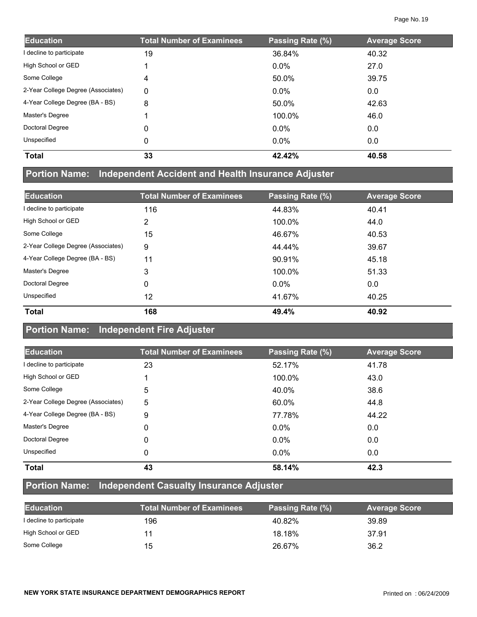| <b>Education</b>                   | <b>Total Number of Examinees</b> | Passing Rate (%) | <b>Average Score</b> |
|------------------------------------|----------------------------------|------------------|----------------------|
| I decline to participate           | 19                               | 36.84%           | 40.32                |
| High School or GED                 |                                  | $0.0\%$          | 27.0                 |
| Some College                       | 4                                | 50.0%            | 39.75                |
| 2-Year College Degree (Associates) | 0                                | $0.0\%$          | 0.0                  |
| 4-Year College Degree (BA - BS)    | 8                                | 50.0%            | 42.63                |
| Master's Degree                    |                                  | 100.0%           | 46.0                 |
| Doctoral Degree                    | $\Omega$                         | $0.0\%$          | 0.0                  |
| Unspecified                        | 0                                | $0.0\%$          | 0.0                  |
| <b>Total</b>                       | 33                               | 42.42%           | 40.58                |

## **Portion Name: Independent Accident and Health Insurance Adjuster**

| <b>Education</b>                   | <b>Total Number of Examinees</b> | Passing Rate (%) | <b>Average Score</b> |
|------------------------------------|----------------------------------|------------------|----------------------|
| I decline to participate           | 116                              | 44.83%           | 40.41                |
| High School or GED                 | 2                                | 100.0%           | 44.0                 |
| Some College                       | 15                               | 46.67%           | 40.53                |
| 2-Year College Degree (Associates) | 9                                | 44.44%           | 39.67                |
| 4-Year College Degree (BA - BS)    | 11                               | 90.91%           | 45.18                |
| Master's Degree                    | 3                                | 100.0%           | 51.33                |
| Doctoral Degree                    | 0                                | $0.0\%$          | 0.0                  |
| Unspecified                        | 12                               | 41.67%           | 40.25                |
| <b>Total</b>                       | 168                              | 49.4%            | 40.92                |

#### **Portion Name: Independent Fire Adjuster**

| <b>Education</b>                   | <b>Total Number of Examinees</b> | Passing Rate (%) | <b>Average Score</b> |
|------------------------------------|----------------------------------|------------------|----------------------|
| I decline to participate           | 23                               | 52.17%           | 41.78                |
| High School or GED                 |                                  | 100.0%           | 43.0                 |
| Some College                       | 5                                | 40.0%            | 38.6                 |
| 2-Year College Degree (Associates) | 5                                | 60.0%            | 44.8                 |
| 4-Year College Degree (BA - BS)    | 9                                | 77.78%           | 44.22                |
| Master's Degree                    | 0                                | $0.0\%$          | 0.0                  |
| Doctoral Degree                    | 0                                | $0.0\%$          | 0.0                  |
| Unspecified                        | 0                                | $0.0\%$          | 0.0                  |
| <b>Total</b>                       | 43                               | 58.14%           | 42.3                 |

#### **Portion Name: Independent Casualty Insurance Adjuster**

| <b>Education</b>         | <b>Total Number of Examinees</b> | Passing Rate (%) | <b>Average Score</b> |
|--------------------------|----------------------------------|------------------|----------------------|
| I decline to participate | 196                              | 40.82%           | 39.89                |
| High School or GED       | 11                               | 18.18%           | 37.91                |
| Some College             | 15                               | 26.67%           | 36.2                 |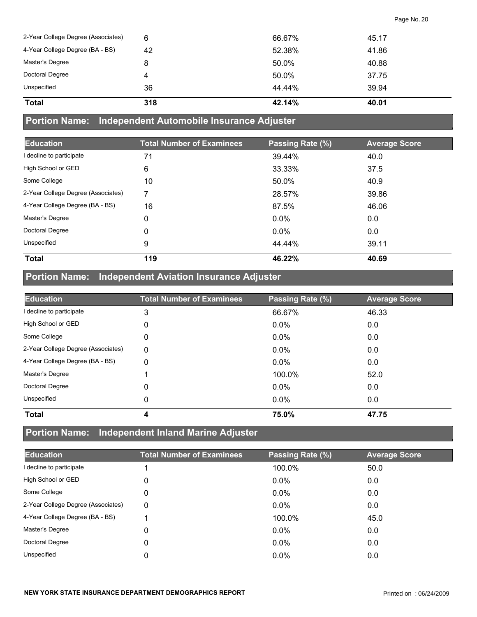| <b>Total</b>                       | 318 | 42.14% | 40.01 |
|------------------------------------|-----|--------|-------|
| Unspecified                        | 36  | 44.44% | 39.94 |
| Doctoral Degree                    |     | 50.0%  | 37.75 |
| Master's Degree                    | 8   | 50.0%  | 40.88 |
| 4-Year College Degree (BA - BS)    | 42  | 52.38% | 41.86 |
| 2-Year College Degree (Associates) | 6   | 66.67% | 45.17 |

#### **Portion Name: Independent Automobile Insurance Adjuster**

| <b>Education</b>                   | <b>Total Number of Examinees</b> | Passing Rate (%) | <b>Average Score</b> |
|------------------------------------|----------------------------------|------------------|----------------------|
| I decline to participate           | 71                               | 39.44%           | 40.0                 |
| High School or GED                 | 6                                | 33.33%           | 37.5                 |
| Some College                       | 10                               | 50.0%            | 40.9                 |
| 2-Year College Degree (Associates) | 7                                | 28.57%           | 39.86                |
| 4-Year College Degree (BA - BS)    | 16                               | 87.5%            | 46.06                |
| Master's Degree                    | 0                                | 0.0%             | 0.0                  |
| Doctoral Degree                    | 0                                | 0.0%             | 0.0                  |
| Unspecified                        | 9                                | 44.44%           | 39.11                |
| <b>Total</b>                       | 119                              | 46.22%           | 40.69                |

## **Portion Name: Independent Aviation Insurance Adjuster**

| <b>Education</b>                   | <b>Total Number of Examinees</b> | Passing Rate (%) | <b>Average Score</b> |
|------------------------------------|----------------------------------|------------------|----------------------|
| I decline to participate           | 3                                | 66.67%           | 46.33                |
| High School or GED                 | 0                                | $0.0\%$          | 0.0                  |
| Some College                       | 0                                | $0.0\%$          | 0.0                  |
| 2-Year College Degree (Associates) | $\Omega$                         | 0.0%             | 0.0                  |
| 4-Year College Degree (BA - BS)    | 0                                | $0.0\%$          | 0.0                  |
| Master's Degree                    |                                  | 100.0%           | 52.0                 |
| Doctoral Degree                    | 0                                | $0.0\%$          | 0.0                  |
| Unspecified                        | 0                                | $0.0\%$          | 0.0                  |
| <b>Total</b>                       | 4                                | 75.0%            | 47.75                |

## **Portion Name: Independent Inland Marine Adjuster**

| <b>Education</b>                   | <b>Total Number of Examinees</b> | Passing Rate (%) | <b>Average Score</b> |
|------------------------------------|----------------------------------|------------------|----------------------|
| I decline to participate           |                                  | 100.0%           | 50.0                 |
| High School or GED                 | 0                                | $0.0\%$          | 0.0                  |
| Some College                       | 0                                | $0.0\%$          | 0.0                  |
| 2-Year College Degree (Associates) | 0                                | $0.0\%$          | 0.0                  |
| 4-Year College Degree (BA - BS)    |                                  | 100.0%           | 45.0                 |
| Master's Degree                    | 0                                | $0.0\%$          | 0.0                  |
| Doctoral Degree                    | 0                                | $0.0\%$          | 0.0                  |
| Unspecified                        | 0                                | $0.0\%$          | 0.0                  |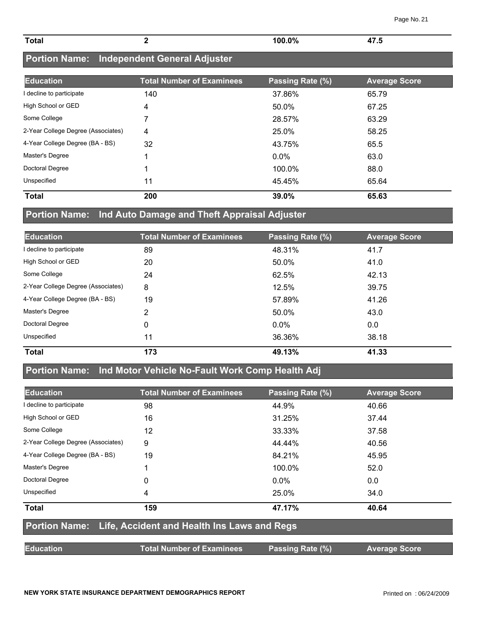| <b>Total</b>             |                                            | $100.0\%$        | 47.5                 |
|--------------------------|--------------------------------------------|------------------|----------------------|
|                          | Portion Name: Independent General Adjuster |                  |                      |
| <b>Education</b>         | <b>Total Number of Examinees</b>           | Passing Rate (%) | <b>Average Score</b> |
| I decline to participate | 140                                        | 37.86%           | 65.79                |
| High School or GED       |                                            | 50.0%            | 67.25                |

Some College 7 28.57% 63.29 2-Year College Degree (Associates) 4 25.0% 58.25

| <b>Total</b>                    | 200 | 39.0%   | 65.63 |
|---------------------------------|-----|---------|-------|
| Unspecified                     | 11  | 45.45%  | 65.64 |
| Doctoral Degree                 |     | 100.0%  | 88.0  |
| Master's Degree                 |     | $0.0\%$ | 63.0  |
| 4-Year College Degree (BA - BS) | 32  | 43.75%  | 65.5  |

#### **Portion Name: Ind Auto Damage and Theft Appraisal Adjuster**

| <b>Education</b>                   | <b>Total Number of Examinees</b> | Passing Rate (%) | <b>Average Score</b> |
|------------------------------------|----------------------------------|------------------|----------------------|
| I decline to participate           | 89                               | 48.31%           | 41.7                 |
| High School or GED                 | 20                               | 50.0%            | 41.0                 |
| Some College                       | 24                               | 62.5%            | 42.13                |
| 2-Year College Degree (Associates) | 8                                | 12.5%            | 39.75                |
| 4-Year College Degree (BA - BS)    | 19                               | 57.89%           | 41.26                |
| Master's Degree                    | 2                                | 50.0%            | 43.0                 |
| <b>Doctoral Degree</b>             | 0                                | $0.0\%$          | 0.0                  |
| Unspecified                        | 11                               | 36.36%           | 38.18                |
| <b>Total</b>                       | 173                              | 49.13%           | 41.33                |

### **Portion Name: Ind Motor Vehicle No-Fault Work Comp Health Adj**

| <b>Education</b>                   | <b>Total Number of Examinees</b>                          | Passing Rate (%) | <b>Average Score</b> |  |  |
|------------------------------------|-----------------------------------------------------------|------------------|----------------------|--|--|
| I decline to participate           | 98                                                        | 44.9%            | 40.66                |  |  |
| High School or GED                 | 16                                                        | 31.25%           | 37.44                |  |  |
| Some College                       | 12                                                        | 33.33%           | 37.58                |  |  |
| 2-Year College Degree (Associates) | 9                                                         | 44.44%           | 40.56                |  |  |
| 4-Year College Degree (BA - BS)    | 19                                                        | 84.21%           | 45.95                |  |  |
| Master's Degree                    |                                                           | 100.0%           | 52.0                 |  |  |
| Doctoral Degree                    | 0                                                         | $0.0\%$          | 0.0                  |  |  |
| Unspecified                        | 4                                                         | 25.0%            | 34.0                 |  |  |
| <b>Total</b>                       | 159                                                       | 47.17%           | 40.64                |  |  |
|                                    | Portion Name: Life, Accident and Health Ins Laws and Regs |                  |                      |  |  |
| <b>Education</b>                   | <b>Total Number of Examinees</b>                          | Passing Rate (%) | <b>Average Score</b> |  |  |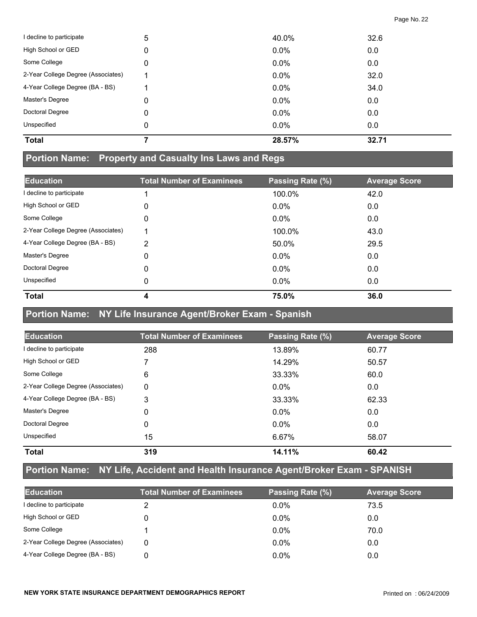| <b>Total</b>                       |   | 28.57%  | 32.71 |
|------------------------------------|---|---------|-------|
| Unspecified                        | 0 | 0.0%    | 0.0   |
| Doctoral Degree                    | 0 | $0.0\%$ | 0.0   |
| Master's Degree                    | 0 | $0.0\%$ | 0.0   |
| 4-Year College Degree (BA - BS)    |   | $0.0\%$ | 34.0  |
| 2-Year College Degree (Associates) |   | 0.0%    | 32.0  |
| Some College                       | 0 | $0.0\%$ | 0.0   |
| High School or GED                 | 0 | $0.0\%$ | 0.0   |
| I decline to participate           | 5 | 40.0%   | 32.6  |

#### **Portion Name: Property and Casualty Ins Laws and Regs**

| <b>Education</b>                   | <b>Total Number of Examinees</b> | Passing Rate (%) | <b>Average Score</b> |
|------------------------------------|----------------------------------|------------------|----------------------|
| I decline to participate           |                                  | 100.0%           | 42.0                 |
| High School or GED                 | 0                                | $0.0\%$          | 0.0                  |
| Some College                       | 0                                | $0.0\%$          | 0.0                  |
| 2-Year College Degree (Associates) | 4                                | 100.0%           | 43.0                 |
| 4-Year College Degree (BA - BS)    | 2                                | 50.0%            | 29.5                 |
| Master's Degree                    | 0                                | $0.0\%$          | 0.0                  |
| Doctoral Degree                    | 0                                | $0.0\%$          | 0.0                  |
| Unspecified                        | 0                                | $0.0\%$          | 0.0                  |
| <b>Total</b>                       | 4                                | 75.0%            | 36.0                 |

#### **Portion Name: NY Life Insurance Agent/Broker Exam - Spanish**

| <b>Education</b>                   | <b>Total Number of Examinees</b> | Passing Rate (%) | <b>Average Score</b> |
|------------------------------------|----------------------------------|------------------|----------------------|
| I decline to participate           | 288                              | 13.89%           | 60.77                |
| High School or GED                 |                                  | 14.29%           | 50.57                |
| Some College                       | 6                                | 33.33%           | 60.0                 |
| 2-Year College Degree (Associates) | $\Omega$                         | $0.0\%$          | 0.0                  |
| 4-Year College Degree (BA - BS)    | 3                                | 33.33%           | 62.33                |
| Master's Degree                    | 0                                | $0.0\%$          | 0.0                  |
| Doctoral Degree                    | 0                                | $0.0\%$          | 0.0                  |
| Unspecified                        | 15                               | 6.67%            | 58.07                |
| <b>Total</b>                       | 319                              | 14.11%           | 60.42                |

## **Portion Name: NY Life, Accident and Health Insurance Agent/Broker Exam - SPANISH**

| <b>Education</b>                   | <b>Total Number of Examinees</b> | Passing Rate (%) | <b>Average Score</b> |
|------------------------------------|----------------------------------|------------------|----------------------|
| I decline to participate           |                                  | $0.0\%$          | 73.5                 |
| High School or GED                 |                                  | $0.0\%$          | 0.0                  |
| Some College                       |                                  | $0.0\%$          | 70.0                 |
| 2-Year College Degree (Associates) | 0                                | $0.0\%$          | 0.0                  |
| 4-Year College Degree (BA - BS)    |                                  | $0.0\%$          | 0.0                  |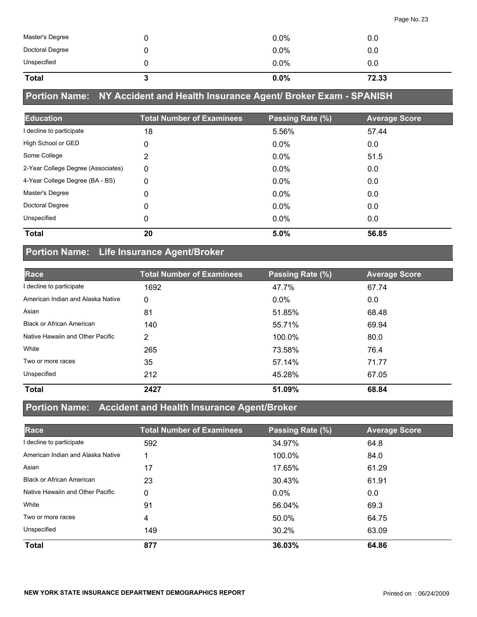| <b>Total</b>    | $0.0\%$ | 72.33 |  |
|-----------------|---------|-------|--|
| Unspecified     | $0.0\%$ | 0.0   |  |
| Doctoral Degree | 0.0%    | 0.0   |  |
| Master's Degree | $0.0\%$ | 0.0   |  |

## **Portion Name: NY Accident and Health Insurance Agent/ Broker Exam - SPANISH**

| <b>Education</b>                   | <b>Total Number of Examinees</b> | Passing Rate (%) | <b>Average Score</b> |
|------------------------------------|----------------------------------|------------------|----------------------|
| I decline to participate           | 18                               | 5.56%            | 57.44                |
| High School or GED                 | 0                                | $0.0\%$          | 0.0                  |
| Some College                       | 2                                | $0.0\%$          | 51.5                 |
| 2-Year College Degree (Associates) | 0                                | $0.0\%$          | 0.0                  |
| 4-Year College Degree (BA - BS)    | 0                                | $0.0\%$          | 0.0                  |
| Master's Degree                    | 0                                | $0.0\%$          | 0.0                  |
| Doctoral Degree                    | 0                                | $0.0\%$          | 0.0                  |
| Unspecified                        | 0                                | $0.0\%$          | 0.0                  |
| <b>Total</b>                       | 20                               | 5.0%             | 56.85                |

## **Portion Name: Life Insurance Agent/Broker**

| Race                              | <b>Total Number of Examinees</b> | Passing Rate (%) | <b>Average Score</b> |
|-----------------------------------|----------------------------------|------------------|----------------------|
| I decline to participate          | 1692                             | 47.7%            | 67.74                |
| American Indian and Alaska Native | 0                                | $0.0\%$          | 0.0                  |
| Asian                             | 81                               | 51.85%           | 68.48                |
| <b>Black or African American</b>  | 140                              | 55.71%           | 69.94                |
| Native Hawaiin and Other Pacific  | 2                                | 100.0%           | 80.0                 |
| White                             | 265                              | 73.58%           | 76.4                 |
| Two or more races                 | 35                               | 57.14%           | 71.77                |
| Unspecified                       | 212                              | 45.28%           | 67.05                |
| <b>Total</b>                      | 2427                             | 51.09%           | 68.84                |

#### **Portion Name: Accident and Health Insurance Agent/Broker**

| Race                              | <b>Total Number of Examinees</b> | Passing Rate (%) | <b>Average Score</b> |
|-----------------------------------|----------------------------------|------------------|----------------------|
| decline to participate            | 592                              | 34.97%           | 64.8                 |
| American Indian and Alaska Native |                                  | 100.0%           | 84.0                 |
| Asian                             | 17                               | 17.65%           | 61.29                |
| <b>Black or African American</b>  | 23                               | 30.43%           | 61.91                |
| Native Hawaiin and Other Pacific  | 0                                | $0.0\%$          | 0.0                  |
| White                             | 91                               | 56.04%           | 69.3                 |
| Two or more races                 | 4                                | 50.0%            | 64.75                |
| Unspecified                       | 149                              | 30.2%            | 63.09                |
| <b>Total</b>                      | 877                              | 36.03%           | 64.86                |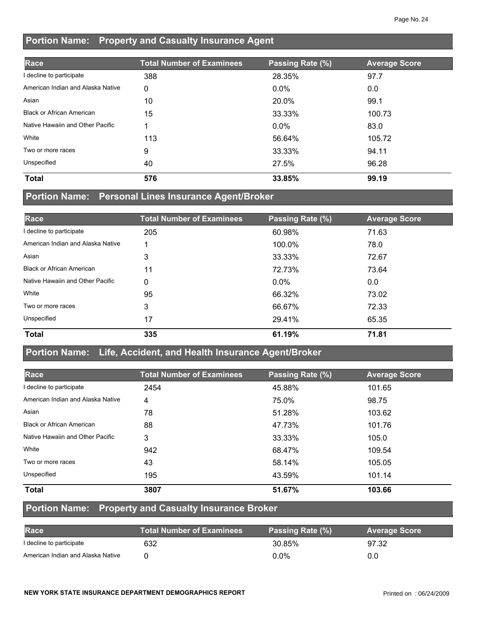### **Portion Name: Property and Casualty Insurance Agent**

| Race                              | <b>Total Number of Examinees</b> | Passing Rate (%) | <b>Average Score</b> |
|-----------------------------------|----------------------------------|------------------|----------------------|
| I decline to participate          | 388                              | 28.35%           | 97.7                 |
| American Indian and Alaska Native | 0                                | $0.0\%$          | 0.0                  |
| Asian                             | 10                               | 20.0%            | 99.1                 |
| <b>Black or African American</b>  | 15                               | 33.33%           | 100.73               |
| Native Hawaiin and Other Pacific  |                                  | $0.0\%$          | 83.0                 |
| White                             | 113                              | 56.64%           | 105.72               |
| Two or more races                 | 9                                | 33.33%           | 94.11                |
| Unspecified                       | 40                               | 27.5%            | 96.28                |
| <b>Total</b>                      | 576                              | 33.85%           | 99.19                |

#### **Portion Name: Personal Lines Insurance Agent/Broker**

| Race                              | <b>Total Number of Examinees</b> | Passing Rate (%) | <b>Average Score</b> |
|-----------------------------------|----------------------------------|------------------|----------------------|
| I decline to participate          | 205                              | 60.98%           | 71.63                |
| American Indian and Alaska Native |                                  | 100.0%           | 78.0                 |
| Asian                             | 3                                | 33.33%           | 72.67                |
| <b>Black or African American</b>  | 11                               | 72.73%           | 73.64                |
| Native Hawaiin and Other Pacific  | 0                                | $0.0\%$          | 0.0                  |
| White                             | 95                               | 66.32%           | 73.02                |
| Two or more races                 | 3                                | 66.67%           | 72.33                |
| Unspecified                       | 17                               | 29.41%           | 65.35                |
| <b>Total</b>                      | 335                              | 61.19%           | 71.81                |

#### **Portion Name: Life, Accident, and Health Insurance Agent/Broker**

| Race                              | <b>Total Number of Examinees</b> | Passing Rate (%) | <b>Average Score</b> |
|-----------------------------------|----------------------------------|------------------|----------------------|
| decline to participate            | 2454                             | 45.88%           | 101.65               |
| American Indian and Alaska Native | 4                                | 75.0%            | 98.75                |
| Asian                             | 78                               | 51.28%           | 103.62               |
| <b>Black or African American</b>  | 88                               | 47.73%           | 101.76               |
| Native Hawaiin and Other Pacific  | 3                                | 33.33%           | 105.0                |
| White                             | 942                              | 68.47%           | 109.54               |
| Two or more races                 | 43                               | 58.14%           | 105.05               |
| Unspecified                       | 195                              | 43.59%           | 101.14               |
| <b>Total</b>                      | 3807                             | 51.67%           | 103.66               |

#### **Portion Name: Property and Casualty Insurance Broker**

| <b>Race</b>                       | <b>Total Number of Examinees</b> | Passing Rate (%) | <b>Average Score</b> |
|-----------------------------------|----------------------------------|------------------|----------------------|
| I decline to participate          | 632                              | 30.85%           | 97.32                |
| American Indian and Alaska Native |                                  | $0.0\%$          | 0.0                  |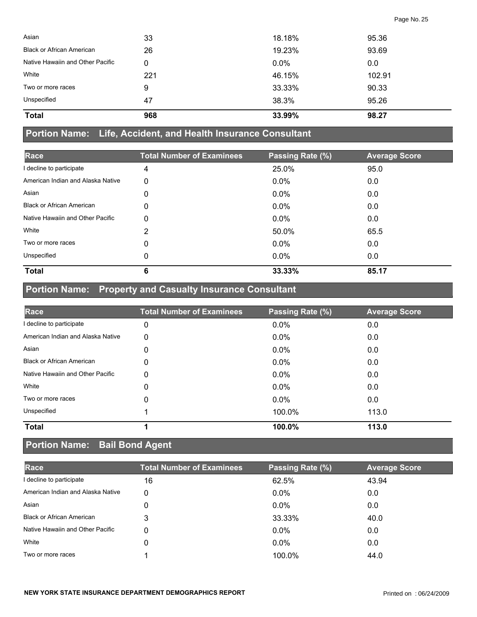| 47  | 38.3%   | 95.26  |
|-----|---------|--------|
| 9   | 33.33%  | 90.33  |
| 221 | 46.15%  | 102.91 |
| 0   | $0.0\%$ | 0.0    |
| 26  | 19.23%  | 93.69  |
| 33  | 18.18%  | 95.36  |
|     |         |        |

#### **Portion Name: Life, Accident, and Health Insurance Consultant**

| Race                              | <b>Total Number of Examinees</b> | Passing Rate (%) | <b>Average Score</b> |
|-----------------------------------|----------------------------------|------------------|----------------------|
| I decline to participate          | 4                                | 25.0%            | 95.0                 |
| American Indian and Alaska Native | 0                                | $0.0\%$          | 0.0                  |
| Asian                             | 0                                | $0.0\%$          | 0.0                  |
| <b>Black or African American</b>  | 0                                | $0.0\%$          | 0.0                  |
| Native Hawaiin and Other Pacific  | 0                                | $0.0\%$          | 0.0                  |
| White                             | 2                                | 50.0%            | 65.5                 |
| Two or more races                 | 0                                | $0.0\%$          | 0.0                  |
| Unspecified                       | 0                                | $0.0\%$          | 0.0                  |
| <b>Total</b>                      | 6                                | 33.33%           | 85.17                |

## **Portion Name: Property and Casualty Insurance Consultant**

| Race                              | <b>Total Number of Examinees</b> | Passing Rate (%) | <b>Average Score</b> |
|-----------------------------------|----------------------------------|------------------|----------------------|
| I decline to participate          | 0                                | 0.0%             | 0.0                  |
| American Indian and Alaska Native | 0                                | 0.0%             | 0.0                  |
| Asian                             | 0                                | $0.0\%$          | 0.0                  |
| <b>Black or African American</b>  | 0                                | $0.0\%$          | 0.0                  |
| Native Hawaiin and Other Pacific  | 0                                | $0.0\%$          | 0.0                  |
| White                             | 0                                | 0.0%             | 0.0                  |
| Two or more races                 | 0                                | 0.0%             | 0.0                  |
| Unspecified                       |                                  | 100.0%           | 113.0                |
| <b>Total</b>                      |                                  | 100.0%           | 113.0                |

## **Portion Name: Bail Bond Agent**

| Race                              | <b>Total Number of Examinees</b> | Passing Rate (%) | <b>Average Score</b> |
|-----------------------------------|----------------------------------|------------------|----------------------|
| I decline to participate          | 16                               | 62.5%            | 43.94                |
| American Indian and Alaska Native | 0                                | $0.0\%$          | 0.0                  |
| Asian                             | 0                                | $0.0\%$          | 0.0                  |
| <b>Black or African American</b>  | 3                                | 33.33%           | 40.0                 |
| Native Hawaiin and Other Pacific  | 0                                | $0.0\%$          | 0.0                  |
| White                             | 0                                | $0.0\%$          | 0.0                  |
| Two or more races                 |                                  | 100.0%           | 44.0                 |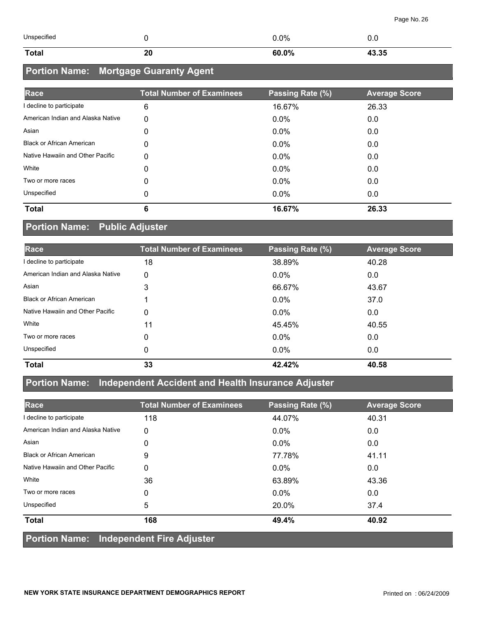| Unspecified |   | $.0\%$ |       |
|-------------|---|--------|-------|
| Total       | ∼ | 60.0%  | 13.35 |

## **Portion Name: Mortgage Guaranty Agent**

| Race                              | <b>Total Number of Examinees</b> | Passing Rate (%) | <b>Average Score</b> |
|-----------------------------------|----------------------------------|------------------|----------------------|
| I decline to participate          | 6                                | 16.67%           | 26.33                |
| American Indian and Alaska Native | 0                                | $0.0\%$          | 0.0                  |
| Asian                             | 0                                | $0.0\%$          | 0.0                  |
| <b>Black or African American</b>  | 0                                | $0.0\%$          | 0.0                  |
| Native Hawaiin and Other Pacific  | 0                                | $0.0\%$          | 0.0                  |
| White                             | 0                                | $0.0\%$          | 0.0                  |
| Two or more races                 | 0                                | $0.0\%$          | 0.0                  |
| Unspecified                       | 0                                | $0.0\%$          | 0.0                  |
| <b>Total</b>                      | 6                                | 16.67%           | 26.33                |

### **Portion Name: Public Adjuster**

| <b>Race</b>                       | <b>Total Number of Examinees</b> | Passing Rate (%) | <b>Average Score</b> |
|-----------------------------------|----------------------------------|------------------|----------------------|
| I decline to participate          | 18                               | 38.89%           | 40.28                |
| American Indian and Alaska Native | 0                                | $0.0\%$          | 0.0                  |
| Asian                             | 3                                | 66.67%           | 43.67                |
| <b>Black or African American</b>  |                                  | $0.0\%$          | 37.0                 |
| Native Hawaiin and Other Pacific  | 0                                | $0.0\%$          | 0.0                  |
| White                             | 11                               | 45.45%           | 40.55                |
| Two or more races                 | 0                                | $0.0\%$          | 0.0                  |
| Unspecified                       | 0                                | $0.0\%$          | 0.0                  |
| <b>Total</b>                      | 33                               | 42.42%           | 40.58                |

### **Portion Name: Independent Accident and Health Insurance Adjuster**

| Race                                           | <b>Total Number of Examinees</b> | Passing Rate (%) | <b>Average Score</b> |
|------------------------------------------------|----------------------------------|------------------|----------------------|
| I decline to participate                       | 118                              | 44.07%           | 40.31                |
| American Indian and Alaska Native              | 0                                | $0.0\%$          | 0.0                  |
| Asian                                          | 0                                | $0.0\%$          | 0.0                  |
| <b>Black or African American</b>               | 9                                | 77.78%           | 41.11                |
| Native Hawaiin and Other Pacific               | 0                                | $0.0\%$          | 0.0                  |
| White                                          | 36                               | 63.89%           | 43.36                |
| Two or more races                              | 0                                | $0.0\%$          | 0.0                  |
| Unspecified                                    | 5                                | 20.0%            | 37.4                 |
| <b>Total</b>                                   | 168                              | 49.4%            | 40.92                |
| <b>Portion Name: Independent Fire Adjuster</b> |                                  |                  |                      |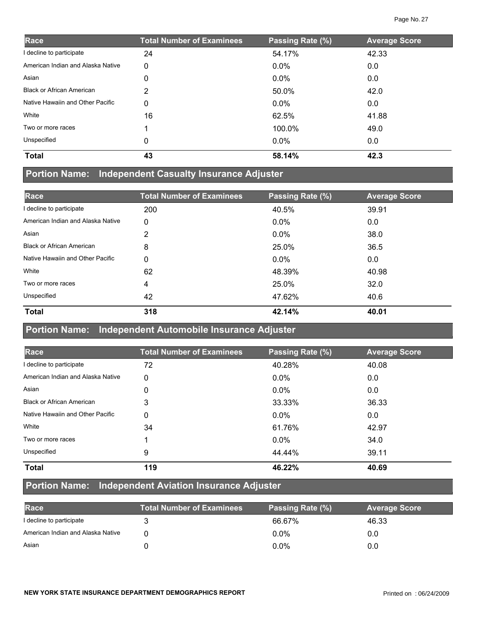| Race                              | <b>Total Number of Examinees</b> | Passing Rate (%) | <b>Average Score</b> |
|-----------------------------------|----------------------------------|------------------|----------------------|
| I decline to participate          | 24                               | 54.17%           | 42.33                |
| American Indian and Alaska Native | 0                                | $0.0\%$          | 0.0                  |
| Asian                             | 0                                | $0.0\%$          | 0.0                  |
| <b>Black or African American</b>  | 2                                | 50.0%            | 42.0                 |
| Native Hawaiin and Other Pacific  | 0                                | $0.0\%$          | 0.0                  |
| White                             | 16                               | 62.5%            | 41.88                |
| Two or more races                 |                                  | 100.0%           | 49.0                 |
| Unspecified                       | 0                                | $0.0\%$          | 0.0                  |
| <b>Total</b>                      | 43                               | 58.14%           | 42.3                 |

## **Portion Name: Independent Casualty Insurance Adjuster**

| Race                              | <b>Total Number of Examinees</b> | Passing Rate (%) | <b>Average Score</b> |
|-----------------------------------|----------------------------------|------------------|----------------------|
| I decline to participate          | 200                              | 40.5%            | 39.91                |
| American Indian and Alaska Native | 0                                | $0.0\%$          | 0.0                  |
| Asian                             | 2                                | $0.0\%$          | 38.0                 |
| <b>Black or African American</b>  | 8                                | 25.0%            | 36.5                 |
| Native Hawaiin and Other Pacific  | 0                                | $0.0\%$          | 0.0                  |
| White                             | 62                               | 48.39%           | 40.98                |
| Two or more races                 | 4                                | 25.0%            | 32.0                 |
| Unspecified                       | 42                               | 47.62%           | 40.6                 |
| <b>Total</b>                      | 318                              | 42.14%           | 40.01                |

#### **Portion Name: Independent Automobile Insurance Adjuster**

| Race                              | <b>Total Number of Examinees</b> | Passing Rate (%) | <b>Average Score</b> |
|-----------------------------------|----------------------------------|------------------|----------------------|
| I decline to participate          | 72                               | 40.28%           | 40.08                |
| American Indian and Alaska Native | 0                                | $0.0\%$          | 0.0                  |
| Asian                             | 0                                | $0.0\%$          | 0.0                  |
| <b>Black or African American</b>  | 3                                | 33.33%           | 36.33                |
| Native Hawaiin and Other Pacific  | 0                                | $0.0\%$          | 0.0                  |
| White                             | 34                               | 61.76%           | 42.97                |
| Two or more races                 |                                  | $0.0\%$          | 34.0                 |
| Unspecified                       | 9                                | 44.44%           | 39.11                |
| <b>Total</b>                      | 119                              | 46.22%           | 40.69                |

#### **Portion Name: Independent Aviation Insurance Adjuster**

| Race                              | <b>Total Number of Examinees</b> | Passing Rate (%) | <b>Average Score</b> |
|-----------------------------------|----------------------------------|------------------|----------------------|
| I decline to participate          |                                  | 66.67%           | 46.33                |
| American Indian and Alaska Native |                                  | $0.0\%$          | 0.0                  |
| Asian                             |                                  | $0.0\%$          | 0.0                  |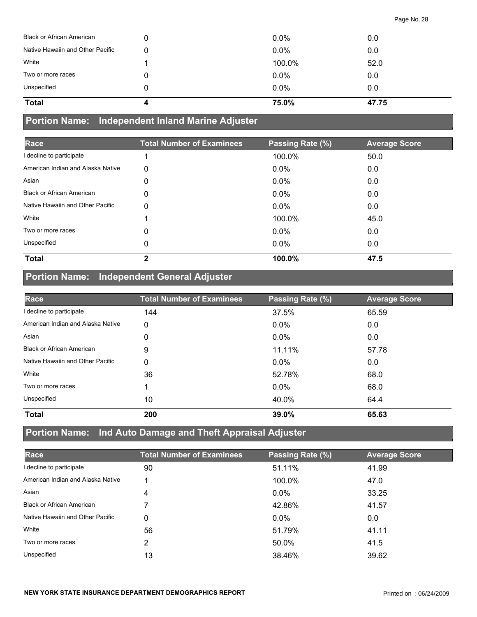| Unspecified<br><b>Total</b>      | $0.0\%$<br>75.0% | 0.0<br>47.75 |
|----------------------------------|------------------|--------------|
| Two or more races                | $0.0\%$          | 0.0          |
|                                  |                  | 52.0         |
| White                            | 100.0%           |              |
| Native Hawaiin and Other Pacific | $0.0\%$          | 0.0          |
| <b>Black or African American</b> | $0.0\%$          | 0.0          |

#### **Portion Name: Independent Inland Marine Adjuster**

| Race                              | <b>Total Number of Examinees</b> | Passing Rate (%) | <b>Average Score</b> |
|-----------------------------------|----------------------------------|------------------|----------------------|
| I decline to participate          |                                  | 100.0%           | 50.0                 |
| American Indian and Alaska Native | 0                                | $0.0\%$          | 0.0                  |
| Asian                             | 0                                | $0.0\%$          | 0.0                  |
| <b>Black or African American</b>  | 0                                | $0.0\%$          | 0.0                  |
| Native Hawaiin and Other Pacific  | 0                                | $0.0\%$          | 0.0                  |
| White                             |                                  | 100.0%           | 45.0                 |
| Two or more races                 | 0                                | $0.0\%$          | 0.0                  |
| Unspecified                       | 0                                | $0.0\%$          | 0.0                  |
| <b>Total</b>                      | $\mathbf{2}$                     | 100.0%           | 47.5                 |

## **Portion Name: Independent General Adjuster**

| Race                              | <b>Total Number of Examinees</b> | Passing Rate (%) | <b>Average Score</b> |
|-----------------------------------|----------------------------------|------------------|----------------------|
| I decline to participate          | 144                              | 37.5%            | 65.59                |
| American Indian and Alaska Native | 0                                | $0.0\%$          | 0.0                  |
| Asian                             | 0                                | $0.0\%$          | 0.0                  |
| <b>Black or African American</b>  | 9                                | 11.11%           | 57.78                |
| Native Hawaiin and Other Pacific  | 0                                | $0.0\%$          | 0.0                  |
| White                             | 36                               | 52.78%           | 68.0                 |
| Two or more races                 |                                  | $0.0\%$          | 68.0                 |
| Unspecified                       | 10                               | 40.0%            | 64.4                 |
| <b>Total</b>                      | 200                              | 39.0%            | 65.63                |

## **Portion Name: Ind Auto Damage and Theft Appraisal Adjuster**

| Race                              | <b>Total Number of Examinees</b> | Passing Rate (%) | <b>Average Score</b> |
|-----------------------------------|----------------------------------|------------------|----------------------|
| I decline to participate          | 90                               | 51.11%           | 41.99                |
| American Indian and Alaska Native |                                  | 100.0%           | 47.0                 |
| Asian                             | 4                                | $0.0\%$          | 33.25                |
| <b>Black or African American</b>  |                                  | 42.86%           | 41.57                |
| Native Hawaiin and Other Pacific  | 0                                | $0.0\%$          | 0.0                  |
| White                             | 56                               | 51.79%           | 41.11                |
| Two or more races                 | 2                                | 50.0%            | 41.5                 |
| Unspecified                       | 13                               | 38.46%           | 39.62                |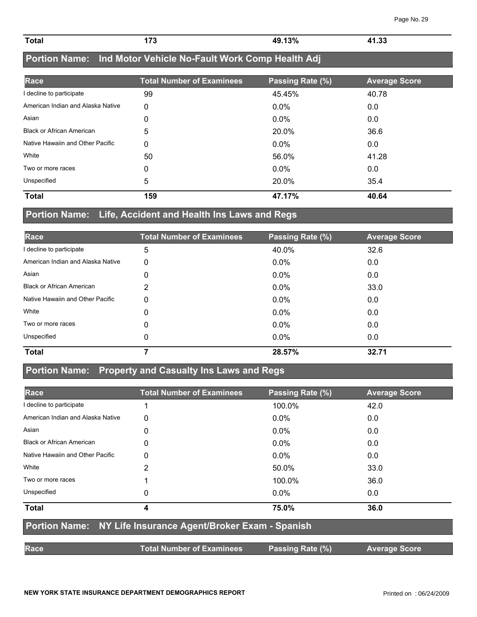| $-43%$<br>44.22<br><b>Total</b><br>--<br><b>л</b> т<br><br>.<br>$\sim$ |  |
|------------------------------------------------------------------------|--|

## **Portion Name: Ind Motor Vehicle No-Fault Work Comp Health Adj**

| Race                              | <b>Total Number of Examinees</b> | Passing Rate (%) | <b>Average Score</b> |
|-----------------------------------|----------------------------------|------------------|----------------------|
| I decline to participate          | 99                               | 45.45%           | 40.78                |
| American Indian and Alaska Native | 0                                | $0.0\%$          | 0.0                  |
| Asian                             | 0                                | $0.0\%$          | 0.0                  |
| <b>Black or African American</b>  | 5                                | 20.0%            | 36.6                 |
| Native Hawaiin and Other Pacific  | 0                                | $0.0\%$          | 0.0                  |
| White                             | 50                               | 56.0%            | 41.28                |
| Two or more races                 | 0                                | $0.0\%$          | 0.0                  |
| Unspecified                       | 5                                | 20.0%            | 35.4                 |
| <b>Total</b>                      | 159                              | 47.17%           | 40.64                |

#### **Portion Name: Life, Accident and Health Ins Laws and Regs**

| Race                              | <b>Total Number of Examinees</b> | Passing Rate (%) | <b>Average Score</b> |
|-----------------------------------|----------------------------------|------------------|----------------------|
| I decline to participate          | 5                                | 40.0%            | 32.6                 |
| American Indian and Alaska Native | 0                                | $0.0\%$          | 0.0                  |
| Asian                             | 0                                | 0.0%             | 0.0                  |
| <b>Black or African American</b>  | 2                                | $0.0\%$          | 33.0                 |
| Native Hawaiin and Other Pacific  | 0                                | $0.0\%$          | 0.0                  |
| White                             | 0                                | 0.0%             | 0.0                  |
| Two or more races                 | 0                                | $0.0\%$          | 0.0                  |
| Unspecified                       | 0                                | $0.0\%$          | 0.0                  |
| <b>Total</b>                      |                                  | 28.57%           | 32.71                |

## **Portion Name: Property and Casualty Ins Laws and Regs**

| Race                              | <b>Total Number of Examinees</b>                            | Passing Rate (%) | <b>Average Score</b> |
|-----------------------------------|-------------------------------------------------------------|------------------|----------------------|
| I decline to participate          |                                                             | 100.0%           | 42.0                 |
| American Indian and Alaska Native | 0                                                           | $0.0\%$          | 0.0                  |
| Asian                             | 0                                                           | $0.0\%$          | 0.0                  |
| <b>Black or African American</b>  | 0                                                           | $0.0\%$          | 0.0                  |
| Native Hawaiin and Other Pacific  | 0                                                           | $0.0\%$          | 0.0                  |
| White                             | 2                                                           | 50.0%            | 33.0                 |
| Two or more races                 |                                                             | 100.0%           | 36.0                 |
| Unspecified                       | 0                                                           | $0.0\%$          | 0.0                  |
| <b>Total</b>                      | 4                                                           | 75.0%            | 36.0                 |
|                                   | Portion Name: NY Life Insurance Agent/Broker Exam - Spanish |                  |                      |
| <b>Race</b>                       | <b>Total Number of Examinees</b>                            | Passing Rate (%) | <b>Average Score</b> |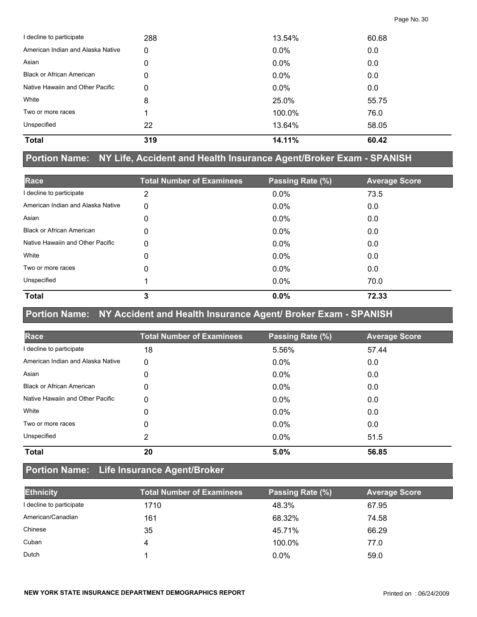| I decline to participate          | 288 | 13.54%  | 60.68 |
|-----------------------------------|-----|---------|-------|
| American Indian and Alaska Native | 0   | $0.0\%$ | 0.0   |
| Asian                             | 0   | 0.0%    | 0.0   |
| <b>Black or African American</b>  | 0   | 0.0%    | 0.0   |
| Native Hawaiin and Other Pacific  | 0   | 0.0%    | 0.0   |
| White                             | 8   | 25.0%   | 55.75 |
| Two or more races                 |     | 100.0%  | 76.0  |
| Unspecified                       | 22  | 13.64%  | 58.05 |
| <b>Total</b>                      | 319 | 14.11%  | 60.42 |

#### **Portion Name: NY Life, Accident and Health Insurance Agent/Broker Exam - SPANISH**

| Race                              | <b>Total Number of Examinees</b> | Passing Rate (%) | <b>Average Score</b> |
|-----------------------------------|----------------------------------|------------------|----------------------|
| I decline to participate          | 2                                | 0.0%             | 73.5                 |
| American Indian and Alaska Native | 0                                | $0.0\%$          | 0.0                  |
| Asian                             | 0                                | $0.0\%$          | 0.0                  |
| <b>Black or African American</b>  | 0                                | 0.0%             | 0.0                  |
| Native Hawaiin and Other Pacific  | 0                                | $0.0\%$          | 0.0                  |
| White                             | 0                                | $0.0\%$          | 0.0                  |
| Two or more races                 | 0                                | $0.0\%$          | 0.0                  |
| Unspecified                       |                                  | $0.0\%$          | 70.0                 |
| <b>Total</b>                      | 3                                | 0.0%             | 72.33                |

# **Portion Name: NY Accident and Health Insurance Agent/ Broker Exam - SPANISH**

| Race                              | <b>Total Number of Examinees</b> | Passing Rate (%) | <b>Average Score</b> |
|-----------------------------------|----------------------------------|------------------|----------------------|
| I decline to participate          | 18                               | 5.56%            | 57.44                |
| American Indian and Alaska Native | 0                                | $0.0\%$          | 0.0                  |
| Asian                             | 0                                | 0.0%             | 0.0                  |
| <b>Black or African American</b>  | 0                                | 0.0%             | 0.0                  |
| Native Hawaiin and Other Pacific  | 0                                | 0.0%             | 0.0                  |
| White                             | 0                                | $0.0\%$          | 0.0                  |
| Two or more races                 | 0                                | 0.0%             | 0.0                  |
| Unspecified                       | 2                                | $0.0\%$          | 51.5                 |
| <b>Total</b>                      | 20                               | 5.0%             | 56.85                |

## **Portion Name: Life Insurance Agent/Broker**

| <b>Ethnicity</b>         | <b>Total Number of Examinees</b> | Passing Rate (%) | <b>Average Score</b> |
|--------------------------|----------------------------------|------------------|----------------------|
| I decline to participate | 1710                             | 48.3%            | 67.95                |
| American/Canadian        | 161                              | 68.32%           | 74.58                |
| Chinese                  | 35                               | 45.71%           | 66.29                |
| Cuban                    | 4                                | 100.0%           | 77.0                 |
| Dutch                    |                                  | $0.0\%$          | 59.0                 |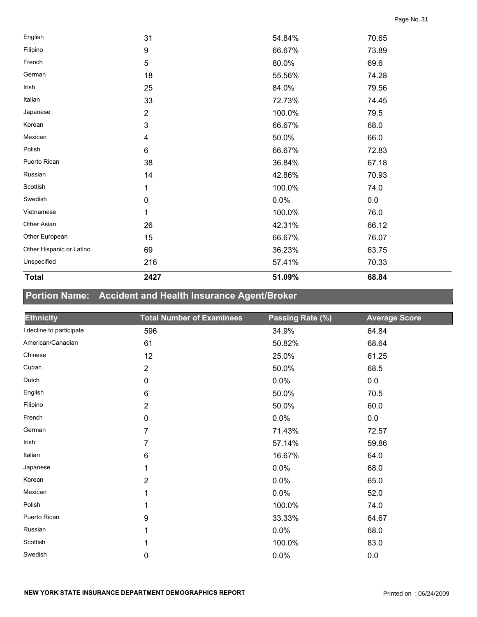| <b>Total</b>             | 2427           | 51.09% | 68.84 |
|--------------------------|----------------|--------|-------|
| Unspecified              | 216            | 57.41% | 70.33 |
| Other Hispanic or Latino | 69             | 36.23% | 63.75 |
| Other European           | 15             | 66.67% | 76.07 |
| Other Asian              | 26             | 42.31% | 66.12 |
| Vietnamese               | 1              | 100.0% | 76.0  |
| Swedish                  | $\pmb{0}$      | 0.0%   | 0.0   |
| Scottish                 | 1              | 100.0% | 74.0  |
| Russian                  | 14             | 42.86% | 70.93 |
| Puerto Rican             | 38             | 36.84% | 67.18 |
| Polish                   | $\,6\,$        | 66.67% | 72.83 |
| Mexican                  | 4              | 50.0%  | 66.0  |
| Korean                   | 3              | 66.67% | 68.0  |
| Japanese                 | $\overline{2}$ | 100.0% | 79.5  |
| Italian                  | 33             | 72.73% | 74.45 |
| Irish                    | 25             | 84.0%  | 79.56 |
| German                   | 18             | 55.56% | 74.28 |
| French                   | 5              | 80.0%  | 69.6  |
| Filipino                 | 9              | 66.67% | 73.89 |
| English                  | 31             | 54.84% | 70.65 |

## **Portion Name: Accident and Health Insurance Agent/Broker**

| <b>Ethnicity</b>         | <b>Total Number of Examinees</b> | Passing Rate (%) | <b>Average Score</b> |
|--------------------------|----------------------------------|------------------|----------------------|
| I decline to participate | 596                              | 34.9%            | 64.84                |
| American/Canadian        | 61                               | 50.82%           | 68.64                |
| Chinese                  | 12                               | 25.0%            | 61.25                |
| Cuban                    | $\overline{2}$                   | 50.0%            | 68.5                 |
| Dutch                    | $\mathbf 0$                      | 0.0%             | 0.0                  |
| English                  | 6                                | 50.0%            | 70.5                 |
| Filipino                 | $\overline{2}$                   | 50.0%            | 60.0                 |
| French                   | 0                                | 0.0%             | 0.0                  |
| German                   | 7                                | 71.43%           | 72.57                |
| Irish                    | 7                                | 57.14%           | 59.86                |
| Italian                  | $\,6$                            | 16.67%           | 64.0                 |
| Japanese                 | 1                                | 0.0%             | 68.0                 |
| Korean                   | $\overline{2}$                   | 0.0%             | 65.0                 |
| Mexican                  | 1                                | 0.0%             | 52.0                 |
| Polish                   | 1                                | 100.0%           | 74.0                 |
| Puerto Rican             | 9                                | 33.33%           | 64.67                |
| Russian                  | 1                                | 0.0%             | 68.0                 |
| Scottish                 |                                  | 100.0%           | 83.0                 |
| Swedish                  | 0                                | 0.0%             | 0.0                  |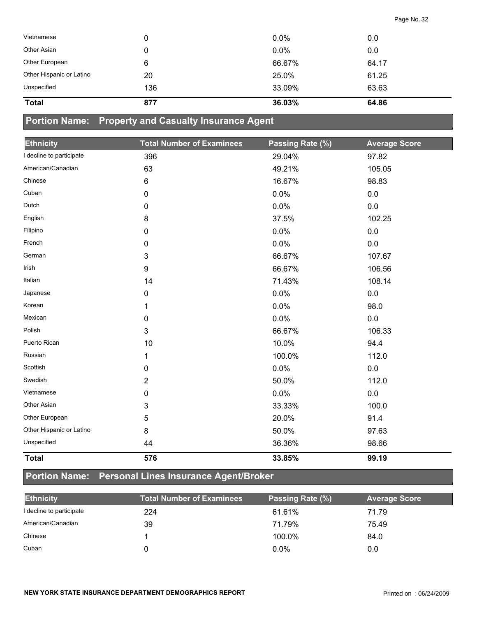| Vietnamese               | 0   | $0.0\%$ | 0.0   |
|--------------------------|-----|---------|-------|
| Other Asian              | 0   | 0.0%    | 0.0   |
| Other European           | 6   | 66.67%  | 64.17 |
| Other Hispanic or Latino | 20  | 25.0%   | 61.25 |
| Unspecified              | 136 | 33.09%  | 63.63 |
| <b>Total</b>             | 877 | 36.03%  | 64.86 |

## **Portion Name: Property and Casualty Insurance Agent**

| <b>Ethnicity</b>         | <b>Total Number of Examinees</b> | Passing Rate (%) | <b>Average Score</b> |
|--------------------------|----------------------------------|------------------|----------------------|
| I decline to participate | 396                              | 29.04%           | 97.82                |
| American/Canadian        | 63                               | 49.21%           | 105.05               |
| Chinese                  | 6                                | 16.67%           | 98.83                |
| Cuban                    | $\mathbf 0$                      | 0.0%             | 0.0                  |
| Dutch                    | 0                                | 0.0%             | 0.0                  |
| English                  | 8                                | 37.5%            | 102.25               |
| Filipino                 | 0                                | 0.0%             | 0.0                  |
| French                   | 0                                | 0.0%             | 0.0                  |
| German                   | $\mathfrak{S}$                   | 66.67%           | 107.67               |
| Irish                    | 9                                | 66.67%           | 106.56               |
| Italian                  | 14                               | 71.43%           | 108.14               |
| Japanese                 | 0                                | 0.0%             | 0.0                  |
| Korean                   | 1                                | 0.0%             | 98.0                 |
| Mexican                  | 0                                | 0.0%             | 0.0                  |
| Polish                   | $\mathfrak{S}$                   | 66.67%           | 106.33               |
| Puerto Rican             | 10                               | 10.0%            | 94.4                 |
| Russian                  | 1                                | 100.0%           | 112.0                |
| Scottish                 | 0                                | 0.0%             | 0.0                  |
| Swedish                  | $\overline{2}$                   | 50.0%            | 112.0                |
| Vietnamese               | 0                                | 0.0%             | 0.0                  |
| Other Asian              | 3                                | 33.33%           | 100.0                |
| Other European           | 5                                | 20.0%            | 91.4                 |
| Other Hispanic or Latino | 8                                | 50.0%            | 97.63                |
| Unspecified              | 44                               | 36.36%           | 98.66                |
| <b>Total</b>             | 576                              | 33.85%           | 99.19                |

## **Portion Name: Personal Lines Insurance Agent/Broker**

| <b>Ethnicity</b>         | <b>Total Number of Examinees</b> | Passing Rate (%) | <b>Average Score</b> |
|--------------------------|----------------------------------|------------------|----------------------|
| I decline to participate | 224                              | 61.61%           | 71.79                |
| American/Canadian        | 39                               | 71.79%           | 75.49                |
| Chinese                  |                                  | 100.0%           | 84.0                 |
| Cuban                    |                                  | $0.0\%$          | 0.0                  |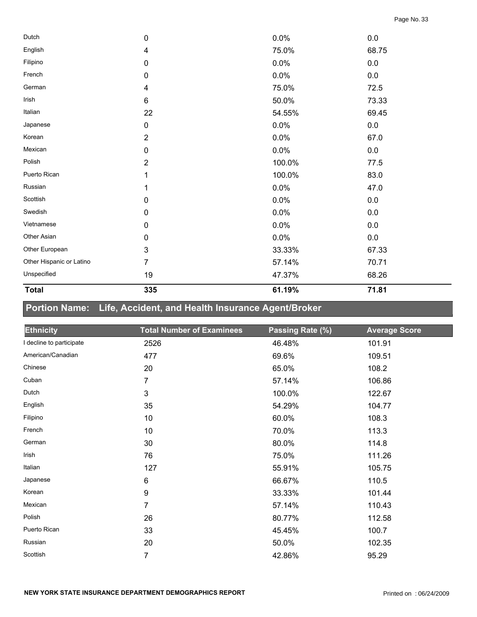| 335            | 61.19% | 71.81   |  |
|----------------|--------|---------|--|
| 19             | 47.37% | 68.26   |  |
| 7              | 57.14% | 70.71   |  |
| 3              | 33.33% | 67.33   |  |
| 0              | 0.0%   | 0.0     |  |
| 0              | 0.0%   | 0.0     |  |
| 0              | 0.0%   | $0.0\,$ |  |
| 0              | 0.0%   | 0.0     |  |
|                | 0.0%   | 47.0    |  |
|                | 100.0% | 83.0    |  |
| $\overline{2}$ | 100.0% | 77.5    |  |
| $\mathbf 0$    | 0.0%   | 0.0     |  |
| 2              | 0.0%   | 67.0    |  |
| 0              | 0.0%   | 0.0     |  |
| 22             | 54.55% | 69.45   |  |
| 6              | 50.0%  | 73.33   |  |
| 4              | 75.0%  | 72.5    |  |
| 0              | 0.0%   | 0.0     |  |
| $\pmb{0}$      | 0.0%   | $0.0\,$ |  |
| 4              | 75.0%  | 68.75   |  |
| 0              | 0.0%   | 0.0     |  |
|                |        |         |  |

## **Portion Name: Life, Accident, and Health Insurance Agent/Broker**

| <b>Ethnicity</b>         | <b>Total Number of Examinees</b> | Passing Rate (%) | <b>Average Score</b> |
|--------------------------|----------------------------------|------------------|----------------------|
| I decline to participate | 2526                             | 46.48%           | 101.91               |
| American/Canadian        | 477                              | 69.6%            | 109.51               |
| Chinese                  | 20                               | 65.0%            | 108.2                |
| Cuban                    | 7                                | 57.14%           | 106.86               |
| Dutch                    | 3                                | 100.0%           | 122.67               |
| English                  | 35                               | 54.29%           | 104.77               |
| Filipino                 | 10                               | 60.0%            | 108.3                |
| French                   | 10                               | 70.0%            | 113.3                |
| German                   | 30                               | 80.0%            | 114.8                |
| Irish                    | 76                               | 75.0%            | 111.26               |
| Italian                  | 127                              | 55.91%           | 105.75               |
| Japanese                 | $\,6$                            | 66.67%           | 110.5                |
| Korean                   | 9                                | 33.33%           | 101.44               |
| Mexican                  | 7                                | 57.14%           | 110.43               |
| Polish                   | 26                               | 80.77%           | 112.58               |
| Puerto Rican             | 33                               | 45.45%           | 100.7                |
| Russian                  | 20                               | 50.0%            | 102.35               |
| Scottish                 | 7                                | 42.86%           | 95.29                |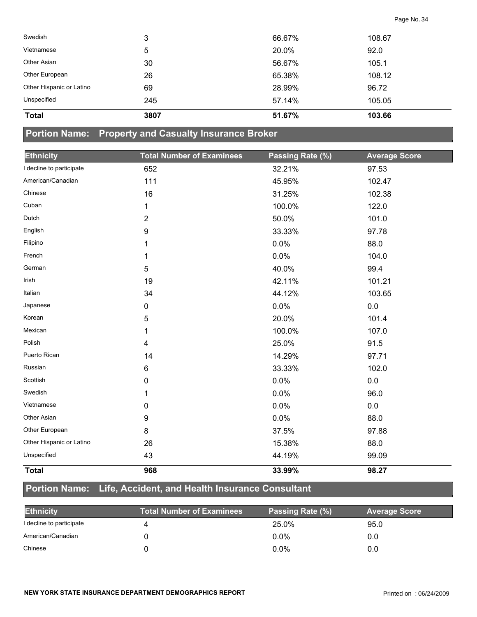| <b>Total</b>             | 3807 | 51.67% | 103.66 |  |
|--------------------------|------|--------|--------|--|
| Unspecified              | 245  | 57.14% | 105.05 |  |
| Other Hispanic or Latino | 69   | 28.99% | 96.72  |  |
| Other European           | 26   | 65.38% | 108.12 |  |
| Other Asian              | 30   | 56.67% | 105.1  |  |
| Vietnamese               | 5    | 20.0%  | 92.0   |  |
| Swedish                  | 3    | 66.67% | 108.67 |  |

#### **Portion Name: Property and Casualty Insurance Broker**

| <b>Ethnicity</b>         | <b>Total Number of Examinees</b> | Passing Rate (%) | <b>Average Score</b> |
|--------------------------|----------------------------------|------------------|----------------------|
| I decline to participate | 652                              | 32.21%           | 97.53                |
| American/Canadian        | 111                              | 45.95%           | 102.47               |
| Chinese                  | 16                               | 31.25%           | 102.38               |
| Cuban                    | 1                                | 100.0%           | 122.0                |
| Dutch                    | $\overline{2}$                   | 50.0%            | 101.0                |
| English                  | 9                                | 33.33%           | 97.78                |
| Filipino                 | 1                                | 0.0%             | 88.0                 |
| French                   | 1                                | 0.0%             | 104.0                |
| German                   | 5                                | 40.0%            | 99.4                 |
| Irish                    | 19                               | 42.11%           | 101.21               |
| Italian                  | 34                               | 44.12%           | 103.65               |
| Japanese                 | 0                                | 0.0%             | 0.0                  |
| Korean                   | 5                                | 20.0%            | 101.4                |
| Mexican                  | 1                                | 100.0%           | 107.0                |
| Polish                   | 4                                | 25.0%            | 91.5                 |
| Puerto Rican             | 14                               | 14.29%           | 97.71                |
| Russian                  | 6                                | 33.33%           | 102.0                |
| Scottish                 | 0                                | 0.0%             | 0.0                  |
| Swedish                  | 1                                | 0.0%             | 96.0                 |
| Vietnamese               | 0                                | 0.0%             | 0.0                  |
| Other Asian              | 9                                | 0.0%             | 88.0                 |
| Other European           | 8                                | 37.5%            | 97.88                |
| Other Hispanic or Latino | 26                               | 15.38%           | 88.0                 |
| Unspecified              | 43                               | 44.19%           | 99.09                |
| <b>Total</b>             | 968                              | 33.99%           | 98.27                |

#### **Portion Name: Life, Accident, and Health Insurance Consultant**

| <b>Ethnicity</b>         | <b>Total Number of Examinees</b> | Passing Rate (%) | <b>Average Score</b> |
|--------------------------|----------------------------------|------------------|----------------------|
| I decline to participate |                                  | 25.0%            | 95.0                 |
| American/Canadian        |                                  | $0.0\%$          | 0.0                  |
| Chinese                  |                                  | $0.0\%$          | 0.0                  |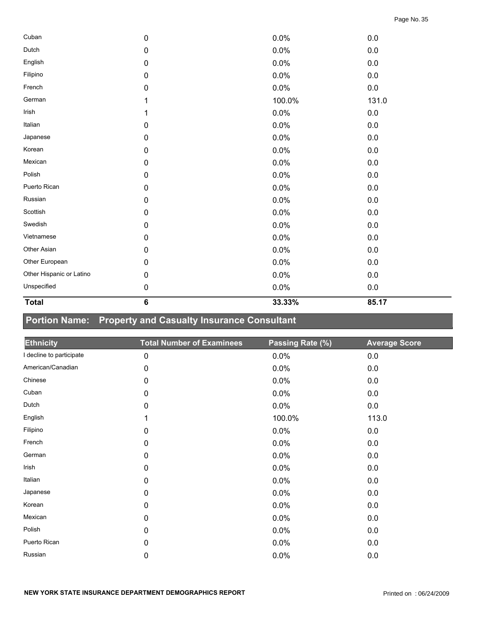| <b>Total</b>             | $\bf 6$   | 33.33% | 85.17 |  |
|--------------------------|-----------|--------|-------|--|
| Unspecified              | $\pmb{0}$ | 0.0%   | 0.0   |  |
| Other Hispanic or Latino | $\pmb{0}$ | 0.0%   | 0.0   |  |
| Other European           | $\pmb{0}$ | 0.0%   | 0.0   |  |
| Other Asian              | $\pmb{0}$ | 0.0%   | 0.0   |  |
| Vietnamese               | 0         | 0.0%   | 0.0   |  |
| Swedish                  | $\pmb{0}$ | 0.0%   | 0.0   |  |
| Scottish                 | $\pmb{0}$ | 0.0%   | 0.0   |  |
| Russian                  | $\pmb{0}$ | 0.0%   | 0.0   |  |
| Puerto Rican             | $\pmb{0}$ | 0.0%   | 0.0   |  |
| Polish                   | 0         | 0.0%   | 0.0   |  |
| Mexican                  | $\pmb{0}$ | 0.0%   | 0.0   |  |
| Korean                   | $\pmb{0}$ | 0.0%   | 0.0   |  |
| Japanese                 | $\pmb{0}$ | 0.0%   | 0.0   |  |
| Italian                  | $\pmb{0}$ | 0.0%   | 0.0   |  |
| Irish                    | 1         | 0.0%   | 0.0   |  |
| German                   | 1         | 100.0% | 131.0 |  |
| French                   | $\pmb{0}$ | 0.0%   | 0.0   |  |
| Filipino                 | $\pmb{0}$ | 0.0%   | 0.0   |  |
| English                  | $\pmb{0}$ | 0.0%   | 0.0   |  |
| Dutch                    | 0         | 0.0%   | 0.0   |  |
| Cuban                    | 0         | 0.0%   | 0.0   |  |

## **Portion Name: Property and Casualty Insurance Consultant**

| <b>Ethnicity</b>         | <b>Total Number of Examinees</b> | Passing Rate (%) | <b>Average Score</b> |
|--------------------------|----------------------------------|------------------|----------------------|
| I decline to participate | $\mathbf 0$                      | 0.0%             | $0.0\,$              |
| American/Canadian        | 0                                | 0.0%             | 0.0                  |
| Chinese                  | 0                                | 0.0%             | 0.0                  |
| Cuban                    | $\mathbf 0$                      | 0.0%             | 0.0                  |
| Dutch                    | $\pmb{0}$                        | 0.0%             | 0.0                  |
| English                  | 1                                | 100.0%           | 113.0                |
| Filipino                 | $\mathbf 0$                      | 0.0%             | 0.0                  |
| French                   | $\mathbf 0$                      | 0.0%             | 0.0                  |
| German                   | $\mathbf 0$                      | 0.0%             | 0.0                  |
| Irish                    | $\mathbf 0$                      | 0.0%             | 0.0                  |
| Italian                  | 0                                | 0.0%             | 0.0                  |
| Japanese                 | 0                                | 0.0%             | 0.0                  |
| Korean                   | $\mathbf 0$                      | 0.0%             | 0.0                  |
| Mexican                  | 0                                | 0.0%             | 0.0                  |
| Polish                   | 0                                | 0.0%             | 0.0                  |
| Puerto Rican             | $\mathbf 0$                      | 0.0%             | 0.0                  |
| Russian                  | 0                                | 0.0%             | 0.0                  |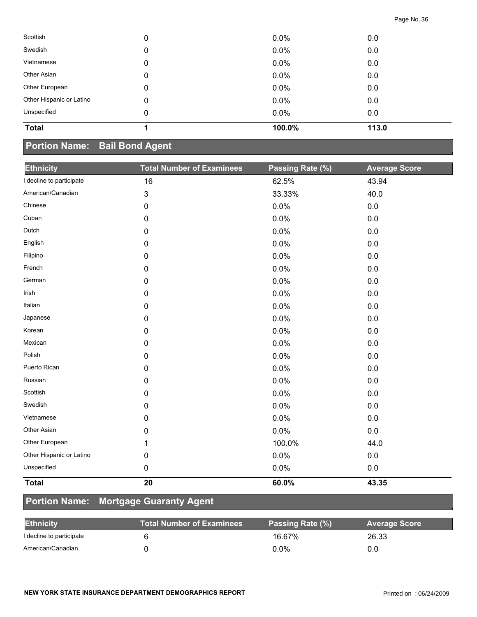| <b>Total</b>             |   | 100.0%  | 113.0 |  |
|--------------------------|---|---------|-------|--|
| Unspecified              | 0 | $0.0\%$ | 0.0   |  |
| Other Hispanic or Latino | 0 | $0.0\%$ | 0.0   |  |
| Other European           | 0 | $0.0\%$ | 0.0   |  |
| Other Asian              | 0 | 0.0%    | 0.0   |  |
| Vietnamese               | 0 | 0.0%    | 0.0   |  |
| Swedish                  | 0 | 0.0%    | 0.0   |  |
| Scottish                 | 0 | $0.0\%$ | 0.0   |  |

#### **Portion Name: Bail Bond Agent**

| <b>Ethnicity</b>         | <b>Total Number of Examinees</b> | Passing Rate (%) | <b>Average Score</b> |
|--------------------------|----------------------------------|------------------|----------------------|
| I decline to participate | 16                               | 62.5%            | 43.94                |
| American/Canadian        | 3                                | 33.33%           | 40.0                 |
| Chinese                  | $\pmb{0}$                        | 0.0%             | $0.0\,$              |
| Cuban                    | $\mathbf 0$                      | 0.0%             | 0.0                  |
| Dutch                    | 0                                | 0.0%             | 0.0                  |
| English                  | 0                                | 0.0%             | 0.0                  |
| Filipino                 | $\pmb{0}$                        | 0.0%             | 0.0                  |
| French                   | 0                                | 0.0%             | 0.0                  |
| German                   | $\mathbf 0$                      | 0.0%             | 0.0                  |
| Irish                    | $\mathbf 0$                      | 0.0%             | 0.0                  |
| Italian                  | $\mathbf 0$                      | 0.0%             | 0.0                  |
| Japanese                 | $\pmb{0}$                        | 0.0%             | $0.0\,$              |
| Korean                   | $\mathbf 0$                      | 0.0%             | 0.0                  |
| Mexican                  | 0                                | 0.0%             | 0.0                  |
| Polish                   | $\mathbf 0$                      | 0.0%             | 0.0                  |
| Puerto Rican             | 0                                | 0.0%             | 0.0                  |
| Russian                  | 0                                | 0.0%             | 0.0                  |
| Scottish                 | $\mathbf 0$                      | 0.0%             | 0.0                  |
| Swedish                  | $\mathbf 0$                      | 0.0%             | 0.0                  |
| Vietnamese               | $\mathbf 0$                      | 0.0%             | 0.0                  |
| Other Asian              | 0                                | 0.0%             | 0.0                  |
| Other European           | 1                                | 100.0%           | 44.0                 |
| Other Hispanic or Latino | $\pmb{0}$                        | 0.0%             | $0.0\,$              |
| Unspecified              | $\pmb{0}$                        | 0.0%             | 0.0                  |
| <b>Total</b>             | 20                               | 60.0%            | 43.35                |

## **Portion Name: Mortgage Guaranty Agent**

| <b>Ethnicity</b>         | <b>Total Number of Examinees</b> | Passing Rate (%) | <b>Average Score</b> |
|--------------------------|----------------------------------|------------------|----------------------|
| I decline to participate |                                  | 16.67%           | 26.33                |
| American/Canadian        |                                  | $0.0\%$          | 0.0                  |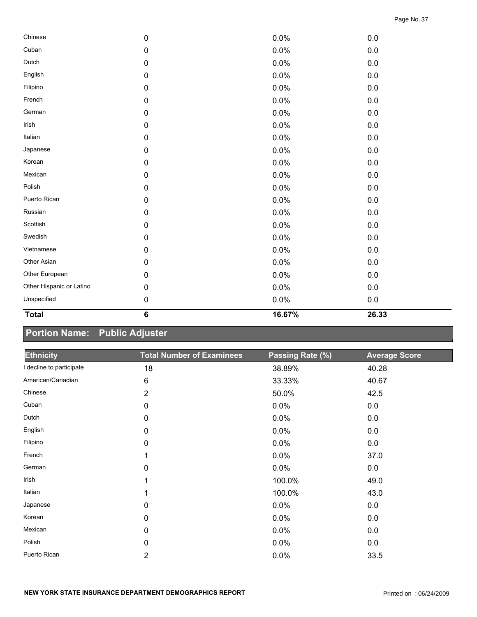| <b>Total</b>             | $\bf 6$   | 16.67% | 26.33   |  |
|--------------------------|-----------|--------|---------|--|
| Unspecified              | $\pmb{0}$ | 0.0%   | $0.0\,$ |  |
| Other Hispanic or Latino | 0         | 0.0%   | $0.0\,$ |  |
| Other European           | $\pmb{0}$ | 0.0%   | $0.0\,$ |  |
| Other Asian              | $\pmb{0}$ | 0.0%   | $0.0\,$ |  |
| Vietnamese               | $\pmb{0}$ | 0.0%   | 0.0     |  |
| Swedish                  | 0         | 0.0%   | $0.0\,$ |  |
| Scottish                 | $\pmb{0}$ | 0.0%   | 0.0     |  |
| Russian                  | 0         | 0.0%   | $0.0\,$ |  |
| Puerto Rican             | $\pmb{0}$ | 0.0%   | $0.0\,$ |  |
| Polish                   | 0         | 0.0%   | $0.0\,$ |  |
| Mexican                  | $\pmb{0}$ | 0.0%   | 0.0     |  |
| Korean                   | $\pmb{0}$ | 0.0%   | $0.0\,$ |  |
| Japanese                 | $\pmb{0}$ | 0.0%   | $0.0\,$ |  |
| Italian                  | 0         | 0.0%   | $0.0\,$ |  |
| Irish                    | $\pmb{0}$ | 0.0%   | $0.0\,$ |  |
| German                   | $\pmb{0}$ | 0.0%   | $0.0\,$ |  |
| French                   | $\pmb{0}$ | 0.0%   | $0.0\,$ |  |
| Filipino                 | 0         | 0.0%   | 0.0     |  |
| English                  | $\pmb{0}$ | 0.0%   | $0.0\,$ |  |
| Dutch                    | $\pmb{0}$ | 0.0%   | 0.0     |  |
| Cuban                    | 0         | 0.0%   | 0.0     |  |
| Chinese                  | 0         | 0.0%   | $0.0\,$ |  |

## **Portion Name: Public Adjuster**

| <b>Ethnicity</b>         | <b>Total Number of Examinees</b> | Passing Rate (%) | <b>Average Score</b> |
|--------------------------|----------------------------------|------------------|----------------------|
| I decline to participate | 18                               | 38.89%           | 40.28                |
| American/Canadian        | 6                                | 33.33%           | 40.67                |
| Chinese                  | $\overline{2}$                   | 50.0%            | 42.5                 |
| Cuban                    | 0                                | 0.0%             | 0.0                  |
| Dutch                    | 0                                | 0.0%             | 0.0                  |
| English                  | 0                                | 0.0%             | 0.0                  |
| Filipino                 | 0                                | 0.0%             | 0.0                  |
| French                   | 1                                | 0.0%             | 37.0                 |
| German                   | 0                                | 0.0%             | 0.0                  |
| Irish                    |                                  | 100.0%           | 49.0                 |
| Italian                  | 1                                | 100.0%           | 43.0                 |
| Japanese                 | 0                                | 0.0%             | 0.0                  |
| Korean                   | 0                                | 0.0%             | 0.0                  |
| Mexican                  | 0                                | 0.0%             | 0.0                  |
| Polish                   | 0                                | 0.0%             | 0.0                  |
| Puerto Rican             | $\overline{2}$                   | 0.0%             | 33.5                 |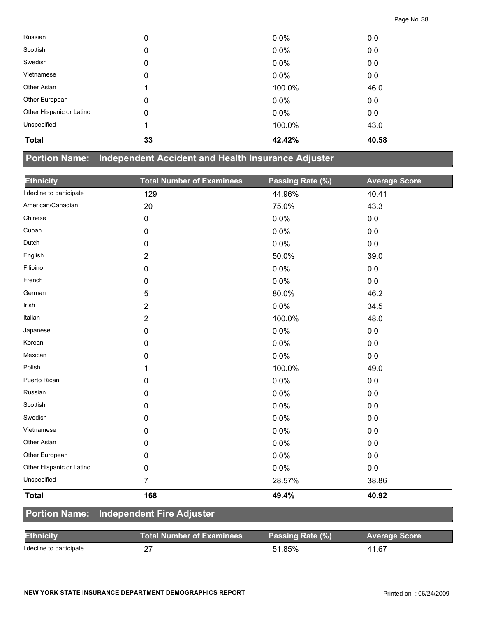| Russian                  | 0  | 0.0%    | 0.0   |
|--------------------------|----|---------|-------|
| Scottish                 | 0  | 0.0%    | 0.0   |
| Swedish                  | 0  | 0.0%    | 0.0   |
| Vietnamese               | 0  | 0.0%    | 0.0   |
| Other Asian              |    | 100.0%  | 46.0  |
| Other European           | 0  | $0.0\%$ | 0.0   |
| Other Hispanic or Latino | 0  | $0.0\%$ | 0.0   |
| Unspecified              |    | 100.0%  | 43.0  |
| <b>Total</b>             | 33 | 42.42%  | 40.58 |

## **Portion Name: Independent Accident and Health Insurance Adjuster**

| <b>Ethnicity</b>         | <b>Total Number of Examinees</b> | Passing Rate (%) | <b>Average Score</b> |
|--------------------------|----------------------------------|------------------|----------------------|
| I decline to participate | 129                              | 44.96%           | 40.41                |
| American/Canadian        | 20                               | 75.0%            | 43.3                 |
| Chinese                  | $\pmb{0}$                        | 0.0%             | 0.0                  |
| Cuban                    | $\mathbf 0$                      | 0.0%             | 0.0                  |
| Dutch                    | 0                                | 0.0%             | 0.0                  |
| English                  | 2                                | 50.0%            | 39.0                 |
| Filipino                 | 0                                | 0.0%             | 0.0                  |
| French                   | $\mathbf 0$                      | 0.0%             | 0.0                  |
| German                   | 5                                | 80.0%            | 46.2                 |
| Irish                    | $\overline{2}$                   | 0.0%             | 34.5                 |
| Italian                  | $\overline{2}$                   | 100.0%           | 48.0                 |
| Japanese                 | 0                                | 0.0%             | 0.0                  |
| Korean                   | $\mathbf 0$                      | 0.0%             | 0.0                  |
| Mexican                  | 0                                | 0.0%             | 0.0                  |
| Polish                   | 1                                | 100.0%           | 49.0                 |
| Puerto Rican             | 0                                | 0.0%             | 0.0                  |
| Russian                  | 0                                | 0.0%             | 0.0                  |
| Scottish                 | 0                                | 0.0%             | 0.0                  |
| Swedish                  | 0                                | 0.0%             | 0.0                  |
| Vietnamese               | 0                                | 0.0%             | 0.0                  |
| Other Asian              | 0                                | 0.0%             | 0.0                  |
| Other European           | 0                                | 0.0%             | 0.0                  |
| Other Hispanic or Latino | $\mathbf 0$                      | 0.0%             | 0.0                  |
| Unspecified              | $\overline{7}$                   | 28.57%           | 38.86                |
| <b>Total</b>             | 168                              | 49.4%            | 40.92                |
| <b>Portion Name:</b>     | <b>Independent Fire Adjuster</b> |                  |                      |

| <b>Ethnicity</b>         | Total Number of Examinees \ | Passing Rate (%) | <b>Average Score</b> |
|--------------------------|-----------------------------|------------------|----------------------|
| I decline to participate |                             | 51.85%           | 41.67                |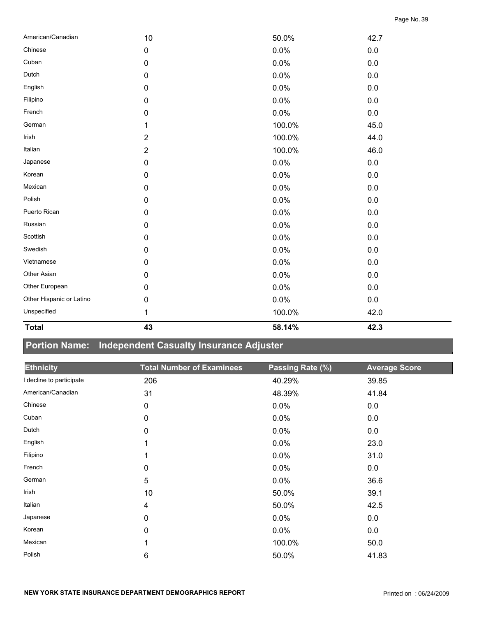| American/Canadian        | 10             | 50.0%  | 42.7    |
|--------------------------|----------------|--------|---------|
| Chinese                  | $\pmb{0}$      | 0.0%   | 0.0     |
| Cuban                    | $\pmb{0}$      | 0.0%   | $0.0\,$ |
| Dutch                    | $\pmb{0}$      | 0.0%   | $0.0\,$ |
| English                  | $\pmb{0}$      | 0.0%   | $0.0\,$ |
| Filipino                 | $\pmb{0}$      | 0.0%   | 0.0     |
| French                   | $\pmb{0}$      | 0.0%   | $0.0\,$ |
| German                   | 1              | 100.0% | 45.0    |
| Irish                    | $\overline{2}$ | 100.0% | 44.0    |
| Italian                  | $\overline{2}$ | 100.0% | 46.0    |
| Japanese                 | $\pmb{0}$      | 0.0%   | $0.0\,$ |
| Korean                   | $\pmb{0}$      | 0.0%   | $0.0\,$ |
| Mexican                  | $\pmb{0}$      | 0.0%   | $0.0\,$ |
| Polish                   | 0              | 0.0%   | $0.0\,$ |
| Puerto Rican             | $\pmb{0}$      | 0.0%   | 0.0     |
| Russian                  | $\pmb{0}$      | 0.0%   | $0.0\,$ |
| Scottish                 | $\pmb{0}$      | 0.0%   | $0.0\,$ |
| Swedish                  | 0              | 0.0%   | 0.0     |
| Vietnamese               | 0              | 0.0%   | 0.0     |
| Other Asian              | $\pmb{0}$      | 0.0%   | 0.0     |
| Other European           | 0              | 0.0%   | $0.0\,$ |
| Other Hispanic or Latino | $\pmb{0}$      | 0.0%   | $0.0\,$ |
| Unspecified              | 1              | 100.0% | 42.0    |
|                          |                |        |         |

**Total 43 58.14% 42.3** 

# **Portion Name: Independent Casualty Insurance Adjuster**

| <b>Ethnicity</b>         | <b>Total Number of Examinees</b> | Passing Rate (%) | <b>Average Score</b> |
|--------------------------|----------------------------------|------------------|----------------------|
| I decline to participate | 206                              | 40.29%           | 39.85                |
| American/Canadian        | 31                               | 48.39%           | 41.84                |
| Chinese                  | 0                                | 0.0%             | 0.0                  |
| Cuban                    | 0                                | 0.0%             | 0.0                  |
| Dutch                    | 0                                | 0.0%             | 0.0                  |
| English                  |                                  | 0.0%             | 23.0                 |
| Filipino                 |                                  | 0.0%             | 31.0                 |
| French                   | 0                                | 0.0%             | 0.0                  |
| German                   | 5                                | 0.0%             | 36.6                 |
| Irish                    | 10                               | 50.0%            | 39.1                 |
| Italian                  | 4                                | 50.0%            | 42.5                 |
| Japanese                 | $\pmb{0}$                        | 0.0%             | 0.0                  |
| Korean                   | 0                                | 0.0%             | 0.0                  |
| Mexican                  |                                  | 100.0%           | 50.0                 |
| Polish                   | 6                                | 50.0%            | 41.83                |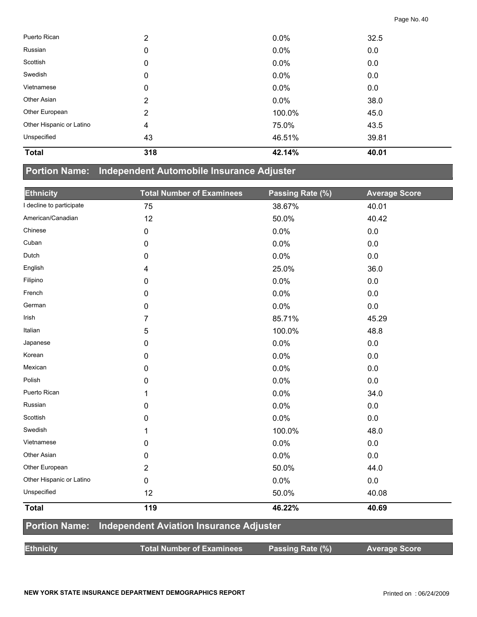| Puerto Rican             | 2              | 0.0%    | 32.5  |
|--------------------------|----------------|---------|-------|
| Russian                  | 0              | 0.0%    | 0.0   |
| Scottish                 | 0              | 0.0%    | 0.0   |
| Swedish                  | 0              | $0.0\%$ | 0.0   |
| Vietnamese               | 0              | 0.0%    | 0.0   |
| Other Asian              | $\overline{2}$ | 0.0%    | 38.0  |
| Other European           | $\overline{2}$ | 100.0%  | 45.0  |
| Other Hispanic or Latino | 4              | 75.0%   | 43.5  |
| Unspecified              | 43             | 46.51%  | 39.81 |
| <b>Total</b>             | 318            | 42.14%  | 40.01 |

## **Portion Name: Independent Automobile Insurance Adjuster**

| <b>Ethnicity</b>         | <b>Total Number of Examinees</b>               | Passing Rate (%) | <b>Average Score</b> |
|--------------------------|------------------------------------------------|------------------|----------------------|
| I decline to participate | 75                                             | 38.67%           | 40.01                |
| American/Canadian        | 12                                             | 50.0%            | 40.42                |
| Chinese                  | 0                                              | 0.0%             | 0.0                  |
| Cuban                    | 0                                              | 0.0%             | 0.0                  |
| Dutch                    | 0                                              | 0.0%             | 0.0                  |
| English                  | 4                                              | 25.0%            | 36.0                 |
| Filipino                 | 0                                              | 0.0%             | 0.0                  |
| French                   | 0                                              | 0.0%             | 0.0                  |
| German                   | 0                                              | 0.0%             | 0.0                  |
| Irish                    | 7                                              | 85.71%           | 45.29                |
| Italian                  | 5                                              | 100.0%           | 48.8                 |
| Japanese                 | 0                                              | 0.0%             | 0.0                  |
| Korean                   | 0                                              | 0.0%             | 0.0                  |
| Mexican                  | 0                                              | 0.0%             | 0.0                  |
| Polish                   | 0                                              | 0.0%             | 0.0                  |
| Puerto Rican             | 1                                              | 0.0%             | 34.0                 |
| Russian                  | 0                                              | 0.0%             | 0.0                  |
| Scottish                 | 0                                              | 0.0%             | 0.0                  |
| Swedish                  | 1                                              | 100.0%           | 48.0                 |
| Vietnamese               | 0                                              | 0.0%             | 0.0                  |
| Other Asian              | 0                                              | 0.0%             | 0.0                  |
| Other European           | $\overline{2}$                                 | 50.0%            | 44.0                 |
| Other Hispanic or Latino | 0                                              | 0.0%             | 0.0                  |
| Unspecified              | 12                                             | 50.0%            | 40.08                |
| <b>Total</b>             | 119                                            | 46.22%           | 40.69                |
| <b>Portion Name:</b>     | <b>Independent Aviation Insurance Adjuster</b> |                  |                      |
| <b>Ethnicity</b>         | <b>Total Number of Examinees</b>               | Passing Rate (%) | <b>Average Score</b> |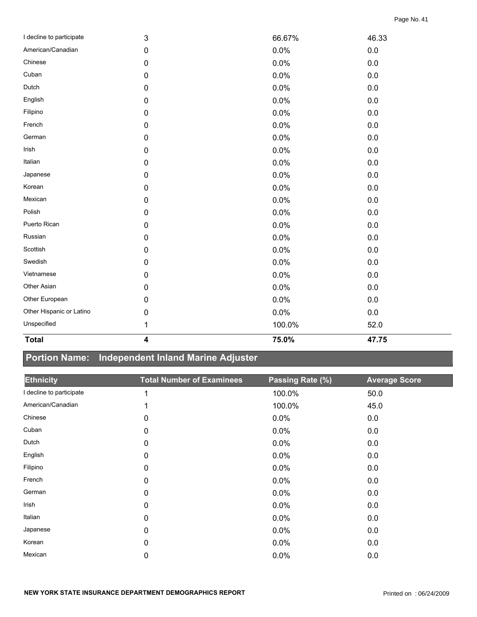| <b>Total</b>             | $\overline{\mathbf{4}}$ | 75.0%  | 47.75   |  |
|--------------------------|-------------------------|--------|---------|--|
| Unspecified              | 1                       | 100.0% | 52.0    |  |
| Other Hispanic or Latino | 0                       | 0.0%   | 0.0     |  |
| Other European           | 0                       | 0.0%   | $0.0\,$ |  |
| Other Asian              | 0                       | 0.0%   | $0.0\,$ |  |
| Vietnamese               | 0                       | 0.0%   | $0.0\,$ |  |
| Swedish                  | 0                       | 0.0%   | $0.0\,$ |  |
| Scottish                 | 0                       | 0.0%   | 0.0     |  |
| Russian                  | 0                       | 0.0%   | 0.0     |  |
| Puerto Rican             | 0                       | 0.0%   | $0.0\,$ |  |
| Polish                   | 0                       | 0.0%   | $0.0\,$ |  |
| Mexican                  | $\pmb{0}$               | 0.0%   | 0.0     |  |
| Korean                   | 0                       | 0.0%   | 0.0     |  |
| Japanese                 | 0                       | 0.0%   | 0.0     |  |
| Italian                  | 0                       | 0.0%   | 0.0     |  |
| Irish                    | 0                       | 0.0%   | $0.0\,$ |  |
| German                   | 0                       | 0.0%   | $0.0\,$ |  |
| French                   | 0                       | 0.0%   | 0.0     |  |
| Filipino                 | 0                       | 0.0%   | 0.0     |  |
| English                  | 0                       | 0.0%   | 0.0     |  |
| Dutch                    | 0                       | 0.0%   | $0.0\,$ |  |
| Cuban                    | 0                       | 0.0%   | $0.0\,$ |  |
| Chinese                  | 0                       | 0.0%   | $0.0\,$ |  |
| American/Canadian        | 0                       | 0.0%   | 0.0     |  |
| I decline to participate | 3                       | 66.67% | 46.33   |  |

## **Portion Name: Independent Inland Marine Adjuster**

| <b>Ethnicity</b>         | <b>Total Number of Examinees</b> | Passing Rate (%) | <b>Average Score</b> |
|--------------------------|----------------------------------|------------------|----------------------|
| I decline to participate |                                  | 100.0%           | 50.0                 |
| American/Canadian        |                                  | 100.0%           | 45.0                 |
| Chinese                  | 0                                | 0.0%             | 0.0                  |
| Cuban                    | 0                                | 0.0%             | 0.0                  |
| Dutch                    | $\mathbf 0$                      | 0.0%             | 0.0                  |
| English                  | 0                                | 0.0%             | 0.0                  |
| Filipino                 | 0                                | 0.0%             | 0.0                  |
| French                   | 0                                | 0.0%             | 0.0                  |
| German                   | $\mathbf 0$                      | 0.0%             | 0.0                  |
| Irish                    | 0                                | 0.0%             | 0.0                  |
| Italian                  | 0                                | 0.0%             | 0.0                  |
| Japanese                 | 0                                | 0.0%             | 0.0                  |
| Korean                   | 0                                | 0.0%             | 0.0                  |
| Mexican                  | 0                                | 0.0%             | 0.0                  |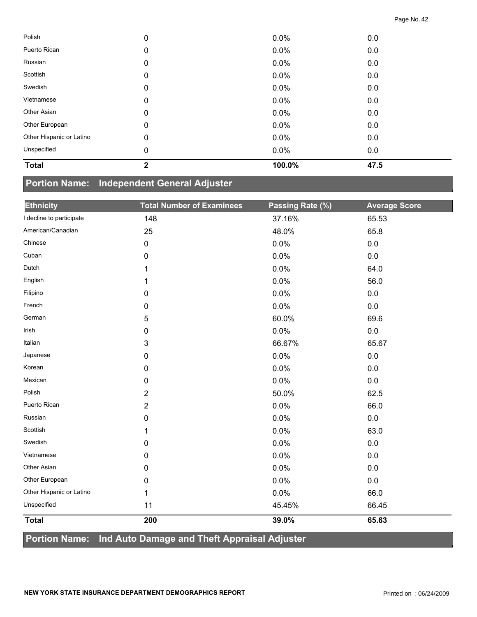| Polish                   | 0            | 0.0%    | 0.0  |  |
|--------------------------|--------------|---------|------|--|
| Puerto Rican             | 0            | 0.0%    | 0.0  |  |
| Russian                  | 0            | $0.0\%$ | 0.0  |  |
| Scottish                 | 0            | $0.0\%$ | 0.0  |  |
| Swedish                  | 0            | $0.0\%$ | 0.0  |  |
| Vietnamese               | 0            | 0.0%    | 0.0  |  |
| Other Asian              | 0            | $0.0\%$ | 0.0  |  |
| Other European           | 0            | $0.0\%$ | 0.0  |  |
| Other Hispanic or Latino | 0            | 0.0%    | 0.0  |  |
| Unspecified              | 0            | $0.0\%$ | 0.0  |  |
| <b>Total</b>             | $\mathbf{2}$ | 100.0%  | 47.5 |  |

### **Portion Name: Independent General Adjuster**

| <b>Ethnicity</b>         | <b>Total Number of Examinees</b>                             | Passing Rate (%) | <b>Average Score</b> |
|--------------------------|--------------------------------------------------------------|------------------|----------------------|
| I decline to participate | 148                                                          | 37.16%           | 65.53                |
| American/Canadian        | 25                                                           | 48.0%            | 65.8                 |
| Chinese                  | $\pmb{0}$                                                    | 0.0%             | 0.0                  |
| Cuban                    | 0                                                            | 0.0%             | 0.0                  |
| Dutch                    |                                                              | 0.0%             | 64.0                 |
| English                  | 1                                                            | 0.0%             | 56.0                 |
| Filipino                 | $\mathbf 0$                                                  | 0.0%             | 0.0                  |
| French                   | 0                                                            | 0.0%             | 0.0                  |
| German                   | 5                                                            | 60.0%            | 69.6                 |
| Irish                    | 0                                                            | 0.0%             | 0.0                  |
| Italian                  | 3                                                            | 66.67%           | 65.67                |
| Japanese                 | 0                                                            | 0.0%             | 0.0                  |
| Korean                   | 0                                                            | 0.0%             | 0.0                  |
| Mexican                  | $\pmb{0}$                                                    | 0.0%             | 0.0                  |
| Polish                   | $\overline{2}$                                               | 50.0%            | 62.5                 |
| Puerto Rican             | $\overline{2}$                                               | 0.0%             | 66.0                 |
| Russian                  | 0                                                            | 0.0%             | 0.0                  |
| Scottish                 | 1                                                            | 0.0%             | 63.0                 |
| Swedish                  | 0                                                            | 0.0%             | 0.0                  |
| Vietnamese               | 0                                                            | 0.0%             | 0.0                  |
| Other Asian              | 0                                                            | 0.0%             | 0.0                  |
| Other European           | 0                                                            | 0.0%             | 0.0                  |
| Other Hispanic or Latino | 1                                                            | 0.0%             | 66.0                 |
| Unspecified              | 11                                                           | 45.45%           | 66.45                |
| <b>Total</b>             | 200                                                          | 39.0%            | 65.63                |
| Deviled News             | <b>Land Avida</b><br>d Tha fi Ammainal Adioata<br><b>Inv</b> |                  |                      |

#### **Portion Name: Ind Auto Damage and Theft Appraisal Adjuster**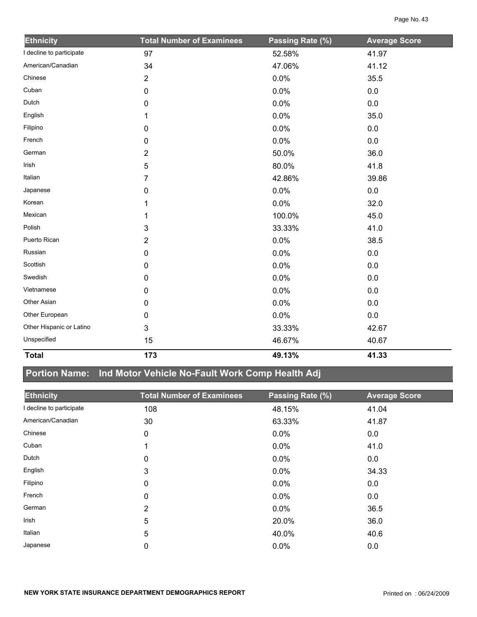| <b>Ethnicity</b>         | <b>Total Number of Examinees</b> | Passing Rate (%) | <b>Average Score</b> |
|--------------------------|----------------------------------|------------------|----------------------|
| I decline to participate | 97                               | 52.58%           | 41.97                |
| American/Canadian        | 34                               | 47.06%           | 41.12                |
| Chinese                  | $\overline{2}$                   | 0.0%             | 35.5                 |
| Cuban                    | 0                                | 0.0%             | 0.0                  |
| Dutch                    | 0                                | 0.0%             | 0.0                  |
| English                  | 1                                | 0.0%             | 35.0                 |
| Filipino                 | 0                                | 0.0%             | $0.0\,$              |
| French                   | 0                                | 0.0%             | 0.0                  |
| German                   | $\overline{2}$                   | 50.0%            | 36.0                 |
| Irish                    | 5                                | 80.0%            | 41.8                 |
| Italian                  | 7                                | 42.86%           | 39.86                |
| Japanese                 | 0                                | 0.0%             | 0.0                  |
| Korean                   |                                  | 0.0%             | 32.0                 |
| Mexican                  |                                  | 100.0%           | 45.0                 |
| Polish                   | 3                                | 33.33%           | 41.0                 |
| Puerto Rican             | $\overline{2}$                   | 0.0%             | 38.5                 |
| Russian                  | $\mathbf 0$                      | 0.0%             | $0.0\,$              |
| Scottish                 | $\mathbf 0$                      | 0.0%             | 0.0                  |
| Swedish                  | 0                                | 0.0%             | 0.0                  |
| Vietnamese               | 0                                | 0.0%             | 0.0                  |
| Other Asian              | 0                                | 0.0%             | $0.0\,$              |
| Other European           | 0                                | 0.0%             | 0.0                  |
| Other Hispanic or Latino | 3                                | 33.33%           | 42.67                |
| Unspecified              | 15                               | 46.67%           | 40.67                |
| <b>Total</b>             | 173                              | 49.13%           | 41.33                |

# **Portion Name: Ind Motor Vehicle No-Fault Work Comp Health Adj**

| <b>Ethnicity</b>         | <b>Total Number of Examinees</b> | Passing Rate (%) | <b>Average Score</b> |
|--------------------------|----------------------------------|------------------|----------------------|
| I decline to participate | 108                              | 48.15%           | 41.04                |
| American/Canadian        | 30                               | 63.33%           | 41.87                |
| Chinese                  | 0                                | $0.0\%$          | 0.0                  |
| Cuban                    |                                  | $0.0\%$          | 41.0                 |
| Dutch                    | 0                                | $0.0\%$          | 0.0                  |
| English                  | 3                                | $0.0\%$          | 34.33                |
| Filipino                 | 0                                | $0.0\%$          | 0.0                  |
| French                   | 0                                | $0.0\%$          | 0.0                  |
| German                   | $\overline{2}$                   | $0.0\%$          | 36.5                 |
| Irish                    | 5                                | 20.0%            | 36.0                 |
| Italian                  | 5                                | 40.0%            | 40.6                 |
| Japanese                 | 0                                | 0.0%             | 0.0                  |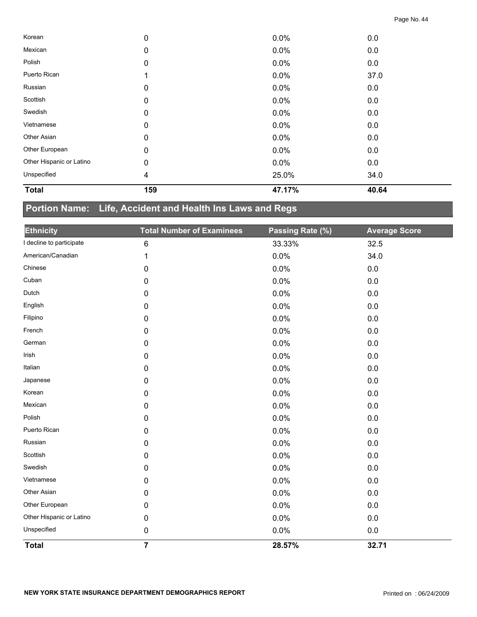| <b>Total</b>             | 159 | 47.17% | 40.64 |  |
|--------------------------|-----|--------|-------|--|
| Unspecified              | 4   | 25.0%  | 34.0  |  |
| Other Hispanic or Latino | 0   | 0.0%   | 0.0   |  |
| Other European           | 0   | 0.0%   | 0.0   |  |
| Other Asian              | 0   | 0.0%   | 0.0   |  |
| Vietnamese               | 0   | 0.0%   | 0.0   |  |
| Swedish                  | 0   | 0.0%   | 0.0   |  |
| Scottish                 | 0   | 0.0%   | 0.0   |  |
| Russian                  | 0   | 0.0%   | 0.0   |  |
| Puerto Rican             |     | 0.0%   | 37.0  |  |
| Polish                   | 0   | 0.0%   | 0.0   |  |
| Mexican                  | 0   | 0.0%   | 0.0   |  |
| Korean                   | 0   | 0.0%   | 0.0   |  |

## **Portion Name: Life, Accident and Health Ins Laws and Regs**

| <b>Ethnicity</b>         | <b>Total Number of Examinees</b> | Passing Rate (%) | <b>Average Score</b> |
|--------------------------|----------------------------------|------------------|----------------------|
| I decline to participate | 6                                | 33.33%           | 32.5                 |
| American/Canadian        | 1                                | 0.0%             | 34.0                 |
| Chinese                  | 0                                | 0.0%             | 0.0                  |
| Cuban                    | 0                                | 0.0%             | 0.0                  |
| Dutch                    | 0                                | 0.0%             | 0.0                  |
| English                  | 0                                | 0.0%             | 0.0                  |
| Filipino                 | 0                                | 0.0%             | 0.0                  |
| French                   | 0                                | 0.0%             | 0.0                  |
| German                   | 0                                | 0.0%             | 0.0                  |
| Irish                    | 0                                | 0.0%             | 0.0                  |
| Italian                  | 0                                | 0.0%             | 0.0                  |
| Japanese                 | 0                                | 0.0%             | 0.0                  |
| Korean                   | 0                                | 0.0%             | 0.0                  |
| Mexican                  | 0                                | 0.0%             | 0.0                  |
| Polish                   | 0                                | 0.0%             | 0.0                  |
| Puerto Rican             | $\mathbf 0$                      | 0.0%             | 0.0                  |
| Russian                  | 0                                | 0.0%             | 0.0                  |
| Scottish                 | 0                                | 0.0%             | 0.0                  |
| Swedish                  | 0                                | 0.0%             | 0.0                  |
| Vietnamese               | 0                                | 0.0%             | 0.0                  |
| Other Asian              | 0                                | 0.0%             | 0.0                  |
| Other European           | 0                                | 0.0%             | 0.0                  |
| Other Hispanic or Latino | 0                                | 0.0%             | 0.0                  |
| Unspecified              | 0                                | 0.0%             | 0.0                  |
| <b>Total</b>             | $\overline{7}$                   | 28.57%           | 32.71                |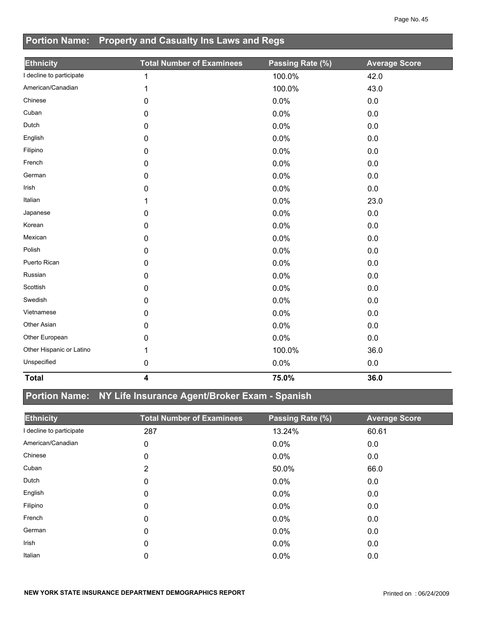## **Portion Name: Property and Casualty Ins Laws and Regs**

| <b>Ethnicity</b>         | <b>Total Number of Examinees</b> | Passing Rate (%) | <b>Average Score</b> |
|--------------------------|----------------------------------|------------------|----------------------|
| I decline to participate | $\mathbf 1$                      | 100.0%           | 42.0                 |
| American/Canadian        | 1                                | 100.0%           | 43.0                 |
| Chinese                  | 0                                | 0.0%             | 0.0                  |
| Cuban                    | 0                                | 0.0%             | 0.0                  |
| Dutch                    | 0                                | 0.0%             | 0.0                  |
| English                  | 0                                | 0.0%             | 0.0                  |
| Filipino                 | 0                                | 0.0%             | 0.0                  |
| French                   | 0                                | 0.0%             | 0.0                  |
| German                   | 0                                | 0.0%             | 0.0                  |
| Irish                    | 0                                | 0.0%             | 0.0                  |
| Italian                  | 1                                | 0.0%             | 23.0                 |
| Japanese                 | 0                                | 0.0%             | 0.0                  |
| Korean                   | 0                                | 0.0%             | 0.0                  |
| Mexican                  | 0                                | 0.0%             | 0.0                  |
| Polish                   | 0                                | 0.0%             | 0.0                  |
| Puerto Rican             | 0                                | 0.0%             | 0.0                  |
| Russian                  | 0                                | 0.0%             | 0.0                  |
| Scottish                 | 0                                | 0.0%             | 0.0                  |
| Swedish                  | 0                                | 0.0%             | 0.0                  |
| Vietnamese               | 0                                | 0.0%             | 0.0                  |
| Other Asian              | 0                                | 0.0%             | 0.0                  |
| Other European           | 0                                | 0.0%             | 0.0                  |
| Other Hispanic or Latino | 1                                | 100.0%           | 36.0                 |
| Unspecified              | 0                                | 0.0%             | 0.0                  |
| <b>Total</b>             | $\overline{\mathbf{4}}$          | 75.0%            | 36.0                 |

## **Portion Name: NY Life Insurance Agent/Broker Exam - Spanish**

| <b>Ethnicity</b>         | <b>Total Number of Examinees</b> | Passing Rate (%) | <b>Average Score</b> |
|--------------------------|----------------------------------|------------------|----------------------|
| I decline to participate | 287                              | 13.24%           | 60.61                |
| American/Canadian        | 0                                | $0.0\%$          | 0.0                  |
| Chinese                  | 0                                | $0.0\%$          | 0.0                  |
| Cuban                    | 2                                | 50.0%            | 66.0                 |
| Dutch                    | 0                                | $0.0\%$          | 0.0                  |
| English                  | 0                                | $0.0\%$          | 0.0                  |
| Filipino                 | 0                                | $0.0\%$          | 0.0                  |
| French                   | 0                                | $0.0\%$          | 0.0                  |
| German                   | 0                                | 0.0%             | 0.0                  |
| Irish                    | 0                                | $0.0\%$          | 0.0                  |
| Italian                  | 0                                | 0.0%             | 0.0                  |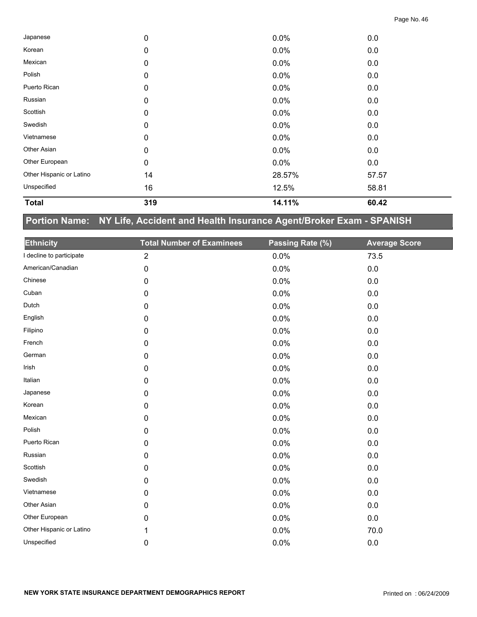| <b>Total</b>             | 319         | 14.11%  | 60.42 |  |
|--------------------------|-------------|---------|-------|--|
| Unspecified              | 16          | 12.5%   | 58.81 |  |
| Other Hispanic or Latino | 14          | 28.57%  | 57.57 |  |
| Other European           | $\pmb{0}$   | $0.0\%$ | 0.0   |  |
| Other Asian              | $\mathbf 0$ | $0.0\%$ | 0.0   |  |
| Vietnamese               | $\mathbf 0$ | $0.0\%$ | 0.0   |  |
| Swedish                  | 0           | $0.0\%$ | 0.0   |  |
| Scottish                 | $\mathbf 0$ | $0.0\%$ | 0.0   |  |
| Russian                  | $\mathbf 0$ | $0.0\%$ | 0.0   |  |
| Puerto Rican             | 0           | $0.0\%$ | 0.0   |  |
| Polish                   | $\mathbf 0$ | $0.0\%$ | 0.0   |  |
| Mexican                  | 0           | $0.0\%$ | 0.0   |  |
| Korean                   | $\mathbf 0$ | $0.0\%$ | 0.0   |  |
| Japanese                 | 0           | $0.0\%$ | 0.0   |  |

## **Portion Name: NY Life, Accident and Health Insurance Agent/Broker Exam - SPANISH**

| <b>Ethnicity</b>         | <b>Total Number of Examinees</b> | Passing Rate (%) | <b>Average Score</b> |
|--------------------------|----------------------------------|------------------|----------------------|
| I decline to participate | $\overline{2}$                   | 0.0%             | 73.5                 |
| American/Canadian        | 0                                | 0.0%             | $0.0\,$              |
| Chinese                  | $\mathbf 0$                      | 0.0%             | 0.0                  |
| Cuban                    | 0                                | 0.0%             | 0.0                  |
| Dutch                    | 0                                | 0.0%             | 0.0                  |
| English                  | 0                                | 0.0%             | 0.0                  |
| Filipino                 | 0                                | 0.0%             | 0.0                  |
| French                   | $\pmb{0}$                        | 0.0%             | 0.0                  |
| German                   | 0                                | 0.0%             | $0.0\,$              |
| Irish                    | $\pmb{0}$                        | 0.0%             | 0.0                  |
| Italian                  | 0                                | 0.0%             | $0.0\,$              |
| Japanese                 | $\mathbf 0$                      | 0.0%             | 0.0                  |
| Korean                   | $\pmb{0}$                        | 0.0%             | $0.0\,$              |
| Mexican                  | 0                                | 0.0%             | 0.0                  |
| Polish                   | 0                                | 0.0%             | 0.0                  |
| Puerto Rican             | 0                                | 0.0%             | $0.0\,$              |
| Russian                  | 0                                | 0.0%             | 0.0                  |
| Scottish                 | 0                                | 0.0%             | 0.0                  |
| Swedish                  | 0                                | 0.0%             | 0.0                  |
| Vietnamese               | 0                                | 0.0%             | $0.0\,$              |
| Other Asian              | 0                                | 0.0%             | 0.0                  |
| Other European           | $\mathbf 0$                      | 0.0%             | $0.0\,$              |
| Other Hispanic or Latino | 1                                | 0.0%             | 70.0                 |
| Unspecified              | $\mathbf 0$                      | 0.0%             | 0.0                  |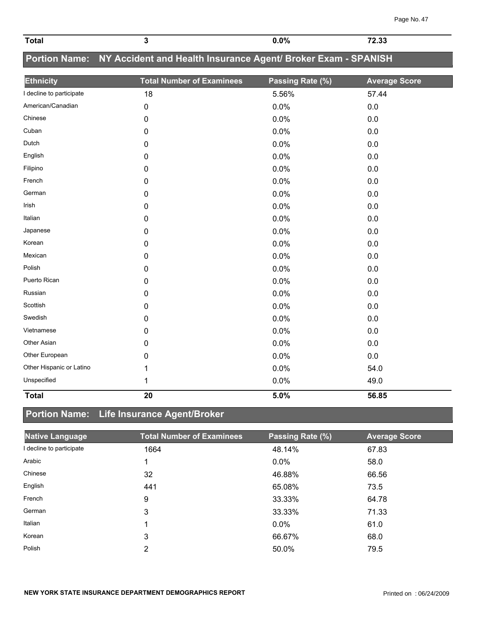| <b>Total</b>             | 3                                                                           | 0.0%             | 72.33                |
|--------------------------|-----------------------------------------------------------------------------|------------------|----------------------|
|                          | Portion Name: NY Accident and Health Insurance Agent/ Broker Exam - SPANISH |                  |                      |
| <b>Ethnicity</b>         | <b>Total Number of Examinees</b>                                            | Passing Rate (%) | <b>Average Score</b> |
| I decline to participate | 18                                                                          | 5.56%            | 57.44                |
| American/Canadian        | 0                                                                           | 0.0%             | 0.0                  |
| Chinese                  | $\mathbf 0$                                                                 | 0.0%             | 0.0                  |
| Cuban                    | 0                                                                           | 0.0%             | 0.0                  |
| Dutch                    | 0                                                                           | 0.0%             | 0.0                  |
| English                  | $\mathbf 0$                                                                 | 0.0%             | 0.0                  |
| Filipino                 | $\pmb{0}$                                                                   | 0.0%             | 0.0                  |
| French                   | 0                                                                           | 0.0%             | 0.0                  |
| German                   | 0                                                                           | 0.0%             | 0.0                  |
| Irish                    | 0                                                                           | 0.0%             | 0.0                  |
| Italian                  | 0                                                                           | 0.0%             | 0.0                  |
| Japanese                 | 0                                                                           | 0.0%             | 0.0                  |
| Korean                   | 0                                                                           | 0.0%             | 0.0                  |
| Mexican                  | $\mathbf 0$                                                                 | 0.0%             | 0.0                  |
| Polish                   | 0                                                                           | 0.0%             | 0.0                  |
| Puerto Rican             | 0                                                                           | 0.0%             | 0.0                  |
| Russian                  | $\mathbf 0$                                                                 | 0.0%             | 0.0                  |
| Scottish                 | 0                                                                           | 0.0%             | 0.0                  |
| Swedish                  | 0                                                                           | 0.0%             | 0.0                  |
| Vietnamese               | 0                                                                           | 0.0%             | 0.0                  |
| Other Asian              | 0                                                                           | 0.0%             | 0.0                  |
| Other European           | $\mathbf{0}$                                                                | 0.0%             | 0.0                  |
| Other Hispanic or Latino | 1                                                                           | 0.0%             | 54.0                 |
| Unspecified              | 1                                                                           | 0.0%             | 49.0                 |

## **Portion Name: Life Insurance Agent/Broker**

| <b>Native Language</b>   | <b>Total Number of Examinees</b> | Passing Rate (%) | <b>Average Score</b> |
|--------------------------|----------------------------------|------------------|----------------------|
| I decline to participate | 1664                             | 48.14%           | 67.83                |
| Arabic                   |                                  | 0.0%             | 58.0                 |
| Chinese                  | 32                               | 46.88%           | 66.56                |
| English                  | 441                              | 65.08%           | 73.5                 |
| French                   | 9                                | 33.33%           | 64.78                |
| German                   | 3                                | 33.33%           | 71.33                |
| Italian                  |                                  | 0.0%             | 61.0                 |
| Korean                   | 3                                | 66.67%           | 68.0                 |
| Polish                   | 2                                | 50.0%            | 79.5                 |

**Total 20 5.0% 56.85**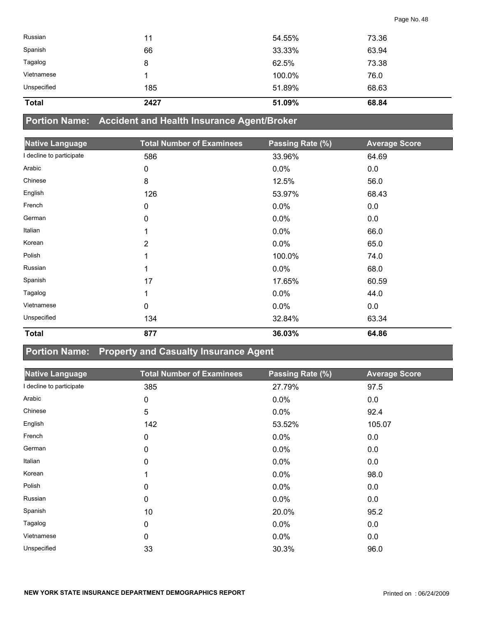| Russian      | 11   | 54.55% | 73.36 |
|--------------|------|--------|-------|
| Spanish      | 66   | 33.33% | 63.94 |
| Tagalog      | 8    | 62.5%  | 73.38 |
| Vietnamese   |      | 100.0% | 76.0  |
| Unspecified  | 185  | 51.89% | 68.63 |
| <b>Total</b> | 2427 | 51.09% | 68.84 |

## **Portion Name: Accident and Health Insurance Agent/Broker**

| <b>Native Language</b>   | <b>Total Number of Examinees</b> | Passing Rate (%) | <b>Average Score</b> |
|--------------------------|----------------------------------|------------------|----------------------|
| I decline to participate | 586                              | 33.96%           | 64.69                |
| Arabic                   | 0                                | 0.0%             | 0.0                  |
| Chinese                  | 8                                | 12.5%            | 56.0                 |
| English                  | 126                              | 53.97%           | 68.43                |
| French                   | $\mathbf 0$                      | 0.0%             | 0.0                  |
| German                   | $\mathbf 0$                      | 0.0%             | 0.0                  |
| Italian                  | 1                                | 0.0%             | 66.0                 |
| Korean                   | 2                                | 0.0%             | 65.0                 |
| Polish                   | 1                                | 100.0%           | 74.0                 |
| Russian                  | 1                                | 0.0%             | 68.0                 |
| Spanish                  | 17                               | 17.65%           | 60.59                |
| Tagalog                  | 1                                | 0.0%             | 44.0                 |
| Vietnamese               | $\mathbf 0$                      | 0.0%             | 0.0                  |
| Unspecified              | 134                              | 32.84%           | 63.34                |
| <b>Total</b>             | 877                              | 36.03%           | 64.86                |

#### **Portion Name: Property and Casualty Insurance Agent**

| <b>Native Language</b>   | <b>Total Number of Examinees</b> | Passing Rate (%) | <b>Average Score</b> |
|--------------------------|----------------------------------|------------------|----------------------|
| I decline to participate | 385                              | 27.79%           | 97.5                 |
| Arabic                   | 0                                | $0.0\%$          | 0.0                  |
| Chinese                  | 5                                | 0.0%             | 92.4                 |
| English                  | 142                              | 53.52%           | 105.07               |
| French                   | 0                                | $0.0\%$          | 0.0                  |
| German                   | 0                                | $0.0\%$          | 0.0                  |
| Italian                  | 0                                | $0.0\%$          | 0.0                  |
| Korean                   |                                  | $0.0\%$          | 98.0                 |
| Polish                   | 0                                | 0.0%             | 0.0                  |
| Russian                  | 0                                | $0.0\%$          | 0.0                  |
| Spanish                  | 10                               | 20.0%            | 95.2                 |
| Tagalog                  | 0                                | $0.0\%$          | 0.0                  |
| Vietnamese               | 0                                | $0.0\%$          | 0.0                  |
| Unspecified              | 33                               | 30.3%            | 96.0                 |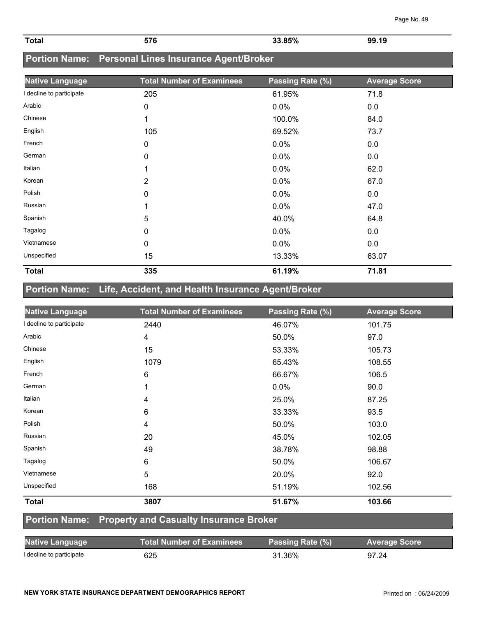| Total | --^ | 0.50   | <b>99.19</b> |
|-------|-----|--------|--------------|
|       | л   | $\sim$ | . .          |
|       |     |        |              |

#### **Portion Name: Personal Lines Insurance Agent/Broker**

| <b>Native Language</b>   | <b>Total Number of Examinees</b> | Passing Rate (%) | <b>Average Score</b> |
|--------------------------|----------------------------------|------------------|----------------------|
| I decline to participate | 205                              | 61.95%           | 71.8                 |
| Arabic                   | 0                                | 0.0%             | 0.0                  |
| Chinese                  | 1                                | 100.0%           | 84.0                 |
| English                  | 105                              | 69.52%           | 73.7                 |
| French                   | 0                                | 0.0%             | 0.0                  |
| German                   | 0                                | 0.0%             | 0.0                  |
| Italian                  | 1                                | 0.0%             | 62.0                 |
| Korean                   | $\overline{2}$                   | 0.0%             | 67.0                 |
| Polish                   | $\mathbf{0}$                     | 0.0%             | 0.0                  |
| Russian                  | 1                                | 0.0%             | 47.0                 |
| Spanish                  | 5                                | 40.0%            | 64.8                 |
| Tagalog                  | 0                                | 0.0%             | 0.0                  |
| Vietnamese               | 0                                | 0.0%             | 0.0                  |
| Unspecified              | 15                               | 13.33%           | 63.07                |
| <b>Total</b>             | 335                              | 61.19%           | 71.81                |

## **Portion Name: Life, Accident, and Health Insurance Agent/Broker**

| <b>Native Language</b>   | <b>Total Number of Examinees</b> | Passing Rate (%) | <b>Average Score</b> |
|--------------------------|----------------------------------|------------------|----------------------|
| I decline to participate | 2440                             | 46.07%           | 101.75               |
| Arabic                   | 4                                | 50.0%            | 97.0                 |
| Chinese                  | 15                               | 53.33%           | 105.73               |
| English                  | 1079                             | 65.43%           | 108.55               |
| French                   | 6                                | 66.67%           | 106.5                |
| German                   |                                  | $0.0\%$          | 90.0                 |
| Italian                  | 4                                | 25.0%            | 87.25                |
| Korean                   | 6                                | 33.33%           | 93.5                 |
| Polish                   | 4                                | 50.0%            | 103.0                |
| Russian                  | 20                               | 45.0%            | 102.05               |
| Spanish                  | 49                               | 38.78%           | 98.88                |
| Tagalog                  | 6                                | 50.0%            | 106.67               |
| Vietnamese               | 5                                | 20.0%            | 92.0                 |
| Unspecified              | 168                              | 51.19%           | 102.56               |
| <b>Total</b>             | 3807                             | 51.67%           | 103.66               |

#### **Portion Name: Property and Casualty Insurance Broker**

| <b>Native Language</b>   | <b>Total Number of Examinees</b> | Passing Rate (%) | <b>Average Score</b> |
|--------------------------|----------------------------------|------------------|----------------------|
| I decline to participate | 625                              | 31.36%           | 97.24                |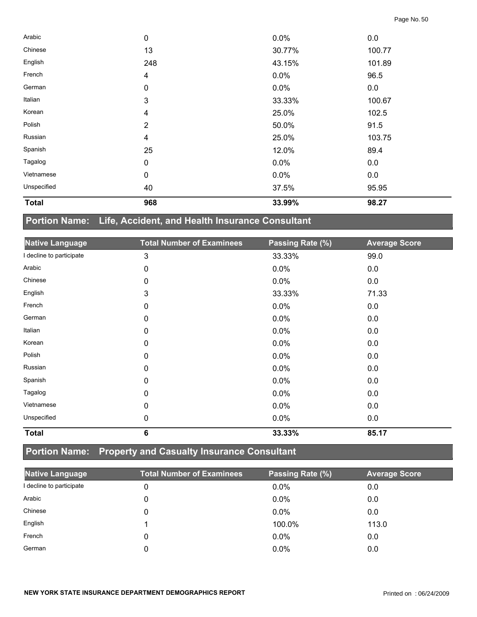| <b>Total</b> | 968            | 33.99%  | 98.27  |  |
|--------------|----------------|---------|--------|--|
| Unspecified  | 40             | 37.5%   | 95.95  |  |
| Vietnamese   | $\pmb{0}$      | $0.0\%$ | 0.0    |  |
| Tagalog      | $\pmb{0}$      | 0.0%    | 0.0    |  |
| Spanish      | 25             | 12.0%   | 89.4   |  |
| Russian      | 4              | 25.0%   | 103.75 |  |
| Polish       | $\overline{2}$ | 50.0%   | 91.5   |  |
| Korean       | 4              | 25.0%   | 102.5  |  |
| Italian      | 3              | 33.33%  | 100.67 |  |
| German       | $\pmb{0}$      | 0.0%    | 0.0    |  |
| French       | 4              | 0.0%    | 96.5   |  |
| English      | 248            | 43.15%  | 101.89 |  |
| Chinese      | 13             | 30.77%  | 100.77 |  |
| Arabic       | $\mathbf 0$    | 0.0%    | 0.0    |  |

## **Portion Name: Life, Accident, and Health Insurance Consultant**

| <b>Native Language</b>   | <b>Total Number of Examinees</b> | Passing Rate (%) | <b>Average Score</b> |
|--------------------------|----------------------------------|------------------|----------------------|
| I decline to participate | $\mathfrak{Z}$                   | 33.33%           | 99.0                 |
| Arabic                   | 0                                | 0.0%             | 0.0                  |
| Chinese                  | 0                                | 0.0%             | 0.0                  |
| English                  | 3                                | 33.33%           | 71.33                |
| French                   | 0                                | 0.0%             | 0.0                  |
| German                   | 0                                | 0.0%             | 0.0                  |
| Italian                  | 0                                | 0.0%             | 0.0                  |
| Korean                   | 0                                | 0.0%             | 0.0                  |
| Polish                   | $\mathbf{0}$                     | 0.0%             | 0.0                  |
| Russian                  | 0                                | 0.0%             | 0.0                  |
| Spanish                  | $\mathbf 0$                      | 0.0%             | 0.0                  |
| Tagalog                  | 0                                | 0.0%             | 0.0                  |
| Vietnamese               | 0                                | 0.0%             | 0.0                  |
| Unspecified              | 0                                | 0.0%             | 0.0                  |
| <b>Total</b>             | $6\phantom{1}6$                  | 33.33%           | 85.17                |

## **Portion Name: Property and Casualty Insurance Consultant**

| <b>Native Language</b>   | <b>Total Number of Examinees</b> | Passing Rate (%) | <b>Average Score</b> |
|--------------------------|----------------------------------|------------------|----------------------|
| I decline to participate | 0                                | $0.0\%$          | 0.0                  |
| Arabic                   |                                  | $0.0\%$          | 0.0                  |
| Chinese                  | 0                                | 0.0%             | 0.0                  |
| English                  |                                  | 100.0%           | 113.0                |
| French                   | 0                                | $0.0\%$          | 0.0                  |
| German                   |                                  | $0.0\%$          | 0.0                  |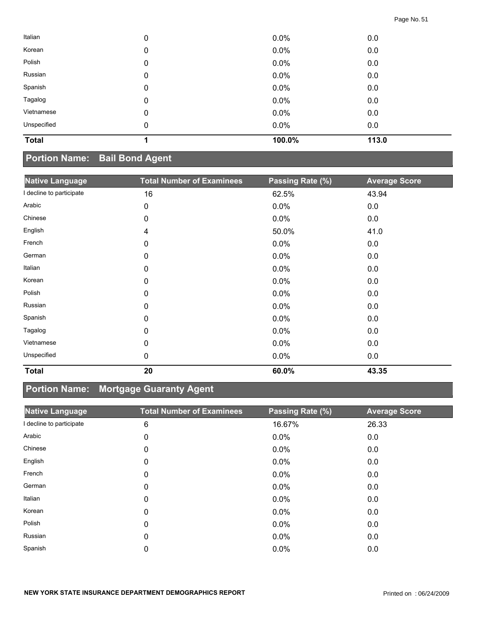| Italian      | 0 | 0.0%    | 0.0   |
|--------------|---|---------|-------|
| Korean       | 0 | $0.0\%$ | 0.0   |
| Polish       | 0 | 0.0%    | 0.0   |
| Russian      | 0 | 0.0%    | 0.0   |
| Spanish      | 0 | $0.0\%$ | 0.0   |
| Tagalog      | 0 | 0.0%    | 0.0   |
| Vietnamese   | 0 | $0.0\%$ | 0.0   |
| Unspecified  | 0 | $0.0\%$ | 0.0   |
| <b>Total</b> |   | 100.0%  | 113.0 |

## **Portion Name: Bail Bond Agent**

| <b>Native Language</b>   | <b>Total Number of Examinees</b> | Passing Rate (%) | <b>Average Score</b> |
|--------------------------|----------------------------------|------------------|----------------------|
| I decline to participate | 16                               | 62.5%            | 43.94                |
| Arabic                   | 0                                | 0.0%             | 0.0                  |
| Chinese                  | 0                                | 0.0%             | 0.0                  |
| English                  | 4                                | 50.0%            | 41.0                 |
| French                   | $\mathbf 0$                      | 0.0%             | 0.0                  |
| German                   | 0                                | 0.0%             | 0.0                  |
| Italian                  | 0                                | 0.0%             | 0.0                  |
| Korean                   | 0                                | 0.0%             | 0.0                  |
| Polish                   | 0                                | 0.0%             | 0.0                  |
| Russian                  | 0                                | 0.0%             | 0.0                  |
| Spanish                  | 0                                | 0.0%             | 0.0                  |
| Tagalog                  | 0                                | 0.0%             | 0.0                  |
| Vietnamese               | 0                                | 0.0%             | 0.0                  |
| Unspecified              | 0                                | 0.0%             | 0.0                  |
| <b>Total</b>             | 20                               | 60.0%            | 43.35                |

## **Portion Name: Mortgage Guaranty Agent**

| <b>Native Language</b>   | <b>Total Number of Examinees</b> | Passing Rate (%) | <b>Average Score</b> |
|--------------------------|----------------------------------|------------------|----------------------|
| I decline to participate | 6                                | 16.67%           | 26.33                |
| Arabic                   | 0                                | 0.0%             | 0.0                  |
| Chinese                  | 0                                | 0.0%             | 0.0                  |
| English                  | 0                                | 0.0%             | 0.0                  |
| French                   | 0                                | 0.0%             | 0.0                  |
| German                   | 0                                | 0.0%             | 0.0                  |
| Italian                  | 0                                | 0.0%             | 0.0                  |
| Korean                   | 0                                | 0.0%             | 0.0                  |
| Polish                   | 0                                | 0.0%             | 0.0                  |
| Russian                  | 0                                | 0.0%             | 0.0                  |
| Spanish                  | 0                                | 0.0%             | 0.0                  |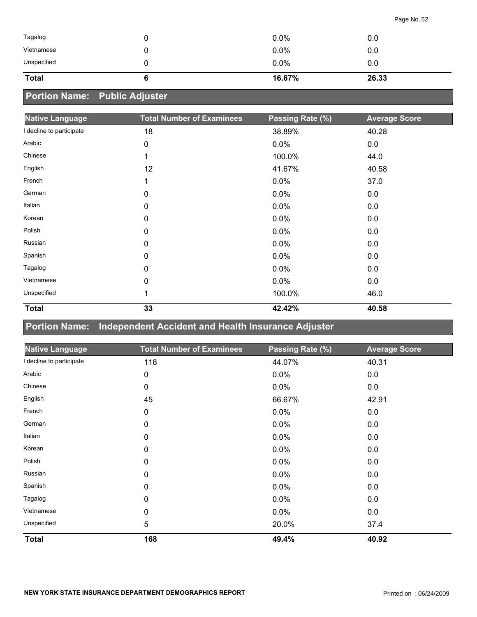| <b>Total</b><br>16.67% | 26.33 |
|------------------------|-------|
| Unspecified<br>0.0%    | 0.0   |
| Vietnamese<br>0.0%     | 0.0   |
| Tagalog<br>0.0%        | 0.0   |

## **Portion Name: Public Adjuster**

| <b>Native Language</b>   | <b>Total Number of Examinees</b> | Passing Rate (%) | <b>Average Score</b> |
|--------------------------|----------------------------------|------------------|----------------------|
| I decline to participate | 18                               | 38.89%           | 40.28                |
| Arabic                   | 0                                | 0.0%             | 0.0                  |
| Chinese                  | 1                                | 100.0%           | 44.0                 |
| English                  | 12                               | 41.67%           | 40.58                |
| French                   | 1                                | 0.0%             | 37.0                 |
| German                   | 0                                | 0.0%             | 0.0                  |
| Italian                  | 0                                | 0.0%             | 0.0                  |
| Korean                   | $\mathbf 0$                      | 0.0%             | 0.0                  |
| Polish                   | 0                                | 0.0%             | 0.0                  |
| Russian                  | 0                                | 0.0%             | 0.0                  |
| Spanish                  | 0                                | 0.0%             | 0.0                  |
| Tagalog                  | $\mathbf 0$                      | 0.0%             | 0.0                  |
| Vietnamese               | 0                                | 0.0%             | 0.0                  |
| Unspecified              | 1                                | 100.0%           | 46.0                 |
| <b>Total</b>             | 33                               | 42.42%           | 40.58                |

#### **Portion Name: Independent Accident and Health Insurance Adjuster**

| <b>Native Language</b>   | <b>Total Number of Examinees</b> | Passing Rate (%) | <b>Average Score</b> |
|--------------------------|----------------------------------|------------------|----------------------|
| I decline to participate | 118                              | 44.07%           | 40.31                |
| Arabic                   | 0                                | 0.0%             | 0.0                  |
| Chinese                  | $\mathbf 0$                      | 0.0%             | 0.0                  |
| English                  | 45                               | 66.67%           | 42.91                |
| French                   | 0                                | 0.0%             | 0.0                  |
| German                   | 0                                | 0.0%             | 0.0                  |
| Italian                  | 0                                | 0.0%             | 0.0                  |
| Korean                   | 0                                | 0.0%             | 0.0                  |
| Polish                   | 0                                | 0.0%             | 0.0                  |
| Russian                  | 0                                | 0.0%             | 0.0                  |
| Spanish                  | 0                                | 0.0%             | 0.0                  |
| Tagalog                  | 0                                | 0.0%             | 0.0                  |
| Vietnamese               | 0                                | 0.0%             | 0.0                  |
| Unspecified              | 5                                | 20.0%            | 37.4                 |
| <b>Total</b>             | 168                              | 49.4%            | 40.92                |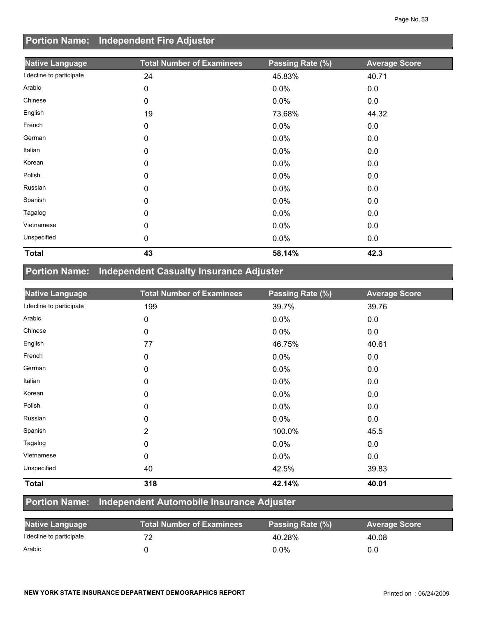## **Portion Name: Independent Fire Adjuster**

| <b>Native Language</b> | <b>Total Number of Examinees</b> | Passing Rate (%) | <b>Average Score</b> |
|------------------------|----------------------------------|------------------|----------------------|
| decline to participate | 24                               | 45.83%           | 40.71                |
| Arabic                 | 0                                | 0.0%             | 0.0                  |
| Chinese                | 0                                | 0.0%             | 0.0                  |
| English                | 19                               | 73.68%           | 44.32                |
| French                 | 0                                | 0.0%             | 0.0                  |
| German                 | 0                                | 0.0%             | 0.0                  |
| Italian                | 0                                | 0.0%             | 0.0                  |
| Korean                 | 0                                | 0.0%             | 0.0                  |
| Polish                 | 0                                | 0.0%             | 0.0                  |
| Russian                | 0                                | 0.0%             | 0.0                  |
| Spanish                | 0                                | 0.0%             | 0.0                  |
| Tagalog                | 0                                | 0.0%             | 0.0                  |
| Vietnamese             | 0                                | 0.0%             | 0.0                  |
| Unspecified            | 0                                | 0.0%             | 0.0                  |
| <b>Total</b>           | 43                               | 58.14%           | 42.3                 |

## **Portion Name: Independent Casualty Insurance Adjuster**

| <b>Native Language</b>   | <b>Total Number of Examinees</b> | Passing Rate (%) | <b>Average Score</b> |
|--------------------------|----------------------------------|------------------|----------------------|
| I decline to participate | 199                              | 39.7%            | 39.76                |
| Arabic                   | 0                                | 0.0%             | 0.0                  |
| Chinese                  | 0                                | 0.0%             | 0.0                  |
| English                  | 77                               | 46.75%           | 40.61                |
| French                   | 0                                | 0.0%             | 0.0                  |
| German                   | 0                                | 0.0%             | 0.0                  |
| Italian                  | 0                                | $0.0\%$          | 0.0                  |
| Korean                   | 0                                | 0.0%             | 0.0                  |
| Polish                   | 0                                | 0.0%             | 0.0                  |
| Russian                  | 0                                | 0.0%             | 0.0                  |
| Spanish                  | $\overline{2}$                   | 100.0%           | 45.5                 |
| Tagalog                  | 0                                | $0.0\%$          | 0.0                  |
| Vietnamese               | 0                                | 0.0%             | 0.0                  |
| Unspecified              | 40                               | 42.5%            | 39.83                |
| <b>Total</b>             | 318                              | 42.14%           | 40.01                |

### **Portion Name: Independent Automobile Insurance Adjuster**

| <b>Native Language</b>   | <b>Total Number of Examinees</b> | Passing Rate (%) | <b>Average Score</b> |
|--------------------------|----------------------------------|------------------|----------------------|
| I decline to participate |                                  | 40.28%           | 40.08                |
| Arabic                   |                                  | 0.0%             | 0.0                  |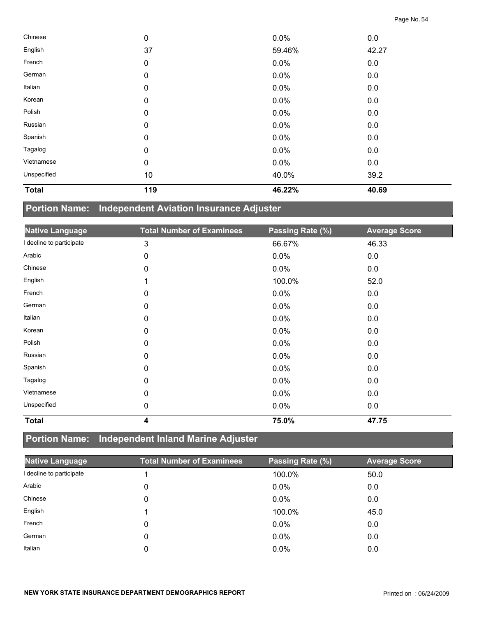| <b>Total</b> | 119              | 46.22%  | 40.69 |  |
|--------------|------------------|---------|-------|--|
| Unspecified  | 10               | 40.0%   | 39.2  |  |
| Vietnamese   | $\mathbf 0$      | 0.0%    | 0.0   |  |
| Tagalog      | $\mathbf 0$      | $0.0\%$ | 0.0   |  |
| Spanish      | $\mathbf 0$      | 0.0%    | 0.0   |  |
| Russian      | $\mathbf 0$      | 0.0%    | 0.0   |  |
| Polish       | $\boldsymbol{0}$ | $0.0\%$ | 0.0   |  |
| Korean       | $\boldsymbol{0}$ | 0.0%    | 0.0   |  |
| Italian      | $\mathbf 0$      | 0.0%    | 0.0   |  |
| German       | $\mathbf 0$      | 0.0%    | 0.0   |  |
| French       | $\mathbf 0$      | 0.0%    | 0.0   |  |
| English      | 37               | 59.46%  | 42.27 |  |
| Chinese      | $\mathbf 0$      | 0.0%    | 0.0   |  |

## **Portion Name: Independent Aviation Insurance Adjuster**

| <b>Native Language</b> | <b>Total Number of Examinees</b> | Passing Rate (%) | <b>Average Score</b> |
|------------------------|----------------------------------|------------------|----------------------|
| decline to participate | 3                                | 66.67%           | 46.33                |
| Arabic                 | 0                                | 0.0%             | 0.0                  |
| Chinese                | 0                                | 0.0%             | 0.0                  |
| English                | 1                                | 100.0%           | 52.0                 |
| French                 | 0                                | 0.0%             | 0.0                  |
| German                 | 0                                | 0.0%             | 0.0                  |
| Italian                | 0                                | 0.0%             | 0.0                  |
| Korean                 | 0                                | 0.0%             | 0.0                  |
| Polish                 | 0                                | 0.0%             | 0.0                  |
| Russian                | 0                                | 0.0%             | 0.0                  |
| Spanish                | 0                                | 0.0%             | 0.0                  |
| Tagalog                | 0                                | 0.0%             | 0.0                  |
| Vietnamese             | 0                                | 0.0%             | 0.0                  |
| Unspecified            | 0                                | 0.0%             | 0.0                  |
| <b>Total</b>           | 4                                | 75.0%            | 47.75                |

## **Portion Name: Independent Inland Marine Adjuster**

| <b>Native Language</b> | <b>Total Number of Examinees</b> | Passing Rate (%) | <b>Average Score</b> |
|------------------------|----------------------------------|------------------|----------------------|
| decline to participate |                                  | 100.0%           | 50.0                 |
| Arabic                 | 0                                | $0.0\%$          | 0.0                  |
| Chinese                | 0                                | 0.0%             | 0.0                  |
| English                |                                  | 100.0%           | 45.0                 |
| French                 | 0                                | $0.0\%$          | 0.0                  |
| German                 | 0                                | $0.0\%$          | 0.0                  |
| Italian                | 0                                | 0.0%             | 0.0                  |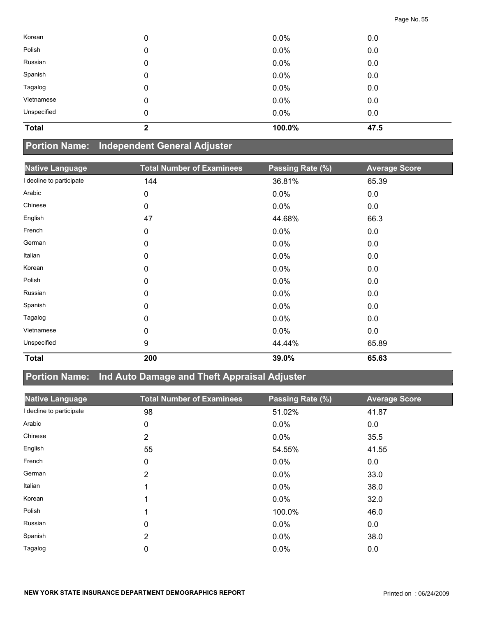| Korean       | 0           | $0.0\%$ | 0.0  |
|--------------|-------------|---------|------|
| Polish       | 0           | 0.0%    | 0.0  |
| Russian      | 0           | $0.0\%$ | 0.0  |
| Spanish      | 0           | 0.0%    | 0.0  |
| Tagalog      | 0           | $0.0\%$ | 0.0  |
| Vietnamese   | 0           | 0.0%    | 0.0  |
| Unspecified  | 0           | $0.0\%$ | 0.0  |
| <b>Total</b> | $\mathbf 2$ | 100.0%  | 47.5 |

#### **Portion Name: Independent General Adjuster**

| <b>Native Language</b>   | <b>Total Number of Examinees</b> | Passing Rate (%) | <b>Average Score</b> |
|--------------------------|----------------------------------|------------------|----------------------|
| I decline to participate | 144                              | 36.81%           | 65.39                |
| Arabic                   | $\mathbf 0$                      | 0.0%             | 0.0                  |
| Chinese                  | 0                                | 0.0%             | 0.0                  |
| English                  | 47                               | 44.68%           | 66.3                 |
| French                   | 0                                | 0.0%             | 0.0                  |
| German                   | 0                                | 0.0%             | 0.0                  |
| Italian                  | 0                                | 0.0%             | 0.0                  |
| Korean                   | 0                                | 0.0%             | 0.0                  |
| Polish                   | 0                                | 0.0%             | 0.0                  |
| Russian                  | 0                                | 0.0%             | 0.0                  |
| Spanish                  | 0                                | 0.0%             | 0.0                  |
| Tagalog                  | 0                                | 0.0%             | 0.0                  |
| Vietnamese               | 0                                | 0.0%             | 0.0                  |
| Unspecified              | 9                                | 44.44%           | 65.89                |
| <b>Total</b>             | 200                              | 39.0%            | 65.63                |

## **Portion Name: Ind Auto Damage and Theft Appraisal Adjuster**

| <b>Native Language</b>   | <b>Total Number of Examinees</b> | Passing Rate (%) | <b>Average Score</b> |
|--------------------------|----------------------------------|------------------|----------------------|
| I decline to participate | 98                               | 51.02%           | 41.87                |
| Arabic                   | 0                                | 0.0%             | 0.0                  |
| Chinese                  | 2                                | 0.0%             | 35.5                 |
| English                  | 55                               | 54.55%           | 41.55                |
| French                   | 0                                | 0.0%             | 0.0                  |
| German                   | 2                                | 0.0%             | 33.0                 |
| Italian                  | 1                                | 0.0%             | 38.0                 |
| Korean                   | 1                                | 0.0%             | 32.0                 |
| Polish                   |                                  | 100.0%           | 46.0                 |
| Russian                  | 0                                | 0.0%             | 0.0                  |
| Spanish                  | $\overline{2}$                   | 0.0%             | 38.0                 |
| Tagalog                  | 0                                | 0.0%             | 0.0                  |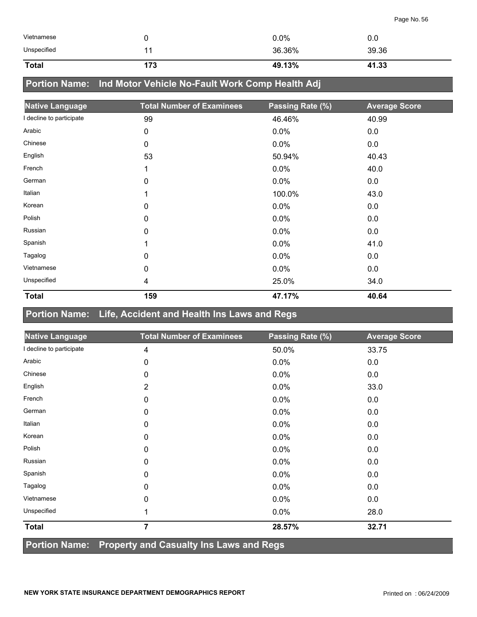| <b>Total</b> | 173 | 49.13%  | 41.33   |
|--------------|-----|---------|---------|
| Unspecified  |     | 36.36%  | 39.36   |
| Vietnamese   |     | $0.0\%$ | $0.0^-$ |

## **Portion Name: Ind Motor Vehicle No-Fault Work Comp Health Adj**

| <b>Native Language</b>   | <b>Total Number of Examinees</b> | Passing Rate (%) | <b>Average Score</b> |
|--------------------------|----------------------------------|------------------|----------------------|
| I decline to participate | 99                               | 46.46%           | 40.99                |
| Arabic                   | 0                                | 0.0%             | 0.0                  |
| Chinese                  | 0                                | 0.0%             | 0.0                  |
| English                  | 53                               | 50.94%           | 40.43                |
| French                   | 1                                | 0.0%             | 40.0                 |
| German                   | 0                                | 0.0%             | 0.0                  |
| Italian                  | 1                                | 100.0%           | 43.0                 |
| Korean                   | 0                                | 0.0%             | 0.0                  |
| Polish                   | 0                                | 0.0%             | 0.0                  |
| Russian                  | 0                                | 0.0%             | 0.0                  |
| Spanish                  | 1                                | 0.0%             | 41.0                 |
| Tagalog                  | $\mathbf 0$                      | 0.0%             | 0.0                  |
| Vietnamese               | 0                                | 0.0%             | 0.0                  |
| Unspecified              | 4                                | 25.0%            | 34.0                 |
| <b>Total</b>             | 159                              | 47.17%           | 40.64                |

#### **Portion Name: Life, Accident and Health Ins Laws and Regs**

| <b>Native Language</b>                                                 | <b>Total Number of Examinees</b> | Passing Rate (%) | <b>Average Score</b> |
|------------------------------------------------------------------------|----------------------------------|------------------|----------------------|
| I decline to participate                                               | 4                                | 50.0%            | 33.75                |
| Arabic                                                                 | 0                                | 0.0%             | 0.0                  |
| Chinese                                                                | 0                                | 0.0%             | 0.0                  |
| English                                                                | $\overline{2}$                   | 0.0%             | 33.0                 |
| French                                                                 | 0                                | 0.0%             | 0.0                  |
| German                                                                 | 0                                | 0.0%             | 0.0                  |
| Italian                                                                | 0                                | 0.0%             | 0.0                  |
| Korean                                                                 | 0                                | 0.0%             | 0.0                  |
| Polish                                                                 | 0                                | 0.0%             | 0.0                  |
| Russian                                                                | 0                                | 0.0%             | 0.0                  |
| Spanish                                                                | 0                                | 0.0%             | 0.0                  |
| Tagalog                                                                | 0                                | 0.0%             | 0.0                  |
| Vietnamese                                                             | 0                                | 0.0%             | 0.0                  |
| Unspecified                                                            | 1                                | $0.0\%$          | 28.0                 |
| <b>Total</b>                                                           | $\overline{7}$                   | 28.57%           | 32.71                |
| <b>Portion Name:</b><br><b>Property and Casualty Ins Laws and Regs</b> |                                  |                  |                      |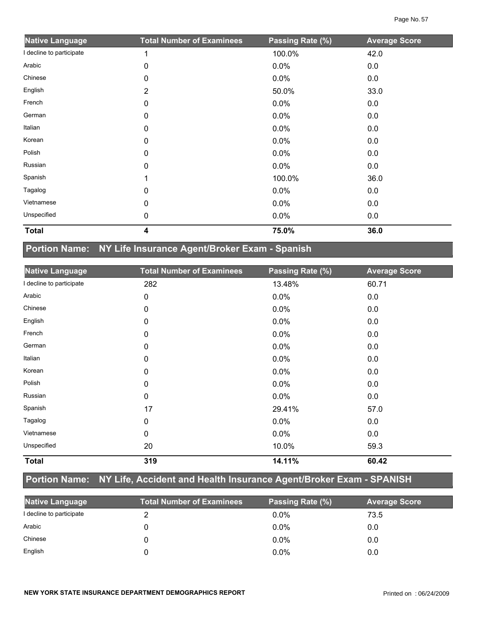| <b>Native Language</b>   | <b>Total Number of Examinees</b> | Passing Rate (%) | <b>Average Score</b> |
|--------------------------|----------------------------------|------------------|----------------------|
| I decline to participate |                                  | 100.0%           | 42.0                 |
| Arabic                   | 0                                | 0.0%             | 0.0                  |
| Chinese                  | 0                                | 0.0%             | 0.0                  |
| English                  | $\overline{2}$                   | 50.0%            | 33.0                 |
| French                   | 0                                | 0.0%             | 0.0                  |
| German                   | 0                                | 0.0%             | 0.0                  |
| Italian                  | 0                                | 0.0%             | 0.0                  |
| Korean                   | 0                                | 0.0%             | 0.0                  |
| Polish                   | 0                                | 0.0%             | 0.0                  |
| Russian                  | $\Omega$                         | 0.0%             | 0.0                  |
| Spanish                  |                                  | 100.0%           | 36.0                 |
| Tagalog                  | 0                                | 0.0%             | 0.0                  |
| Vietnamese               | 0                                | 0.0%             | 0.0                  |
| Unspecified              | 0                                | 0.0%             | 0.0                  |
| <b>Total</b>             | 4                                | 75.0%            | 36.0                 |

# **Portion Name: NY Life Insurance Agent/Broker Exam - Spanish**

| <b>Native Language</b>   | <b>Total Number of Examinees</b> | Passing Rate (%) | <b>Average Score</b> |
|--------------------------|----------------------------------|------------------|----------------------|
| I decline to participate | 282                              | 13.48%           | 60.71                |
| Arabic                   | $\mathbf 0$                      | 0.0%             | 0.0                  |
| Chinese                  | 0                                | 0.0%             | 0.0                  |
| English                  | 0                                | 0.0%             | 0.0                  |
| French                   | 0                                | 0.0%             | 0.0                  |
| German                   | $\mathbf 0$                      | 0.0%             | 0.0                  |
| Italian                  | 0                                | 0.0%             | 0.0                  |
| Korean                   | 0                                | 0.0%             | 0.0                  |
| Polish                   | 0                                | 0.0%             | 0.0                  |
| Russian                  | 0                                | 0.0%             | 0.0                  |
| Spanish                  | 17                               | 29.41%           | 57.0                 |
| Tagalog                  | 0                                | $0.0\%$          | 0.0                  |
| Vietnamese               | 0                                | 0.0%             | 0.0                  |
| Unspecified              | 20                               | 10.0%            | 59.3                 |
| <b>Total</b>             | 319                              | 14.11%           | 60.42                |

## **Portion Name: NY Life, Accident and Health Insurance Agent/Broker Exam - SPANISH**

| <b>Native Language</b>   | <b>Total Number of Examinees</b> | Passing Rate (%) | <b>Average Score</b> |
|--------------------------|----------------------------------|------------------|----------------------|
| I decline to participate |                                  | $0.0\%$          | 73.5                 |
| Arabic                   |                                  | $0.0\%$          | 0.0                  |
| Chinese                  |                                  | $0.0\%$          | 0.0                  |
| English                  |                                  | $0.0\%$          | 0.0                  |